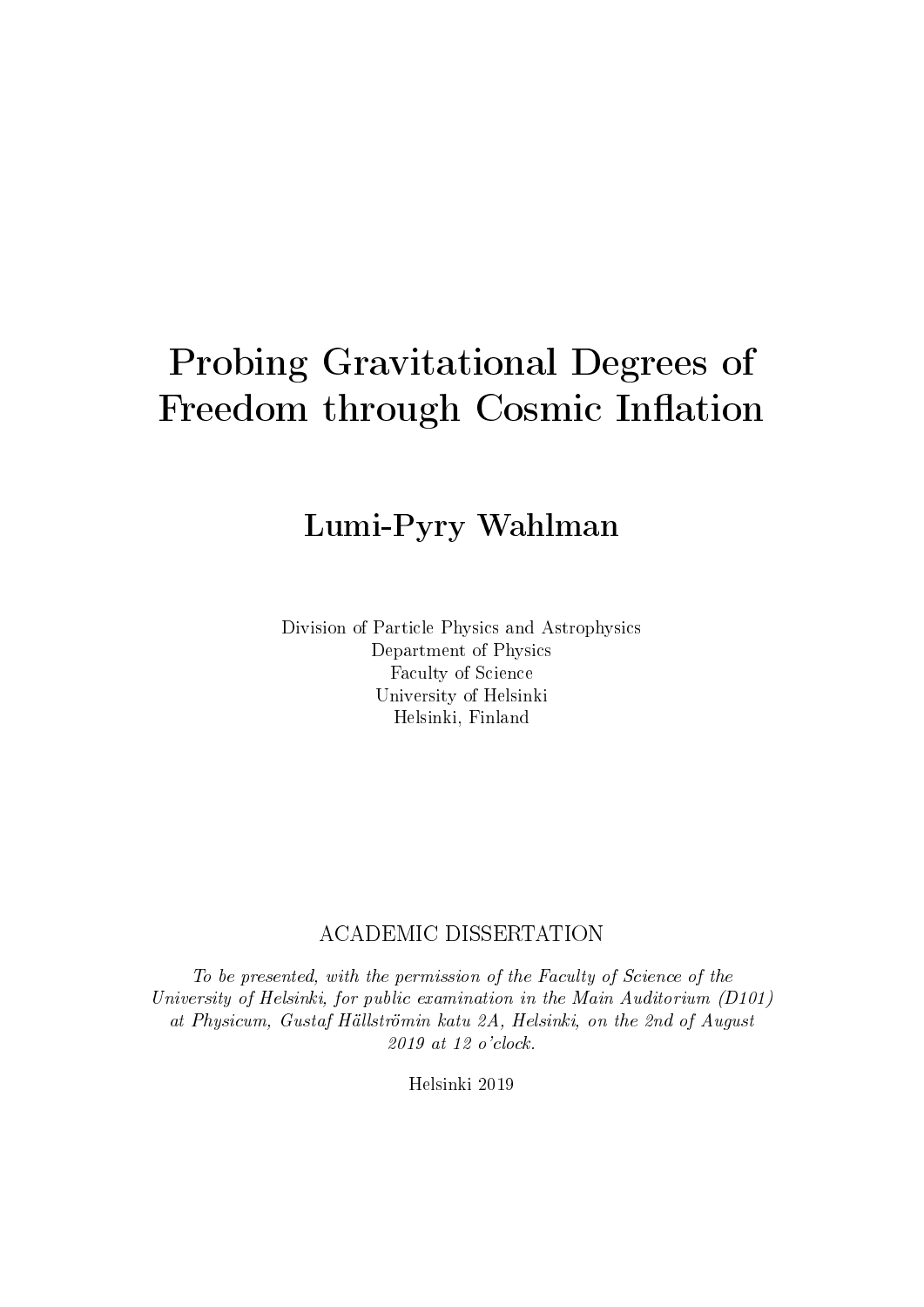# Probing Gravitational Degrees of Freedom through Cosmic Inflation

## Lumi-Pyry Wahlman

Division of Particle Physics and Astrophysics Department of Physics Faculty of Science University of Helsinki Helsinki, Finland

#### ACADEMIC DISSERTATION

To be presented, with the permission of the Faculty of Science of the University of Helsinki, for public examination in the Main Auditorium (D101) at Physicum, Gustaf Hällströmin katu 2A, Helsinki, on the 2nd of August 2019 at 12 o'clock.

Helsinki 2019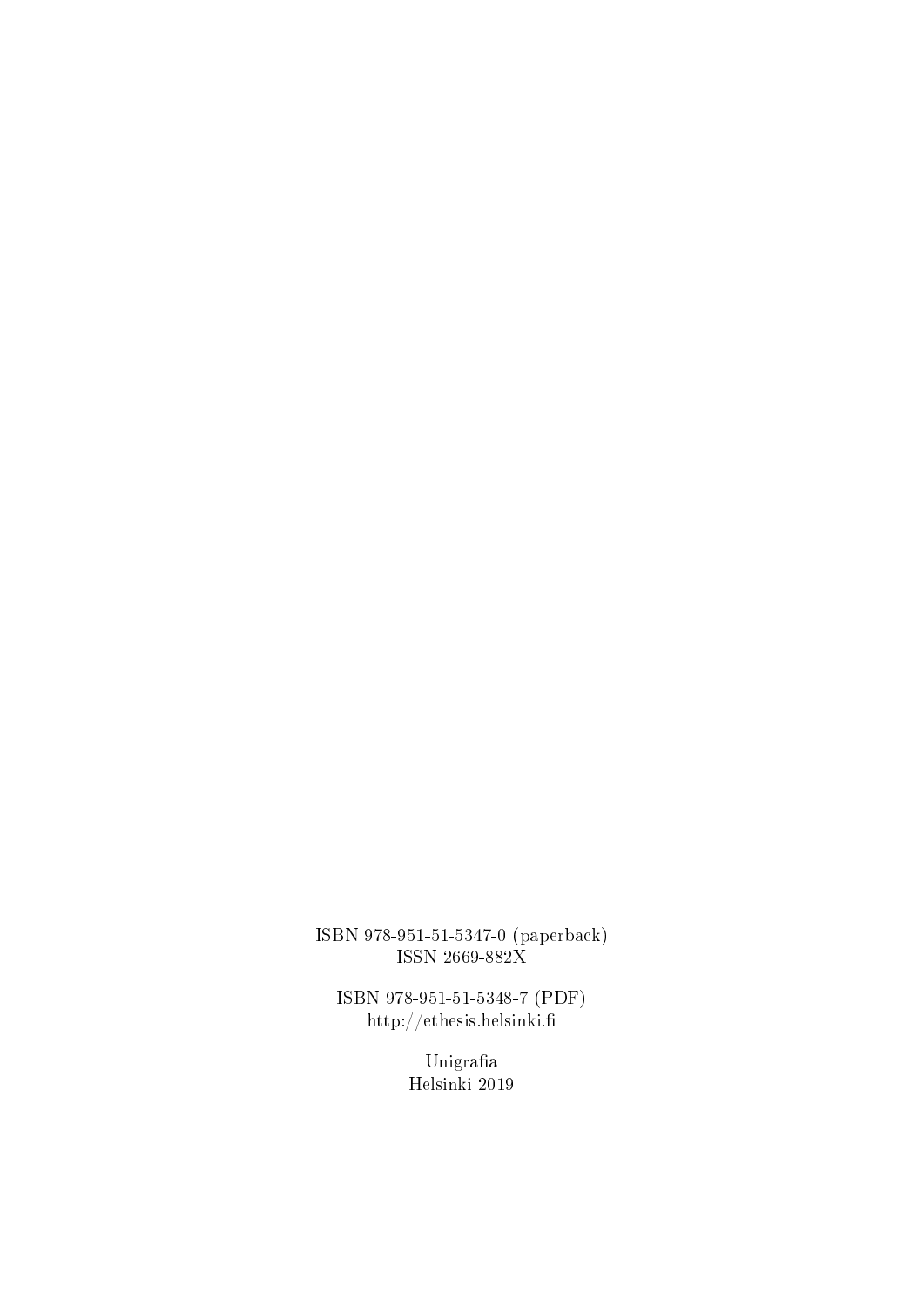ISBN 978-951-51-5347-0 (paperback) ISSN 2669-882X

ISBN 978-951-51-5348-7 (PDF) http://ethesis.helsinki.

> $\bf U$ nigrafia Helsinki 2019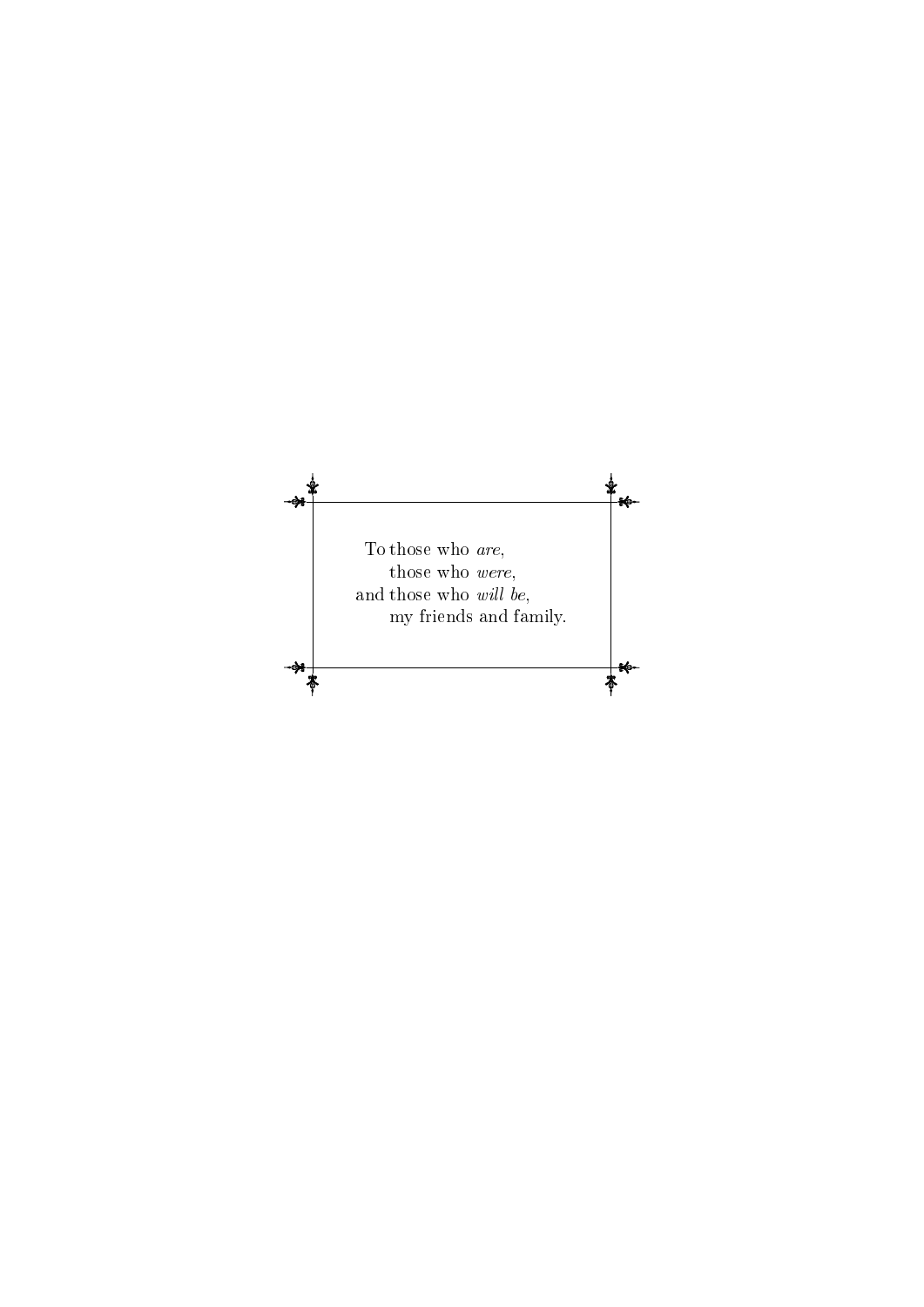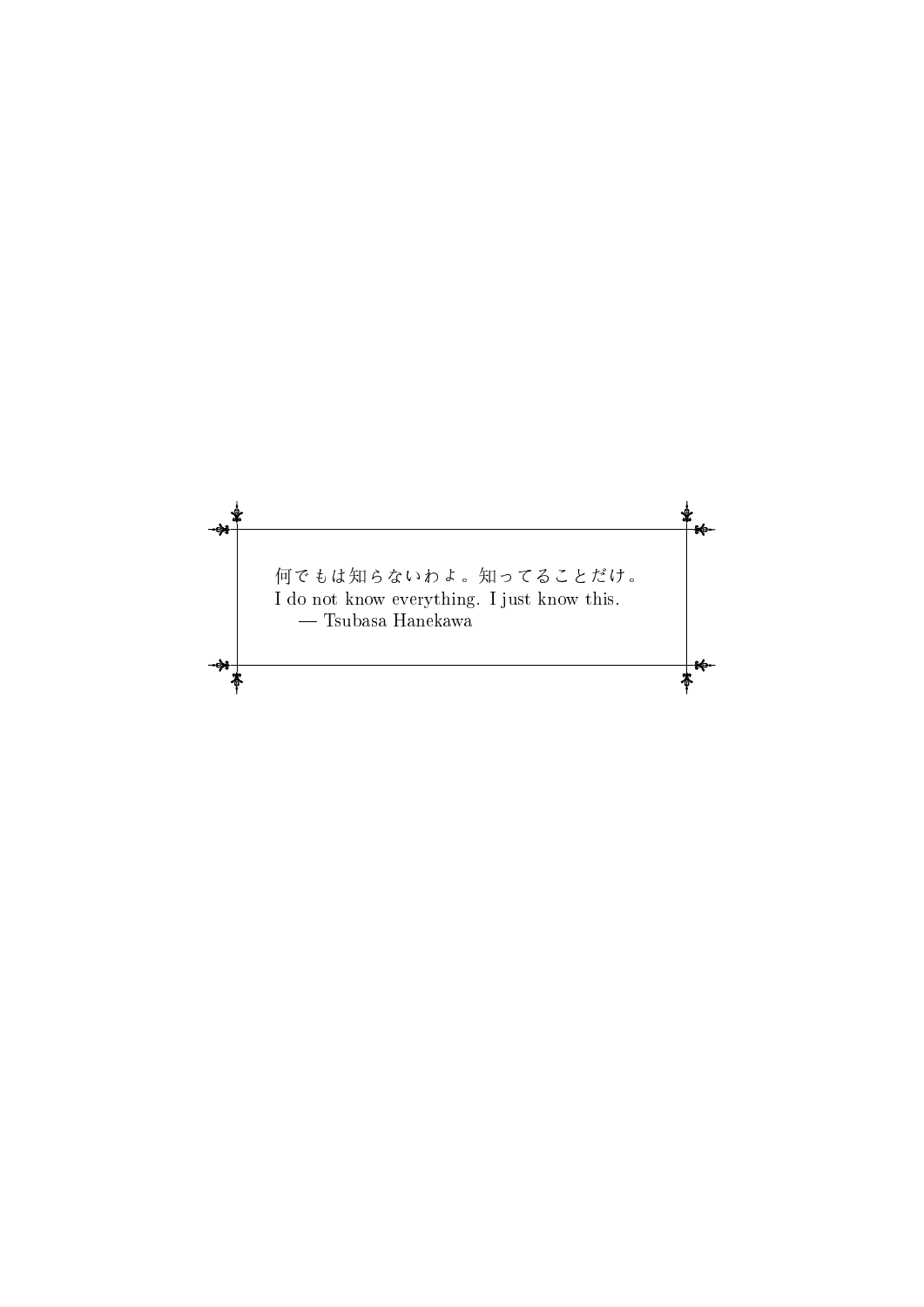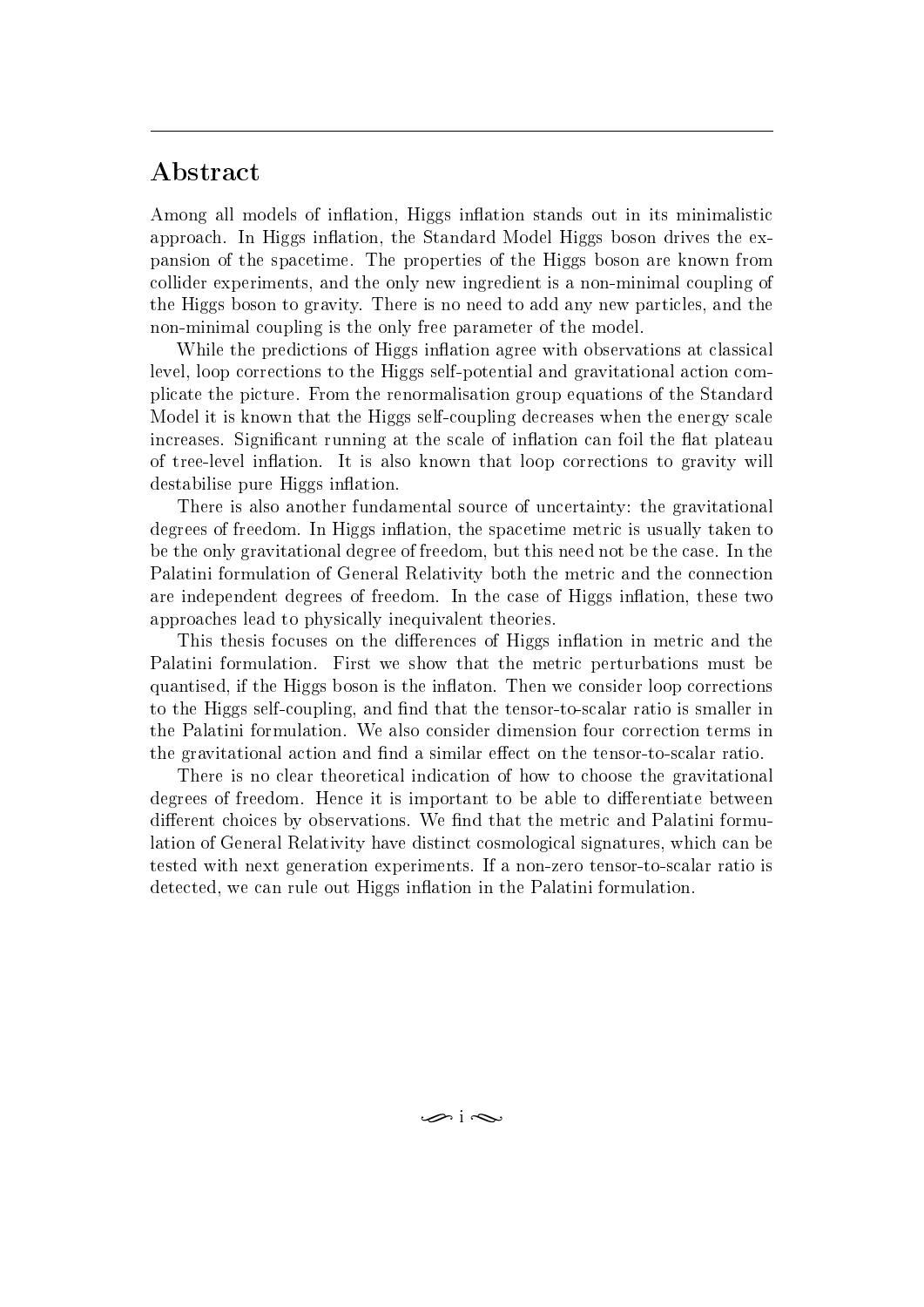## <span id="page-4-0"></span>Abstract

Among all models of inflation, Higgs inflation stands out in its minimalistic approach. In Higgs inflation, the Standard Model Higgs boson drives the expansion of the spacetime. The properties of the Higgs boson are known from collider experiments, and the only new ingredient is a non-minimal coupling of the Higgs boson to gravity. There is no need to add any new particles, and the non-minimal coupling is the only free parameter of the model.

While the predictions of Higgs inflation agree with observations at classical level, loop corrections to the Higgs self-potential and gravitational action complicate the picture. From the renormalisation group equations of the Standard Model it is known that the Higgs self-coupling decreases when the energy scale increases. Significant running at the scale of inflation can foil the flat plateau of tree-level inflation. It is also known that loop corrections to gravity will destabilise pure Higgs inflation.

There is also another fundamental source of uncertainty: the gravitational degrees of freedom. In Higgs inflation, the spacetime metric is usually taken to be the only gravitational degree of freedom, but this need not be the case. In the Palatini formulation of General Relativity both the metric and the connection are independent degrees of freedom. In the case of Higgs inflation, these two approaches lead to physically inequivalent theories.

This thesis focuses on the differences of Higgs inflation in metric and the Palatini formulation. First we show that the metric perturbations must be quantised, if the Higgs boson is the inflaton. Then we consider loop corrections to the Higgs self-coupling, and find that the tensor-to-scalar ratio is smaller in the Palatini formulation. We also consider dimension four correction terms in the gravitational action and find a similar effect on the tensor-to-scalar ratio.

There is no clear theoretical indication of how to choose the gravitational degrees of freedom. Hence it is important to be able to differentiate between different choices by observations. We find that the metric and Palatini formulation of General Relativity have distinct cosmological signatures, which can be tested with next generation experiments. If a non-zero tensor-to-scalar ratio is detected, we can rule out Higgs inflation in the Palatini formulation.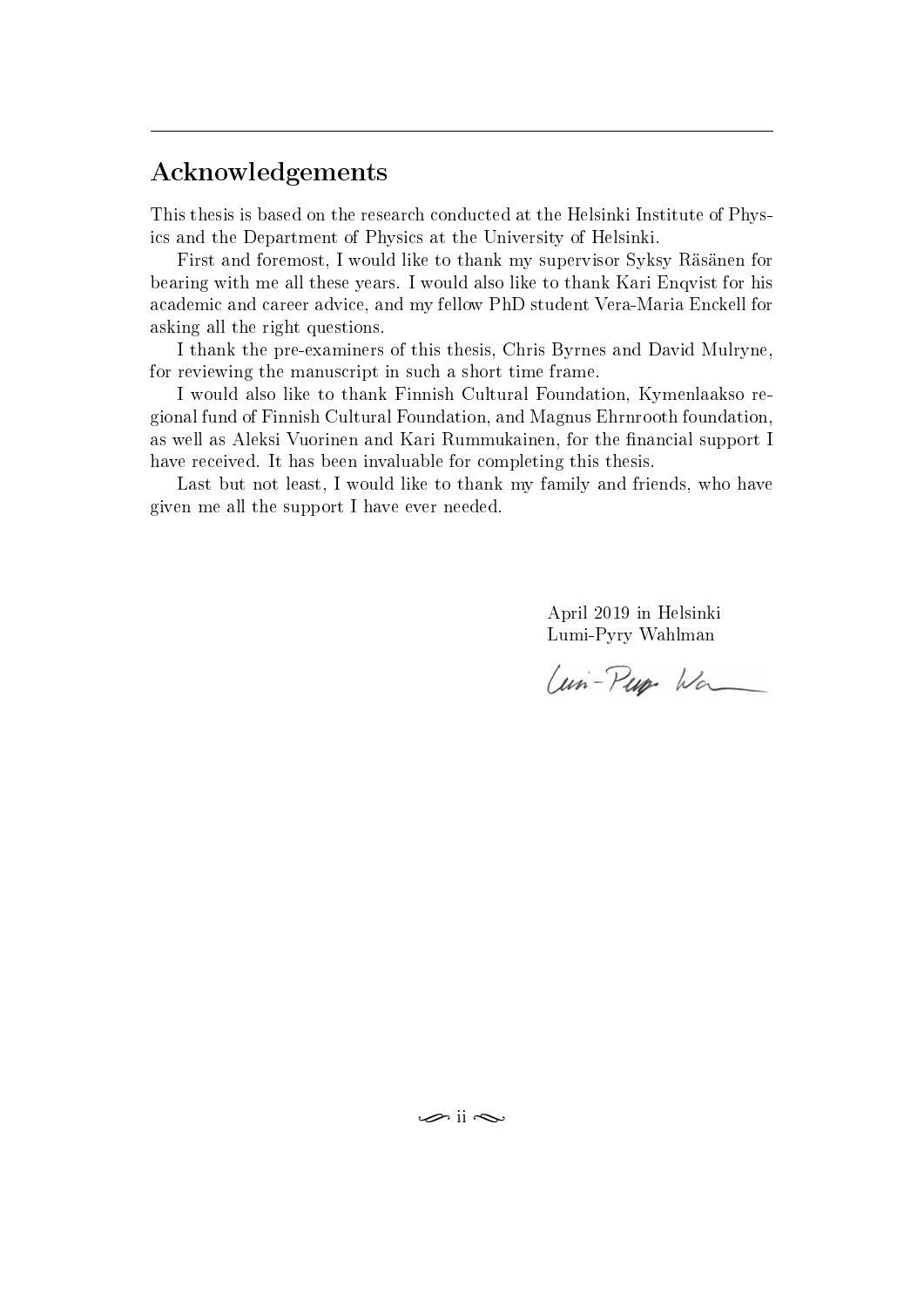## <span id="page-5-0"></span>Acknowledgements

This thesis is based on the research conducted at the Helsinki Institute of Physics and the Department of Physics at the University of Helsinki.

First and foremost, I would like to thank my supervisor Syksy Räsänen for bearing with me all these years. I would also like to thank Kari Enqvist for his academic and career advice, and my fellow PhD student Vera-Maria Enckell for asking all the right questions.

I thank the pre-examiners of this thesis, Chris Byrnes and David Mulryne, for reviewing the manuscript in such a short time frame.

I would also like to thank Finnish Cultural Foundation, Kymenlaakso regional fund of Finnish Cultural Foundation, and Magnus Ehrnrooth foundation, as well as Aleksi Vuorinen and Kari Rummukainen, for the financial support I have received. It has been invaluable for completing this thesis.

Last but not least, I would like to thank my family and friends, who have given me all the support I have ever needed.

> April 2019 in Helsinki Lumi-Pyry Wahlman

Uni-Pup Wa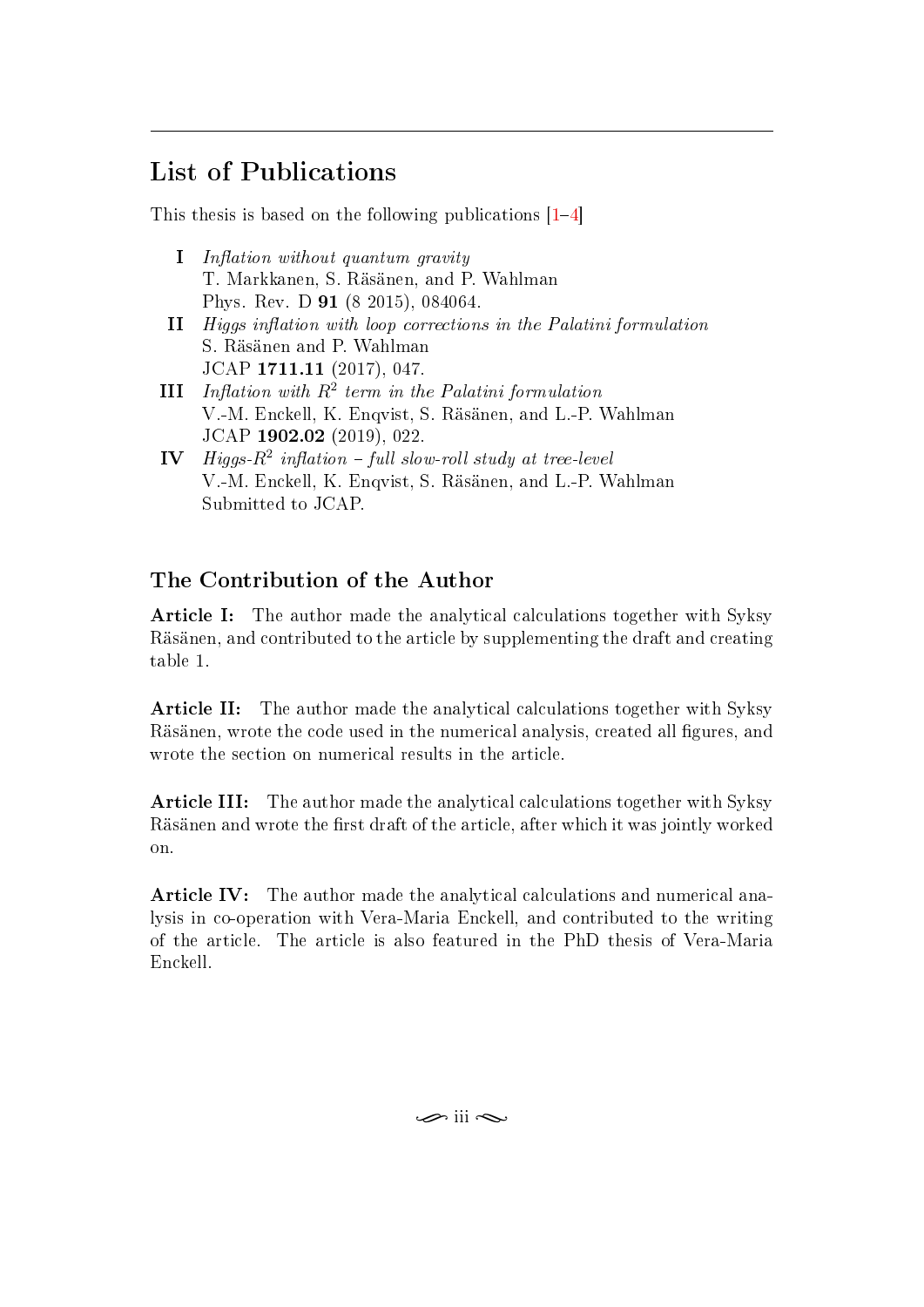## <span id="page-6-0"></span>List of Publications

This thesis is based on the following publications [\[1](#page-45-0)[4\]](#page-45-1)

- **I** Inflation without quantum gravity T. Markkanen, S. Räsänen, and P. Wahlman Phys. Rev. D 91 (8 2015), 084064.
- II Higgs inflation with loop corrections in the Palatini formulation S. Räsänen and P. Wahlman JCAP 1711.11 (2017), 047.
- **III** Inflation with  $R^2$  term in the Palatini formulation V.-M. Enckell, K. Enqvist, S. Räsänen, and L.-P. Wahlman JCAP 1902.02 (2019), 022.
- $\mathbf{IV}$  Higgs- $R^2$  inflation full slow-roll study at tree-level V.-M. Enckell, K. Enqvist, S. Räsänen, and L.-P. Wahlman Submitted to JCAP.

## The Contribution of the Author

**Article I:** The author made the analytical calculations together with Syksy Räsänen, and contributed to the article by supplementing the draft and creating table 1.

Article II: The author made the analytical calculations together with Syksy Räsänen, wrote the code used in the numerical analysis, created all figures, and wrote the section on numerical results in the article.

Article III: The author made the analytical calculations together with Syksy Räsänen and wrote the first draft of the article, after which it was jointly worked on.

Article IV: The author made the analytical calculations and numerical analysis in co-operation with Vera-Maria Enckell, and contributed to the writing of the article. The article is also featured in the PhD thesis of Vera-Maria Enckell.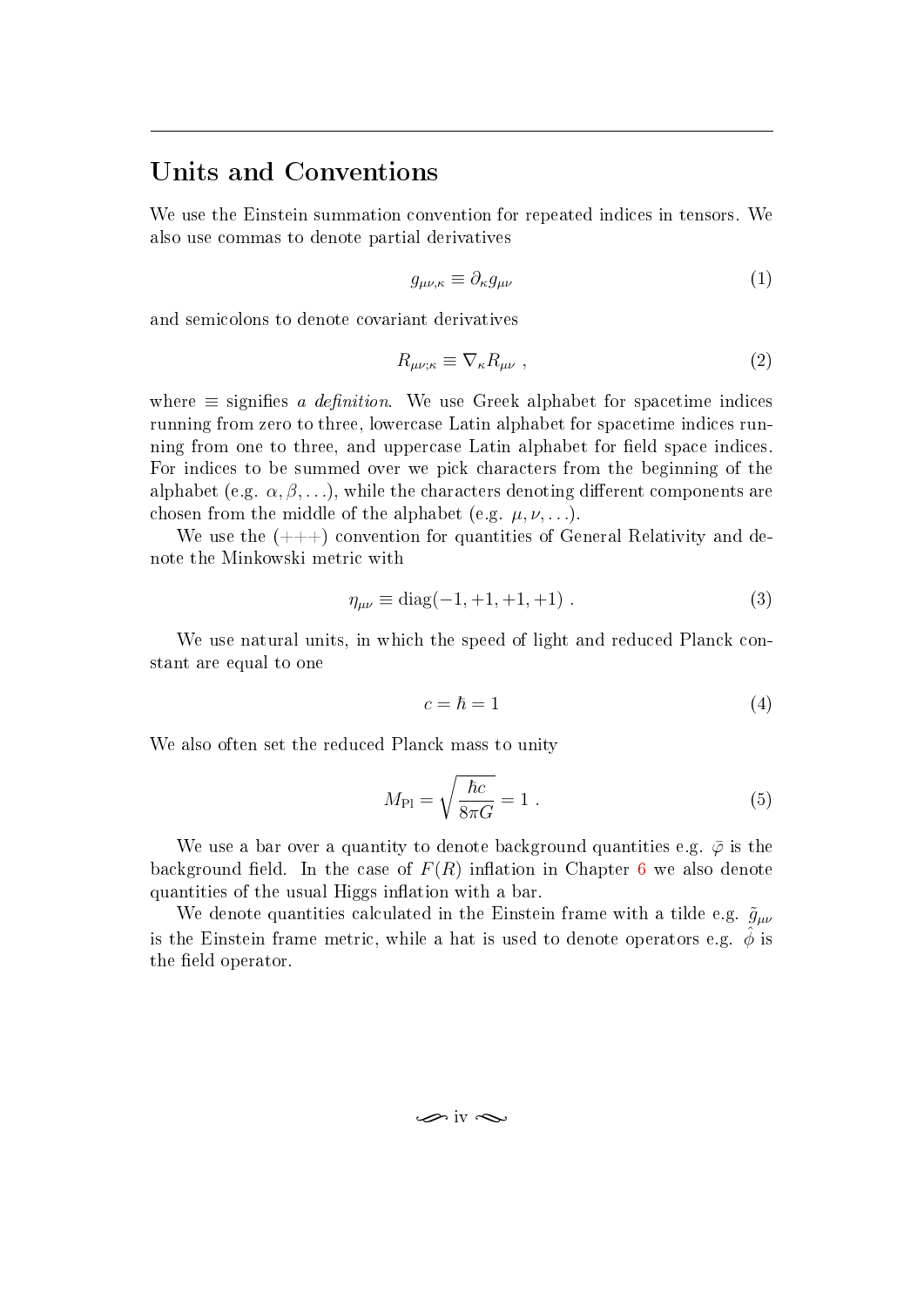## <span id="page-7-0"></span>Units and Conventions

We use the Einstein summation convention for repeated indices in tensors. We also use commas to denote partial derivatives

$$
g_{\mu\nu,\kappa} \equiv \partial_{\kappa} g_{\mu\nu} \tag{1}
$$

and semicolons to denote covariant derivatives

$$
R_{\mu\nu;\kappa} \equiv \nabla_{\kappa} R_{\mu\nu} \;, \tag{2}
$$

where  $\equiv$  signifies a definition. We use Greek alphabet for spacetime indices running from zero to three, lowercase Latin alphabet for spacetime indices running from one to three, and uppercase Latin alphabet for field space indices. For indices to be summed over we pick characters from the beginning of the alphabet (e.g.  $\alpha, \beta, \ldots$ ), while the characters denoting different components are chosen from the middle of the alphabet (e.g.  $\mu, \nu, \ldots$ ).

We use the  $(++)$  convention for quantities of General Relativity and denote the Minkowski metric with

$$
\eta_{\mu\nu} \equiv \text{diag}(-1, +1, +1, +1) \tag{3}
$$

We use natural units, in which the speed of light and reduced Planck constant are equal to one

<span id="page-7-1"></span>
$$
c = \hbar = 1 \tag{4}
$$

We also often set the reduced Planck mass to unity

$$
M_{\rm Pl} = \sqrt{\frac{\hbar c}{8\pi G}} = 1.
$$
\n<sup>(5)</sup>

We use a bar over a quantity to denote background quantities e.g.  $\bar{\varphi}$  is the background field. In the case of  $F(R)$  inflation in Chapter [6](#page-36-0) we also denote quantities of the usual Higgs inflation with a bar.

We denote quantities calculated in the Einstein frame with a tilde e.g.  $\tilde{g}_{\mu\nu}$ is the Einstein frame metric, while a hat is used to denote operators e.g.  $\phi$  is the field operator.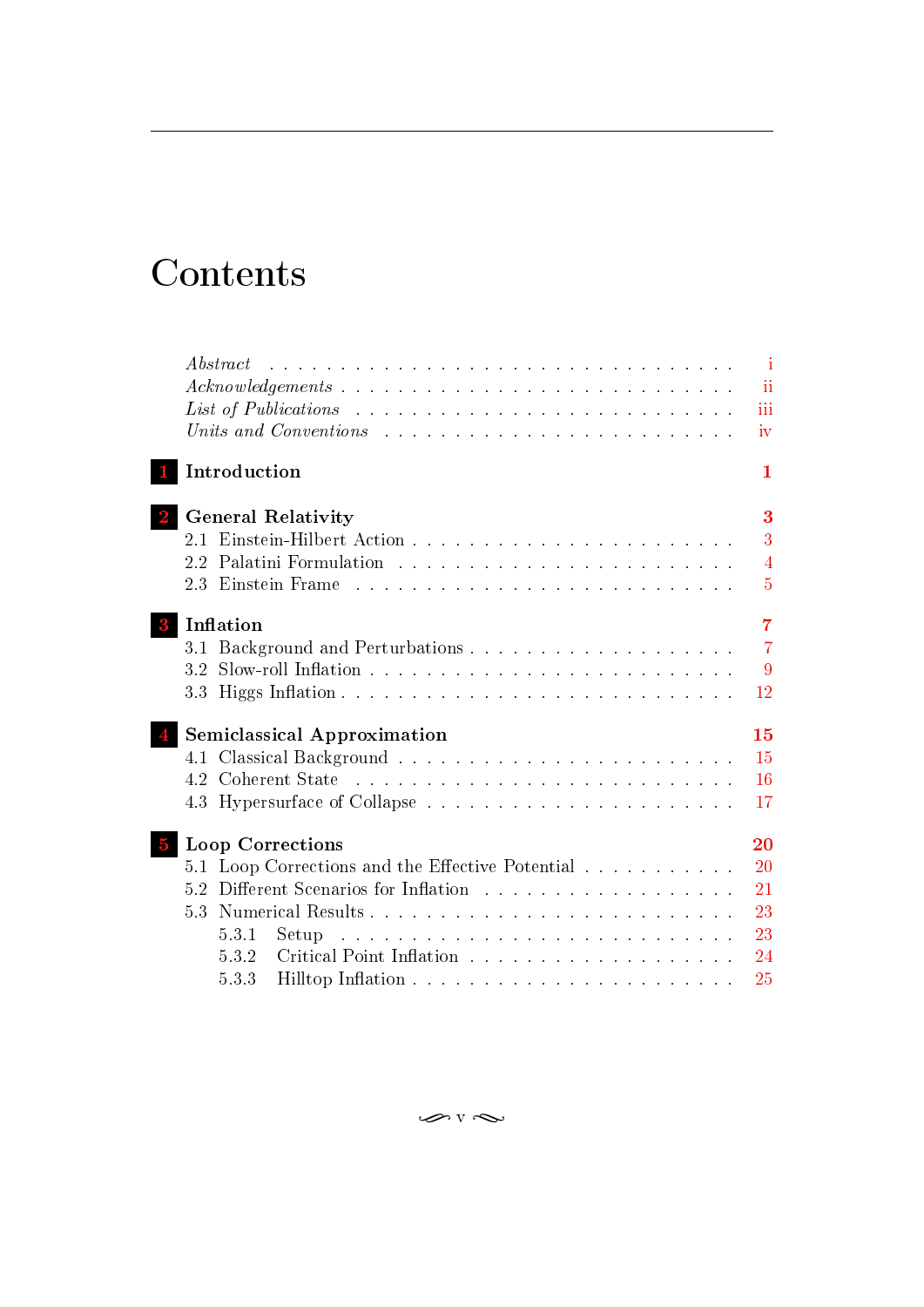# Contents

|                | Abstract                                                                              | المتحدث والمتحدث والمتحدث والمتحدث والمتحدث والمتحدث والمتحدث والمتحدث والمتحدث والمتحدث والمتحدث والمتحدث |  |  |  |  |  |  |  | $\mathbf{i}$   |
|----------------|---------------------------------------------------------------------------------------|------------------------------------------------------------------------------------------------------------|--|--|--|--|--|--|--|----------------|
|                |                                                                                       |                                                                                                            |  |  |  |  |  |  |  | ii             |
|                | List of Publications $\ldots \ldots \ldots \ldots \ldots \ldots \ldots \ldots \ldots$ |                                                                                                            |  |  |  |  |  |  |  | iii            |
|                | Units and Conventions $\ldots \ldots \ldots \ldots \ldots \ldots \ldots \ldots$       |                                                                                                            |  |  |  |  |  |  |  | iv             |
|                | Introduction                                                                          |                                                                                                            |  |  |  |  |  |  |  | 1              |
|                | <b>General Relativity</b>                                                             |                                                                                                            |  |  |  |  |  |  |  | 3              |
|                | 21                                                                                    |                                                                                                            |  |  |  |  |  |  |  | 3              |
|                | 2.2                                                                                   |                                                                                                            |  |  |  |  |  |  |  | $\overline{4}$ |
|                | 2.3 Einstein Frame                                                                    |                                                                                                            |  |  |  |  |  |  |  | $\overline{5}$ |
|                | Inflation                                                                             |                                                                                                            |  |  |  |  |  |  |  | $\overline{7}$ |
|                | 3.1                                                                                   |                                                                                                            |  |  |  |  |  |  |  | $\overline{7}$ |
|                | 3.2                                                                                   |                                                                                                            |  |  |  |  |  |  |  | 9              |
|                | 3.3                                                                                   |                                                                                                            |  |  |  |  |  |  |  | 12             |
|                | <b>Semiclassical Approximation</b>                                                    |                                                                                                            |  |  |  |  |  |  |  | 15             |
|                | 4.1                                                                                   |                                                                                                            |  |  |  |  |  |  |  | 15             |
|                | 4.2                                                                                   |                                                                                                            |  |  |  |  |  |  |  | 16             |
|                | 4.3 Hypersurface of Collapse                                                          |                                                                                                            |  |  |  |  |  |  |  | 17             |
| $\overline{5}$ | Loop Corrections                                                                      |                                                                                                            |  |  |  |  |  |  |  | 20             |
|                | 5.1                                                                                   | Loop Corrections and the Effective Potential                                                               |  |  |  |  |  |  |  | 20             |
|                | 5.2                                                                                   |                                                                                                            |  |  |  |  |  |  |  | 21             |
|                | 5.3                                                                                   |                                                                                                            |  |  |  |  |  |  |  | 23             |
|                | 5.3.1<br>Setup.                                                                       |                                                                                                            |  |  |  |  |  |  |  | 23             |
|                | 5.3.2                                                                                 |                                                                                                            |  |  |  |  |  |  |  | 24             |
|                | 5.3.3                                                                                 |                                                                                                            |  |  |  |  |  |  |  | 25             |
|                |                                                                                       |                                                                                                            |  |  |  |  |  |  |  |                |

 $\curvearrowleft$  v  $\curvearrowright$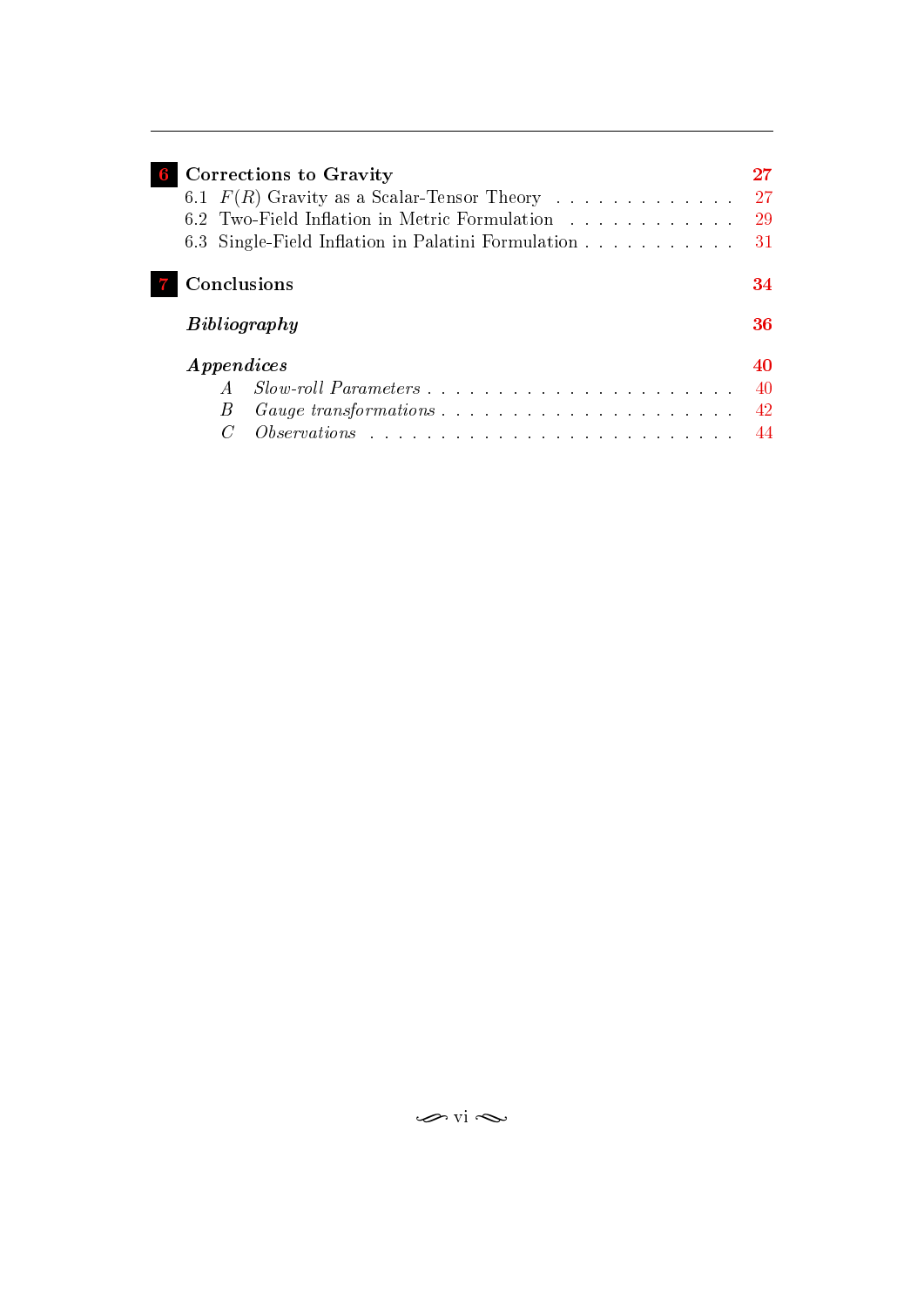| Corrections to Gravity<br>6.1 $F(R)$ Gravity as a Scalar-Tensor Theory<br>6.2 Two-Field Inflation in Metric Formulation<br>6.3 Single-Field Inflation in Palatini Formulation | 27<br>29<br>31       |
|-------------------------------------------------------------------------------------------------------------------------------------------------------------------------------|----------------------|
| Conclusions<br>Bibliography                                                                                                                                                   | 34<br>36             |
| <i>Appendices</i><br>$Slow\text{-}roll\; Parameters\;\dots\;\dots\;\dots\;\dots\;\dots\;\dots\;\dots\;\dots\;\dots\;\dots$<br>B                                               | 40<br>40<br>42<br>44 |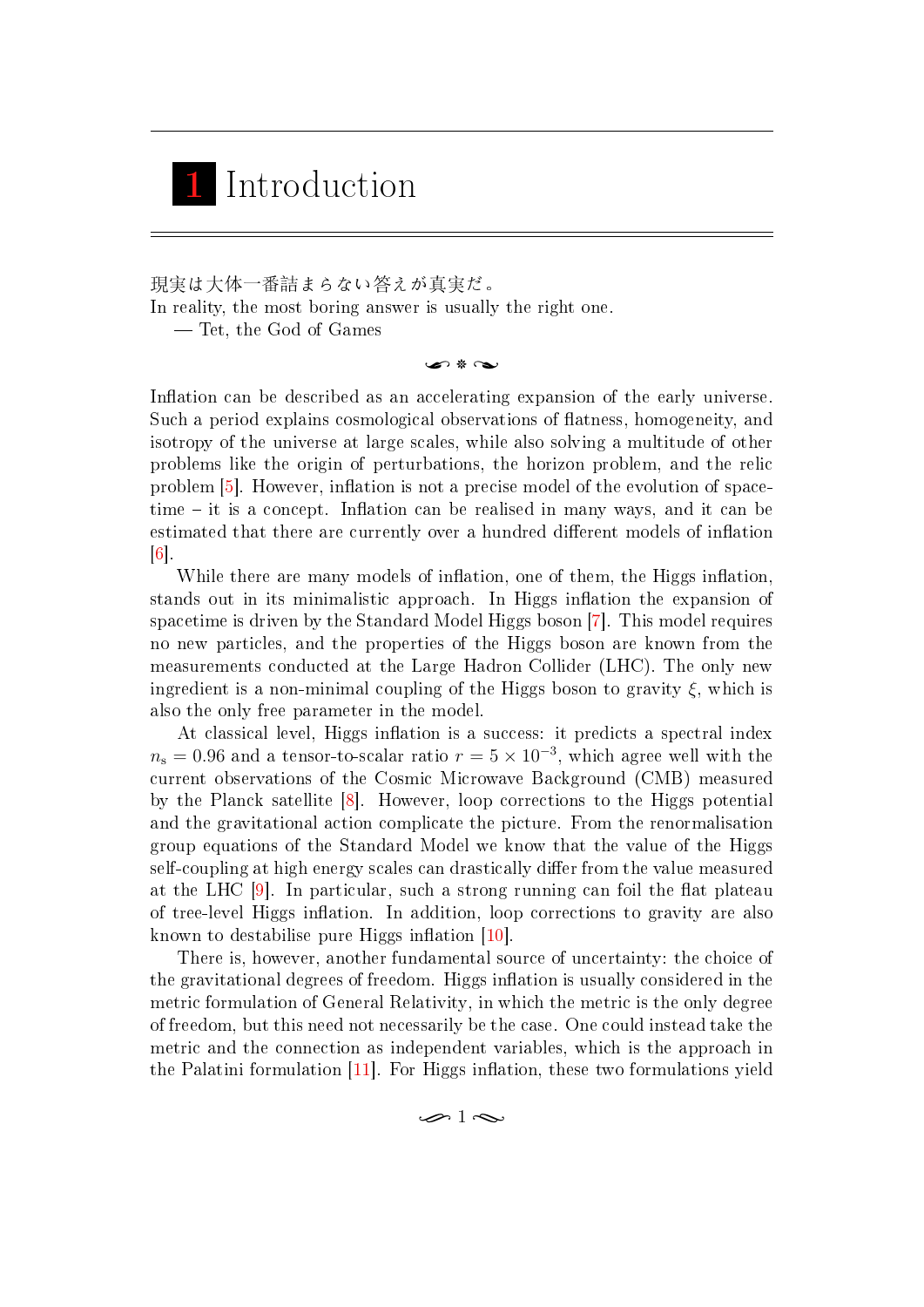## <span id="page-10-0"></span>1 Introduction

現実は大体一番詰まらない答えが真実だ。

In reality, the most boring answer is usually the right one.

Tet, the God of Games

 $\bullet$  \*  $\rightarrow$ 

Inflation can be described as an accelerating expansion of the early universe. Such a period explains cosmological observations of flatness, homogeneity, and isotropy of the universe at large scales, while also solving a multitude of other problems like the origin of perturbations, the horizon problem, and the relic problem [\[5\]](#page-45-3). However, inflation is not a precise model of the evolution of space $time - it$  is a concept. Inflation can be realised in many ways, and it can be estimated that there are currently over a hundred different models of inflation  $\lceil 6 \rceil$ .

While there are many models of inflation, one of them, the Higgs inflation, stands out in its minimalistic approach. In Higgs inflation the expansion of spacetime is driven by the Standard Model Higgs boson [\[7\]](#page-45-5). This model requires no new particles, and the properties of the Higgs boson are known from the measurements conducted at the Large Hadron Collider (LHC). The only new ingredient is a non-minimal coupling of the Higgs boson to gravity  $\xi$ , which is also the only free parameter in the model.

At classical level, Higgs inflation is a success: it predicts a spectral index  $n_s = 0.96$  and a tensor-to-scalar ratio  $r = 5 \times 10^{-3}$ , which agree well with the current observations of the Cosmic Microwave Background (CMB) measured by the Planck satellite [\[8\]](#page-45-6). However, loop corrections to the Higgs potential and the gravitational action complicate the picture. From the renormalisation group equations of the Standard Model we know that the value of the Higgs self-coupling at high energy scales can drastically differ from the value measured at the LHC  $[9]$ . In particular, such a strong running can foil the flat plateau of tree-level Higgs inflation. In addition, loop corrections to gravity are also known to destabilise pure Higgs inflation  $[10]$ .

There is, however, another fundamental source of uncertainty: the choice of the gravitational degrees of freedom. Higgs inflation is usually considered in the metric formulation of General Relativity, in which the metric is the only degree of freedom, but this need not necessarily be the case. One could instead take the metric and the connection as independent variables, which is the approach in the Palatini formulation  $[11]$ . For Higgs inflation, these two formulations yield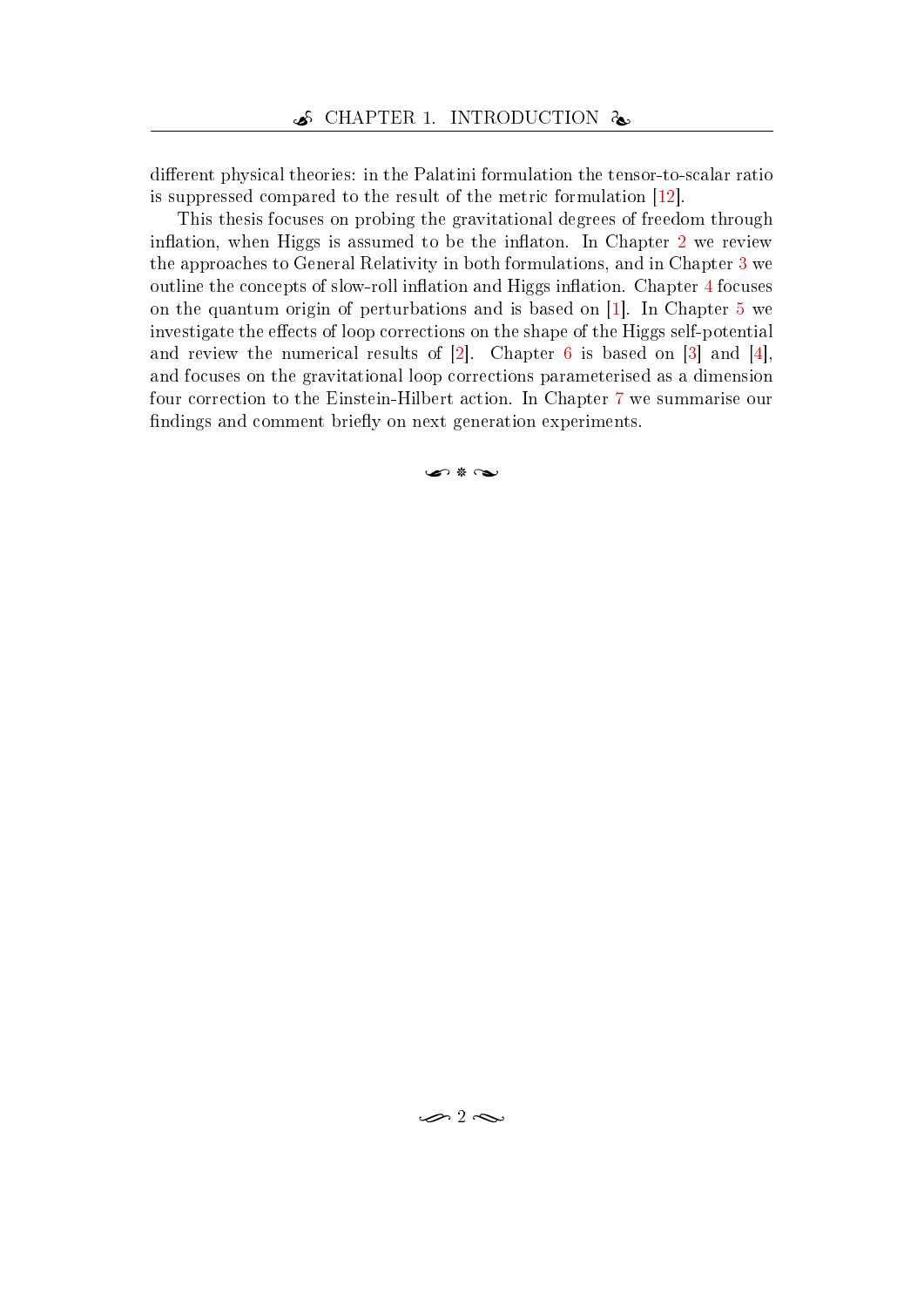different physical theories: in the Palatini formulation the tensor-to-scalar ratio is suppressed compared to the result of the metric formulation [\[12\]](#page-46-0).

This thesis focuses on probing the gravitational degrees of freedom through inflation, when Higgs is assumed to be the inflaton. In Chapter  $2$  we review the approaches to General Relativity in both formulations, and in Chapter [3](#page-16-0) we outline the concepts of slow-roll inflation and Higgs inflation. Chapter [4](#page-24-0) focuses on the quantum origin of perturbations and is based on [\[1\]](#page-45-0). In Chapter [5](#page-29-0) we investigate the effects of loop corrections on the shape of the Higgs self-potential and review the numerical results of  $[2]$ . Chapter [6](#page-36-0) is based on  $[3]$  and  $[4]$ , and focuses on the gravitational loop corrections parameterised as a dimension four correction to the Einstein-Hilbert action. In Chapter [7](#page-43-0) we summarise our findings and comment briefly on next generation experiments.

ا هي علا سعر،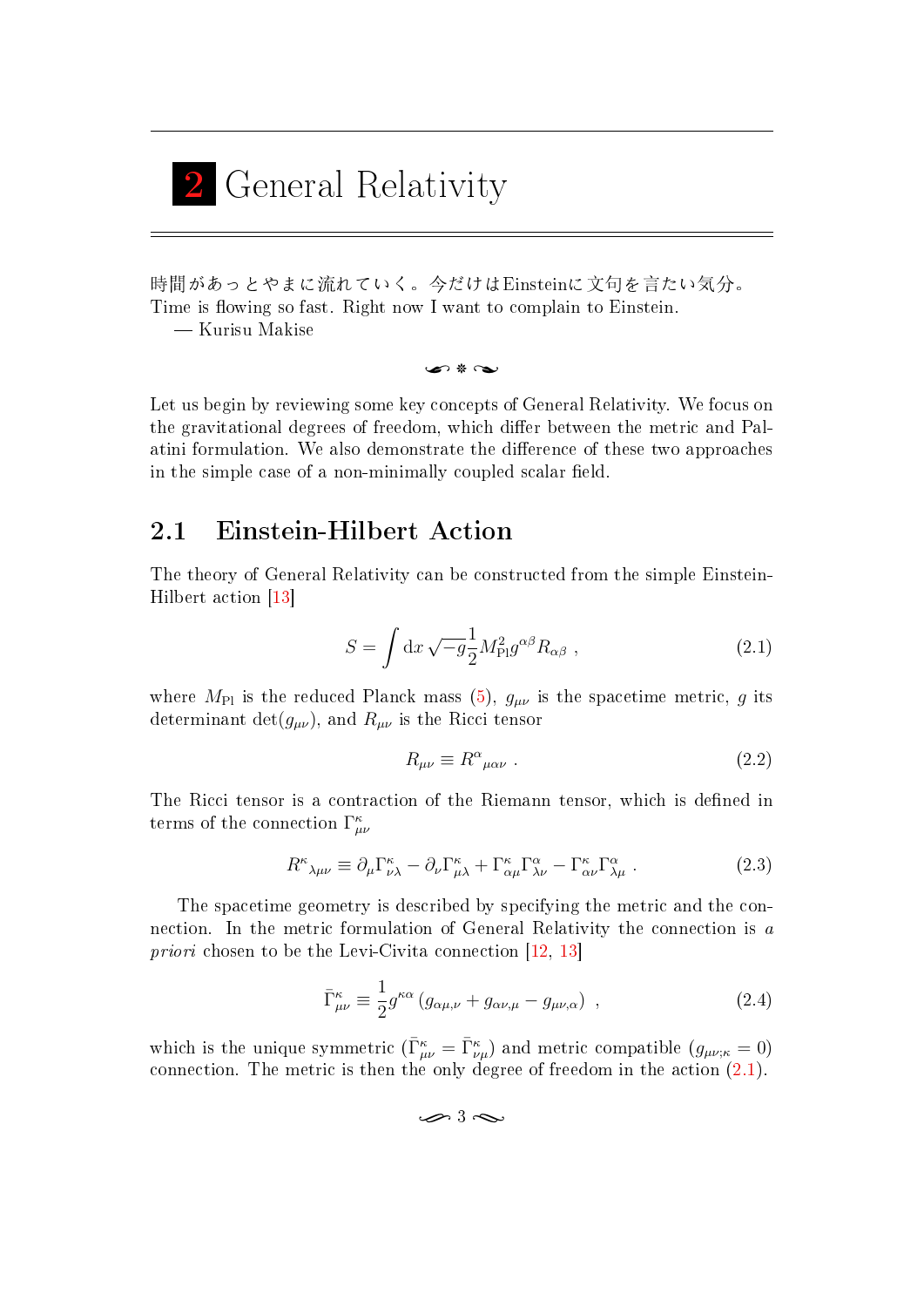<span id="page-12-0"></span>

時間があっとやまに流れていく。今だけはEinsteinに文句を言たい気分。 Time is flowing so fast. Right now I want to complain to Einstein. Kurisu Makise

n \* N

Let us begin by reviewing some key concepts of General Relativity. We focus on the gravitational degrees of freedom, which differ between the metric and Palatini formulation. We also demonstrate the difference of these two approaches in the simple case of a non-minimally coupled scalar field.

### <span id="page-12-1"></span>2.1 Einstein-Hilbert Action

The theory of General Relativity can be constructed from the simple Einstein-Hilbert action [\[13\]](#page-46-1)

$$
S = \int \mathrm{d}x \sqrt{-g} \frac{1}{2} M_{\rm Pl}^2 g^{\alpha \beta} R_{\alpha \beta} , \qquad (2.1)
$$

where  $M_{\text{Pl}}$  is the reduced Planck mass [\(5\)](#page-7-1),  $g_{\mu\nu}$  is the spacetime metric, g its determinant  $\det(g_{\mu\nu})$ , and  $R_{\mu\nu}$  is the Ricci tensor

<span id="page-12-2"></span>
$$
R_{\mu\nu} \equiv R^{\alpha}{}_{\mu\alpha\nu} \ . \tag{2.2}
$$

The Ricci tensor is a contraction of the Riemann tensor, which is defined in terms of the connection  $\Gamma^{\kappa}_{\mu\nu}$ 

$$
R^{\kappa}{}_{\lambda\mu\nu} \equiv \partial_{\mu}\Gamma^{\kappa}_{\nu\lambda} - \partial_{\nu}\Gamma^{\kappa}_{\mu\lambda} + \Gamma^{\kappa}_{\alpha\mu}\Gamma^{\alpha}_{\lambda\nu} - \Gamma^{\kappa}_{\alpha\nu}\Gamma^{\alpha}_{\lambda\mu} \ . \tag{2.3}
$$

The spacetime geometry is described by specifying the metric and the connection. In the metric formulation of General Relativity the connection is a priori chosen to be the Levi-Civita connection [\[12,](#page-46-0) [13\]](#page-46-1)

$$
\bar{\Gamma}^{\kappa}_{\mu\nu} \equiv \frac{1}{2} g^{\kappa\alpha} \left( g_{\alpha\mu,\nu} + g_{\alpha\nu,\mu} - g_{\mu\nu,\alpha} \right) , \qquad (2.4)
$$

which is the unique symmetric  $(\bar{\Gamma}^{\kappa}_{\mu\nu} = \bar{\Gamma}^{\kappa}_{\nu\mu})$  and metric compatible  $(g_{\mu\nu;\kappa} = 0)$ connection. The metric is then the only degree of freedom in the action [\(2.1\)](#page-12-2).

<span id="page-12-3"></span> $\rightarrow$  3  $\sim$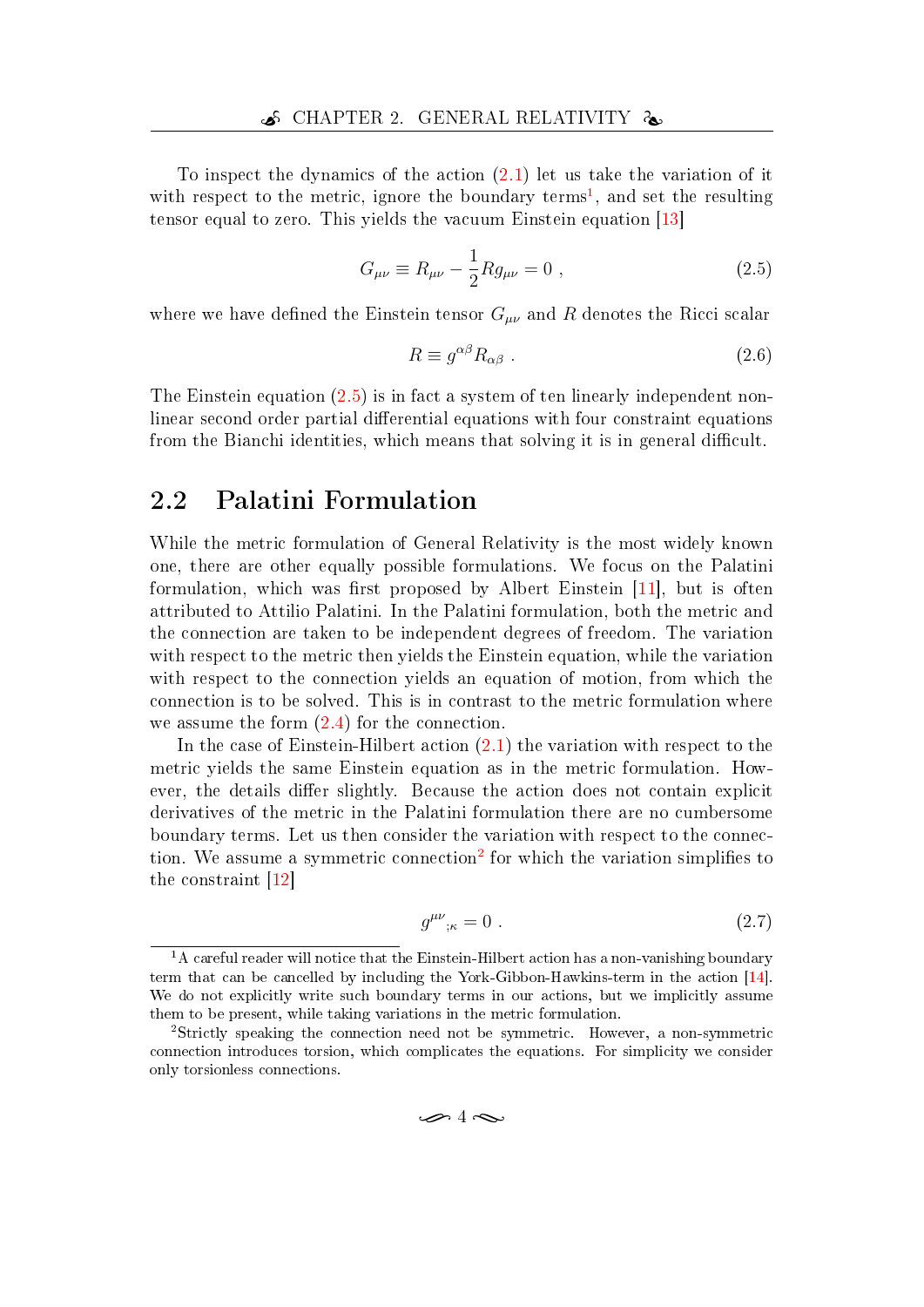To inspect the dynamics of the action [\(2.1\)](#page-12-2) let us take the variation of it with respect to the metric, ignore the boundary terms<sup>[1](#page-13-1)</sup>, and set the resulting tensor equal to zero. This yields the vacuum Einstein equation [\[13\]](#page-46-1)

$$
G_{\mu\nu} \equiv R_{\mu\nu} - \frac{1}{2} R g_{\mu\nu} = 0 , \qquad (2.5)
$$

where we have defined the Einstein tensor  $G_{\mu\nu}$  and R denotes the Ricci scalar

<span id="page-13-2"></span>
$$
R \equiv g^{\alpha\beta} R_{\alpha\beta} \tag{2.6}
$$

The Einstein equation [\(2.5\)](#page-13-2) is in fact a system of ten linearly independent nonlinear second order partial differential equations with four constraint equations from the Bianchi identities, which means that solving it is in general difficult.

### <span id="page-13-0"></span>2.2 Palatini Formulation

While the metric formulation of General Relativity is the most widely known one, there are other equally possible formulations. We focus on the Palatini formulation, which was first proposed by Albert Einstein  $[11]$ , but is often attributed to Attilio Palatini. In the Palatini formulation, both the metric and the connection are taken to be independent degrees of freedom. The variation with respect to the metric then yields the Einstein equation, while the variation with respect to the connection yields an equation of motion, from which the connection is to be solved. This is in contrast to the metric formulation where we assume the form [\(2.4\)](#page-12-3) for the connection.

In the case of Einstein-Hilbert action [\(2.1\)](#page-12-2) the variation with respect to the metric yields the same Einstein equation as in the metric formulation. However, the details differ slightly. Because the action does not contain explicit derivatives of the metric in the Palatini formulation there are no cumbersome boundary terms. Let us then consider the variation with respect to the connec-tion. We assume a symmetric connection<sup>[2](#page-13-3)</sup> for which the variation simplifies to the constraint [\[12\]](#page-46-0)

$$
g^{\mu\nu}{}_{;\kappa} = 0 \tag{2.7}
$$

<span id="page-13-1"></span> $<sup>1</sup>A$  careful reader will notice that the Einstein-Hilbert action has a non-vanishing boundary</sup> term that can be cancelled by including the York-Gibbon-Hawkins-term in the action [\[14\]](#page-46-2). We do not explicitly write such boundary terms in our actions, but we implicitly assume them to be present, while taking variations in the metric formulation.

<span id="page-13-3"></span><sup>2</sup>Strictly speaking the connection need not be symmetric. However, a non-symmetric connection introduces torsion, which complicates the equations. For simplicity we consider only torsionless connections.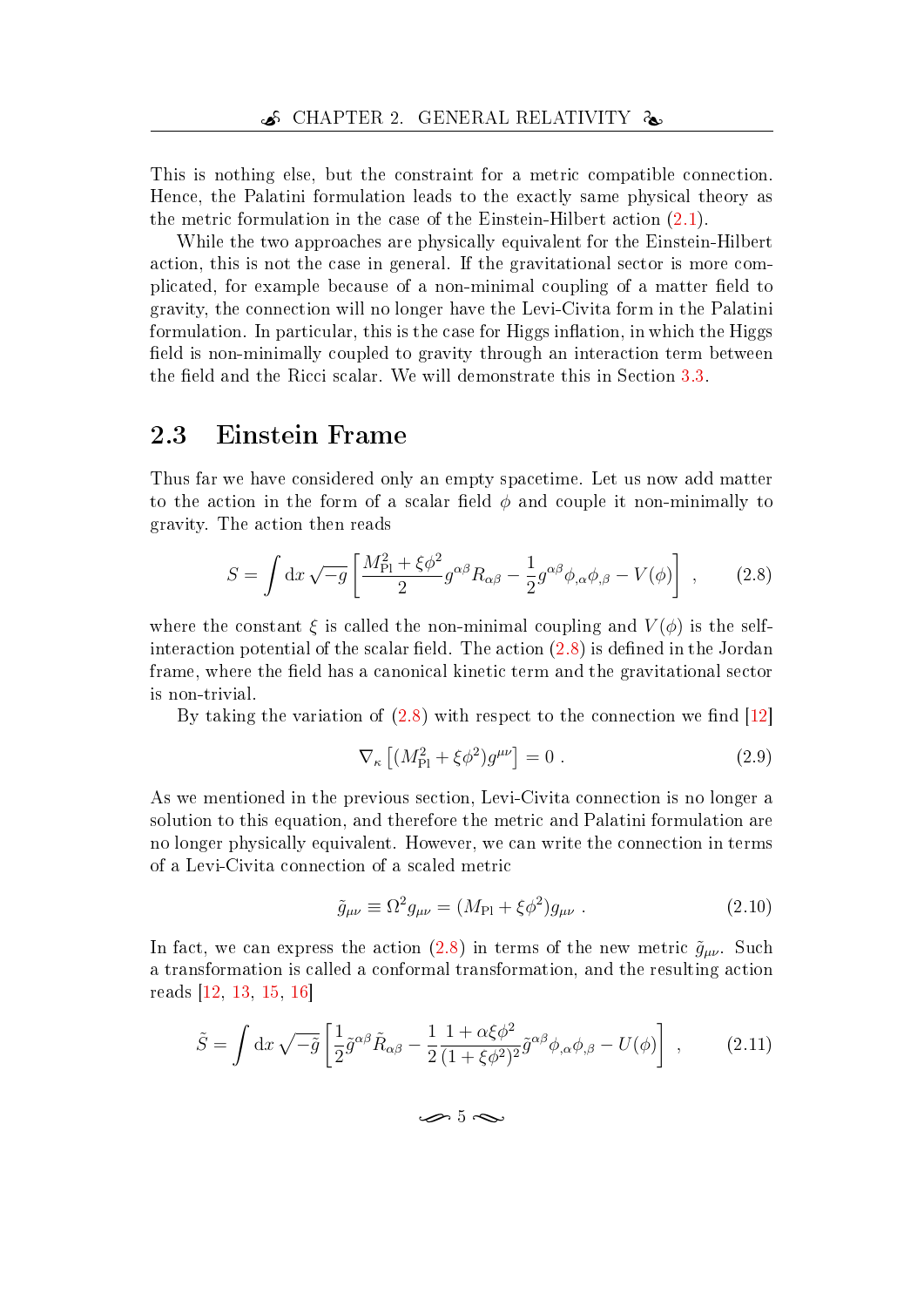This is nothing else, but the constraint for a metric compatible connection. Hence, the Palatini formulation leads to the exactly same physical theory as the metric formulation in the case of the Einstein-Hilbert action [\(2.1\)](#page-12-2).

While the two approaches are physically equivalent for the Einstein-Hilbert action, this is not the case in general. If the gravitational sector is more complicated, for example because of a non-minimal coupling of a matter field to gravity, the connection will no longer have the Levi-Civita form in the Palatini formulation. In particular, this is the case for Higgs inflation, in which the Higgs field is non-minimally coupled to gravity through an interaction term between the field and the Ricci scalar. We will demonstrate this in Section [3.3.](#page-21-0)

## <span id="page-14-0"></span>2.3 Einstein Frame

Thus far we have considered only an empty spacetime. Let us now add matter to the action in the form of a scalar field  $\phi$  and couple it non-minimally to gravity. The action then reads

$$
S = \int \mathrm{d}x \sqrt{-g} \left[ \frac{M_{\rm Pl}^2 + \xi \phi^2}{2} g^{\alpha \beta} R_{\alpha \beta} - \frac{1}{2} g^{\alpha \beta} \phi_{,\alpha} \phi_{,\beta} - V(\phi) \right] , \qquad (2.8)
$$

where the constant  $\xi$  is called the non-minimal coupling and  $V(\phi)$  is the selfinteraction potential of the scalar field. The action  $(2.8)$  is defined in the Jordan frame, where the field has a canonical kinetic term and the gravitational sector is non-trivial.

By taking the variation of  $(2.8)$  with respect to the connection we find  $[12]$ 

<span id="page-14-1"></span>
$$
\nabla_{\kappa} \left[ \left( M_{\text{Pl}}^2 + \xi \phi^2 \right) g^{\mu \nu} \right] = 0 \tag{2.9}
$$

As we mentioned in the previous section, Levi-Civita connection is no longer a solution to this equation, and therefore the metric and Palatini formulation are no longer physically equivalent. However, we can write the connection in terms of a Levi-Civita connection of a scaled metric

$$
\tilde{g}_{\mu\nu} \equiv \Omega^2 g_{\mu\nu} = (M_{\rm Pl} + \xi \phi^2) g_{\mu\nu} . \tag{2.10}
$$

In fact, we can express the action [\(2.8\)](#page-14-1) in terms of the new metric  $\tilde{g}_{\mu\nu}$ . Such a transformation is called a conformal transformation, and the resulting action reads [\[12,](#page-46-0) [13,](#page-46-1) [15,](#page-46-3) [16\]](#page-46-4)

$$
\tilde{S} = \int \mathrm{d}x \sqrt{-\tilde{g}} \left[ \frac{1}{2} \tilde{g}^{\alpha\beta} \tilde{R}_{\alpha\beta} - \frac{1}{2} \frac{1 + \alpha \xi \phi^2}{(1 + \xi \phi^2)^2} \tilde{g}^{\alpha\beta} \phi_{,\alpha} \phi_{,\beta} - U(\phi) \right] , \qquad (2.11)
$$

<span id="page-14-2"></span> $\sim$  5  $\sim$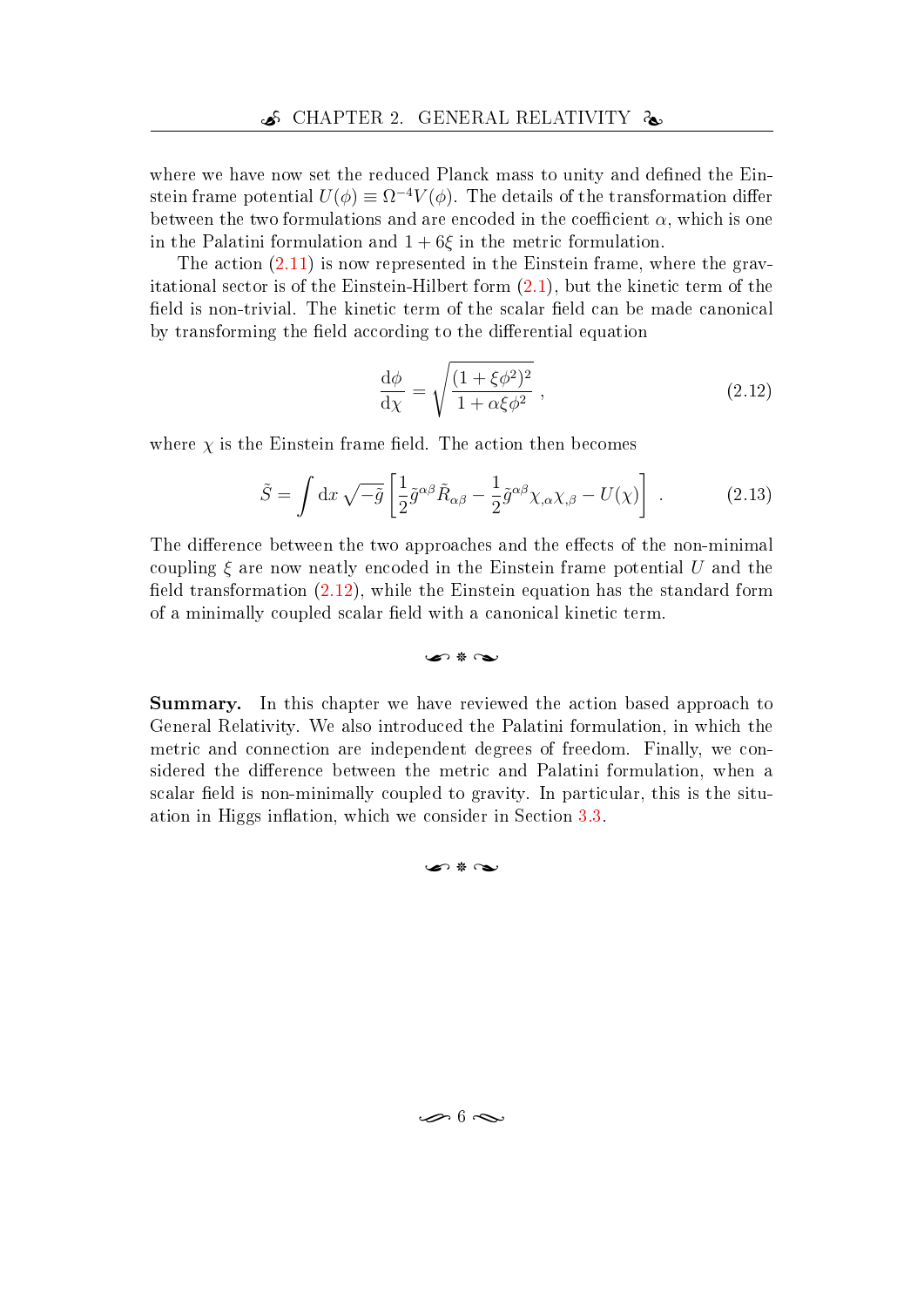where we have now set the reduced Planck mass to unity and defined the Einstein frame potential  $U(\phi) \equiv \Omega^{-4} V(\phi)$ . The details of the transformation differ between the two formulations and are encoded in the coefficient  $\alpha$ , which is one in the Palatini formulation and  $1+6\xi$  in the metric formulation.

The action  $(2.11)$  is now represented in the Einstein frame, where the gravitational sector is of the Einstein-Hilbert form [\(2.1\)](#page-12-2), but the kinetic term of the field is non-trivial. The kinetic term of the scalar field can be made canonical by transforming the field according to the differential equation

<span id="page-15-0"></span>
$$
\frac{\mathrm{d}\phi}{\mathrm{d}\chi} = \sqrt{\frac{(1+\xi\phi^2)^2}{1+\alpha\xi\phi^2}}\,,\tag{2.12}
$$

where  $\chi$  is the Einstein frame field. The action then becomes

$$
\tilde{S} = \int \mathrm{d}x \sqrt{-\tilde{g}} \left[ \frac{1}{2} \tilde{g}^{\alpha\beta} \tilde{R}_{\alpha\beta} - \frac{1}{2} \tilde{g}^{\alpha\beta} \chi_{,\alpha} \chi_{,\beta} - U(\chi) \right] \,. \tag{2.13}
$$

The difference between the two approaches and the effects of the non-minimal coupling  $\xi$  are now neatly encoded in the Einstein frame potential U and the field transformation  $(2.12)$ , while the Einstein equation has the standard form of a minimally coupled scalar field with a canonical kinetic term.

 $\bullet$   $\ast$   $\bullet$ 

Summary. In this chapter we have reviewed the action based approach to General Relativity. We also introduced the Palatini formulation, in which the metric and connection are independent degrees of freedom. Finally, we considered the difference between the metric and Palatini formulation, when a scalar field is non-minimally coupled to gravity. In particular, this is the situ-ation in Higgs inflation, which we consider in Section [3.3.](#page-21-0)

#### $\Omega * \Omega$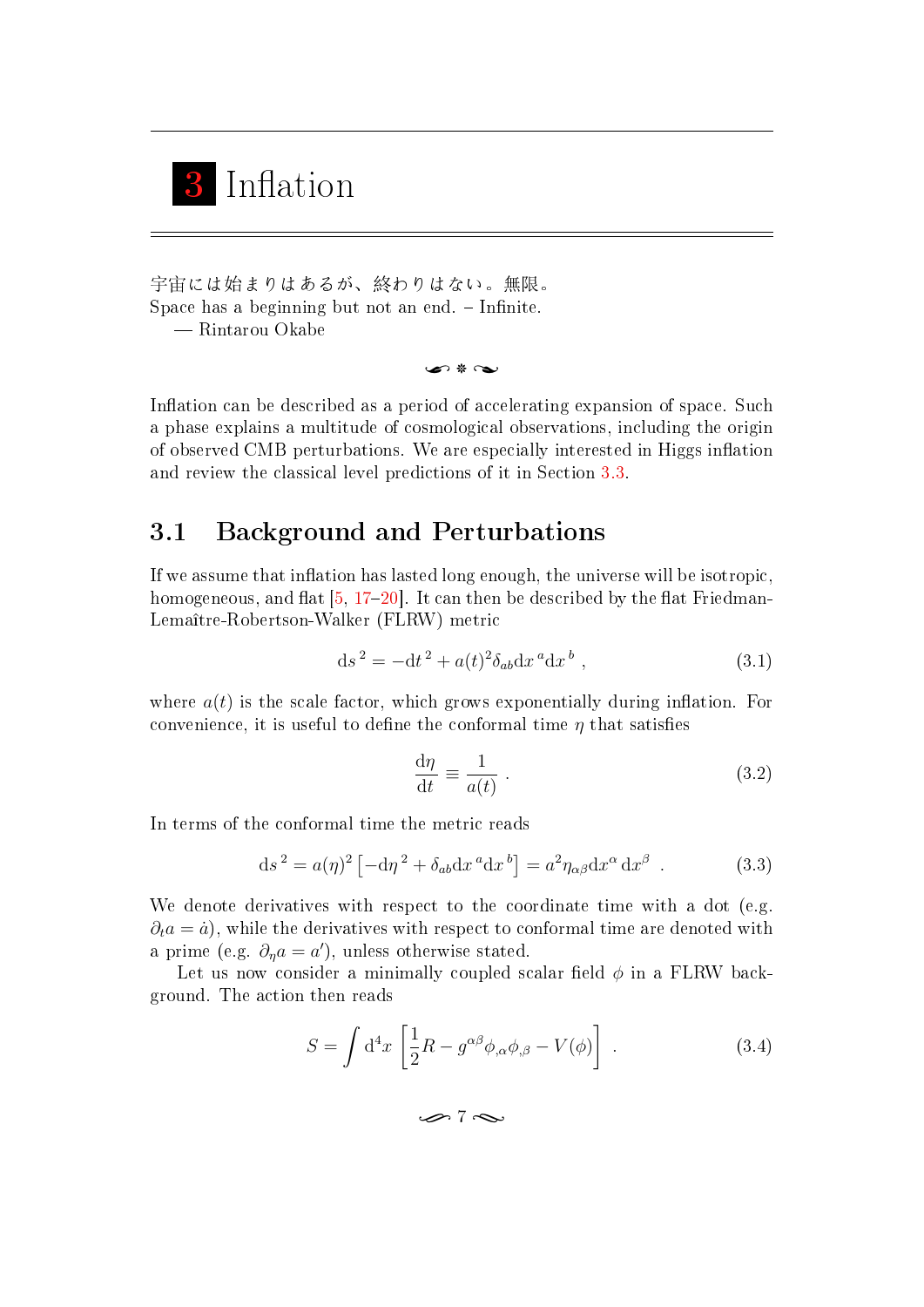<span id="page-16-0"></span>

宇宙には始まりはあるが、終わりはない。無限。 Space has a beginning but not an end.  $\overline{\phantom{a}}$  - Infinite. Rintarou Okabe

n \* G

Inflation can be described as a period of accelerating expansion of space. Such a phase explains a multitude of cosmological observations, including the origin of observed CMB perturbations. We are especially interested in Higgs inflation and review the classical level predictions of it in Section [3.3.](#page-21-0)

## <span id="page-16-1"></span>3.1 Background and Perturbations

If we assume that inflation has lasted long enough, the universe will be isotropic, homogeneous, and flat  $[5, 17-20]$  $[5, 17-20]$  $[5, 17-20]$  $[5, 17-20]$  $[5, 17-20]$ . It can then be described by the flat Friedman-Lemaître-Robertson-Walker (FLRW) metric

$$
ds^{2} = -dt^{2} + a(t)^{2} \delta_{ab} dx^{a} dx^{b} , \qquad (3.1)
$$

where  $a(t)$  is the scale factor, which grows exponentially during inflation. For convenience, it is useful to define the conformal time  $\eta$  that satisfies

$$
\frac{\mathrm{d}\eta}{\mathrm{d}t} \equiv \frac{1}{a(t)} \ . \tag{3.2}
$$

In terms of the conformal time the metric reads

$$
ds^{2} = a(\eta)^{2} \left[ -d\eta^{2} + \delta_{ab} dx^{a} dx^{b} \right] = a^{2} \eta_{\alpha\beta} dx^{\alpha} dx^{\beta} . \qquad (3.3)
$$

We denote derivatives with respect to the coordinate time with a dot (e.g.  $\partial_t a = \dot{a}$ , while the derivatives with respect to conformal time are denoted with a prime (e.g.  $\partial_{\eta}a = a'$ ), unless otherwise stated.

Let us now consider a minimally coupled scalar field  $\phi$  in a FLRW background. The action then reads

$$
S = \int d^4x \left[ \frac{1}{2} R - g^{\alpha\beta} \phi_{,\alpha} \phi_{,\beta} - V(\phi) \right] . \tag{3.4}
$$

 $\sim$  7  $\sim$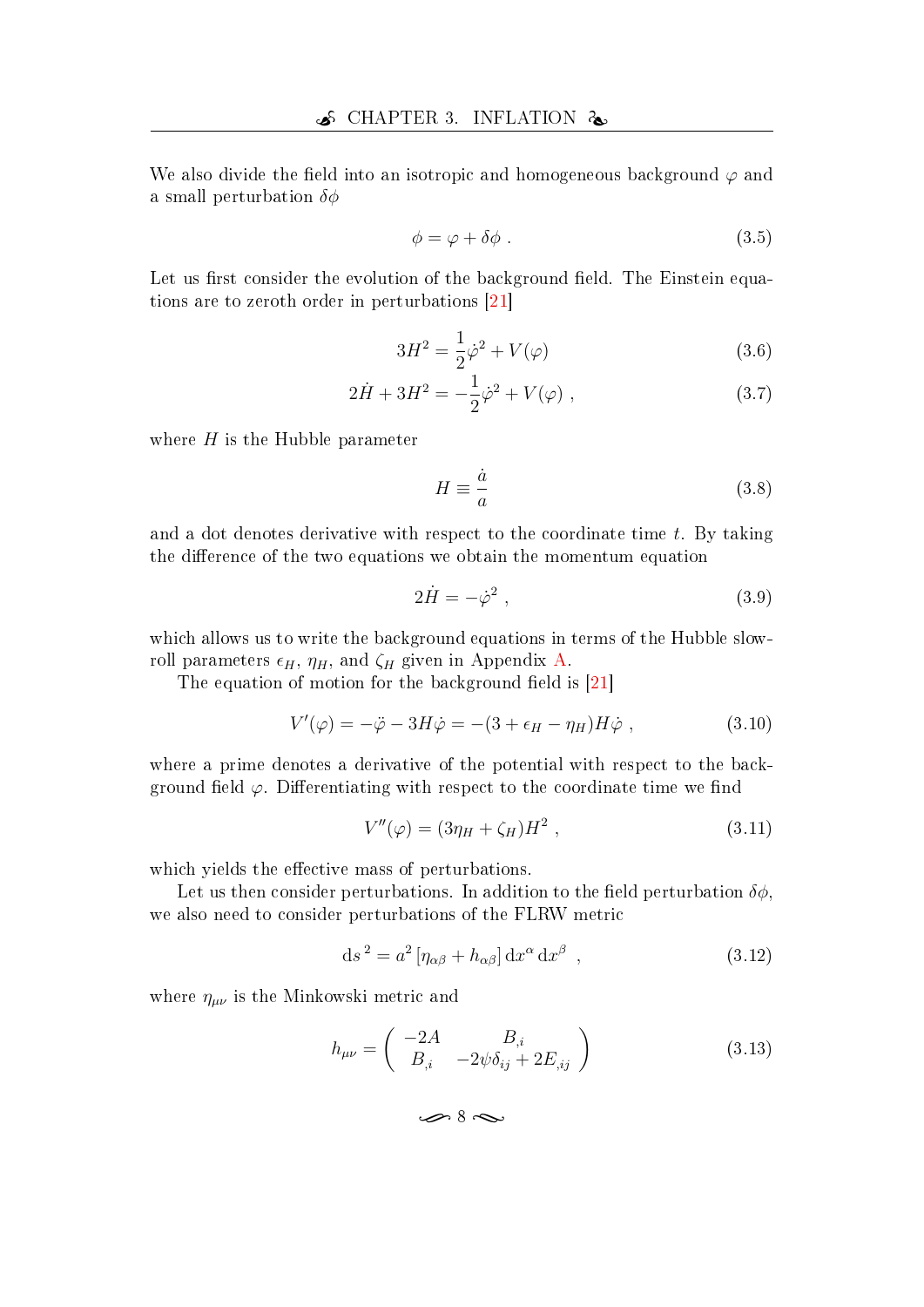We also divide the field into an isotropic and homogeneous background  $\varphi$  and a small perturbation  $\delta\phi$ 

$$
\phi = \varphi + \delta\phi \tag{3.5}
$$

Let us first consider the evolution of the background field. The Einstein equations are to zeroth order in perturbations [\[21\]](#page-46-7)

$$
3H^2 = \frac{1}{2}\dot{\varphi}^2 + V(\varphi)
$$
 (3.6)

$$
2\dot{H} + 3H^2 = -\frac{1}{2}\dot{\varphi}^2 + V(\varphi) , \qquad (3.7)
$$

where  $H$  is the Hubble parameter

$$
H \equiv \frac{\dot{a}}{a} \tag{3.8}
$$

and a dot denotes derivative with respect to the coordinate time  $t$ . By taking the difference of the two equations we obtain the momentum equation

$$
2\dot{H} = -\dot{\varphi}^2 \,,\tag{3.9}
$$

which allows us to write the background equations in terms of the Hubble slowroll parameters  $\epsilon_H$ ,  $\eta_H$ , and  $\zeta_H$  given in Appendix [A.](#page-49-0)

The equation of motion for the background field is  $[21]$ 

$$
V'(\varphi) = -\ddot{\varphi} - 3H\dot{\varphi} = -(3 + \epsilon_H - \eta_H)H\dot{\varphi} , \qquad (3.10)
$$

where a prime denotes a derivative of the potential with respect to the background field  $\varphi$ . Differentiating with respect to the coordinate time we find

<span id="page-17-0"></span>
$$
V''(\varphi) = (3\eta_H + \zeta_H)H^2 \,, \tag{3.11}
$$

which yields the effective mass of perturbations.

Let us then consider perturbations. In addition to the field perturbation  $\delta\phi$ . we also need to consider perturbations of the FLRW metric

$$
ds^{2} = a^{2} \left[ \eta_{\alpha\beta} + h_{\alpha\beta} \right] dx^{\alpha} dx^{\beta} , \qquad (3.12)
$$

where  $\eta_{\mu\nu}$  is the Minkowski metric and

$$
h_{\mu\nu} = \begin{pmatrix} -2A & B_{,i} \\ B_{,i} & -2\psi\delta_{ij} + 2E_{,ij} \end{pmatrix}
$$
 (3.13)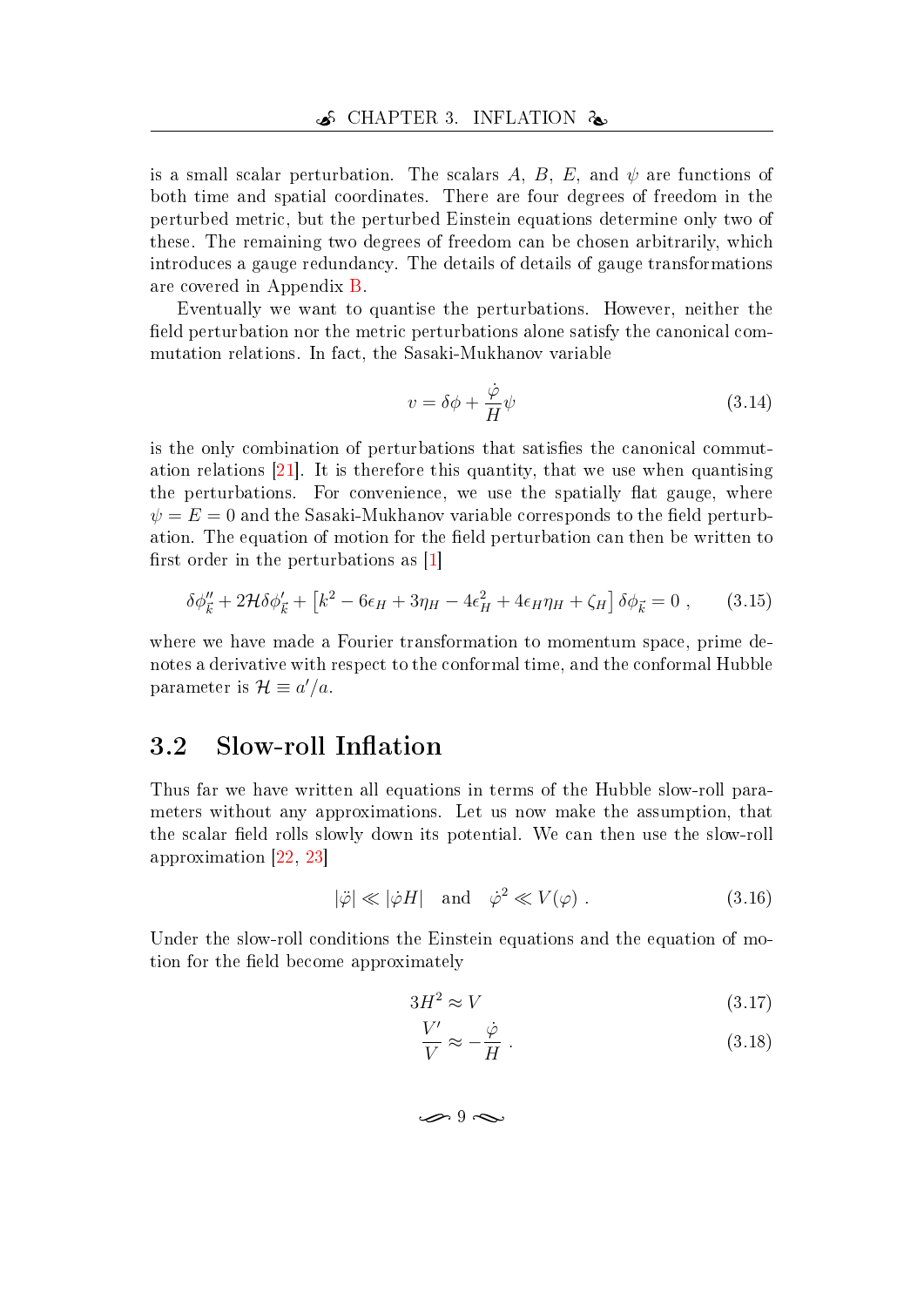is a small scalar perturbation. The scalars A, B, E, and  $\psi$  are functions of both time and spatial coordinates. There are four degrees of freedom in the perturbed metric, but the perturbed Einstein equations determine only two of these. The remaining two degrees of freedom can be chosen arbitrarily, which introduces a gauge redundancy. The details of details of gauge transformations are covered in Appendix [B.](#page-51-0)

Eventually we want to quantise the perturbations. However, neither the field perturbation nor the metric perturbations alone satisfy the canonical commutation relations. In fact, the Sasaki-Mukhanov variable

<span id="page-18-2"></span>
$$
v = \delta\phi + \frac{\dot{\varphi}}{H}\psi\tag{3.14}
$$

is the only combination of perturbations that satisfies the canonical commutation relations [\[21\]](#page-46-7). It is therefore this quantity, that we use when quantising the perturbations. For convenience, we use the spatially flat gauge, where  $\psi = E = 0$  and the Sasaki-Mukhanov variable corresponds to the field perturbation. The equation of motion for the field perturbation can then be written to first order in the perturbations as  $[1]$ 

$$
\delta\phi_{\vec{k}}'' + 2\mathcal{H}\delta\phi_{\vec{k}}' + \left[k^2 - 6\epsilon_H + 3\eta_H - 4\epsilon_H^2 + 4\epsilon_H\eta_H + \zeta_H\right]\delta\phi_{\vec{k}} = 0 \,, \qquad (3.15)
$$

where we have made a Fourier transformation to momentum space, prime denotes a derivative with respect to the conformal time, and the conformal Hubble parameter is  $\mathcal{H} \equiv a'/a$ .

## <span id="page-18-0"></span>3.2 Slow-roll Inflation

Thus far we have written all equations in terms of the Hubble slow-roll parameters without any approximations. Let us now make the assumption, that the scalar field rolls slowly down its potential. We can then use the slow-roll approximation [\[22,](#page-46-8) [23\]](#page-47-0)

$$
|\ddot{\varphi}| \ll |\dot{\varphi}H| \quad \text{and} \quad \dot{\varphi}^2 \ll V(\varphi) \tag{3.16}
$$

Under the slow-roll conditions the Einstein equations and the equation of motion for the field become approximately

$$
3H^2 \approx V \tag{3.17}
$$

<span id="page-18-1"></span>
$$
\frac{V'}{V} \approx -\frac{\dot{\varphi}}{H} \ . \tag{3.18}
$$

 $\sim 9$  form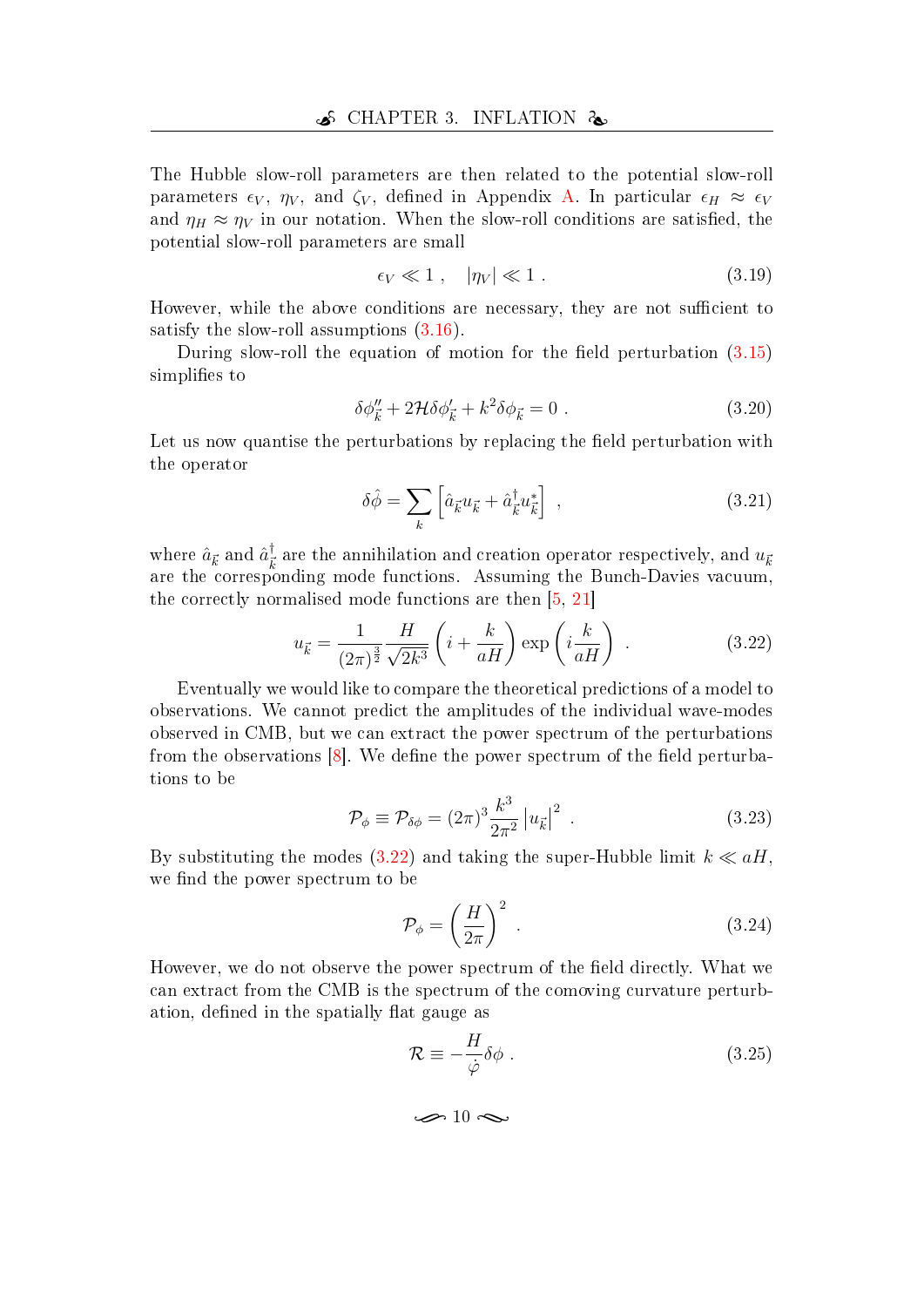The Hubble slow-roll parameters are then related to the potential slow-roll parameters  $\epsilon_V$ ,  $\eta_V$ , and  $\zeta_V$ , defined in Appendix [A.](#page-49-0) In particular  $\epsilon_H \approx \epsilon_V$ and  $\eta_H \approx \eta_V$  in our notation. When the slow-roll conditions are satisfied, the potential slow-roll parameters are small

$$
\epsilon_V \ll 1 \;, \quad |\eta_V| \ll 1 \;. \tag{3.19}
$$

However, while the above conditions are necessary, they are not sufficient to satisfy the slow-roll assumptions [\(3.16\)](#page-18-1).

During slow-roll the equation of motion for the field perturbation  $(3.15)$ simplifies to

$$
\delta\phi_{\vec{k}}'' + 2\mathcal{H}\delta\phi_{\vec{k}}' + k^2\delta\phi_{\vec{k}} = 0.
$$
 (3.20)

Let us now quantise the perturbations by replacing the field perturbation with the operator

<span id="page-19-0"></span>
$$
\delta\hat{\phi} = \sum_{k} \left[ \hat{a}_{\vec{k}} u_{\vec{k}} + \hat{a}_{\vec{k}}^{\dagger} u_{\vec{k}}^* \right] , \qquad (3.21)
$$

where  $\hat{a}_{\vec{k}}$  and  $\hat{a}_{\vec{k}}^{\dagger}$  $\frac{1}{k}$  are the annihilation and creation operator respectively, and  $u_{\vec{k}}$ are the corresponding mode functions. Assuming the Bunch-Davies vacuum, the correctly normalised mode functions are then [\[5,](#page-45-3) [21\]](#page-46-7)

$$
u_{\vec{k}} = \frac{1}{(2\pi)^{\frac{3}{2}}} \frac{H}{\sqrt{2k^3}} \left( i + \frac{k}{aH} \right) \exp\left( i \frac{k}{aH} \right) . \tag{3.22}
$$

Eventually we would like to compare the theoretical predictions of a model to observations. We cannot predict the amplitudes of the individual wave-modes observed in CMB, but we can extract the power spectrum of the perturbations from the observations  $[8]$ . We define the power spectrum of the field perturbations to be

$$
\mathcal{P}_{\phi} \equiv \mathcal{P}_{\delta\phi} = (2\pi)^3 \frac{k^3}{2\pi^2} \left| u_{\vec{k}} \right|^2 \tag{3.23}
$$

By substituting the modes [\(3.22\)](#page-19-0) and taking the super-Hubble limit  $k \ll aH$ , we find the power spectrum to be

$$
\mathcal{P}_{\phi} = \left(\frac{H}{2\pi}\right)^2 \tag{3.24}
$$

However, we do not observe the power spectrum of the field directly. What we can extract from the CMB is the spectrum of the comoving curvature perturbation, defined in the spatially flat gauge as

$$
\mathcal{R} \equiv -\frac{H}{\dot{\varphi}} \delta \phi \; . \tag{3.25}
$$

$$
\textcolor{blue}{\textbf{8} \text{--} 10} \textcolor{red}{\textbf{8} \text{--} 10}
$$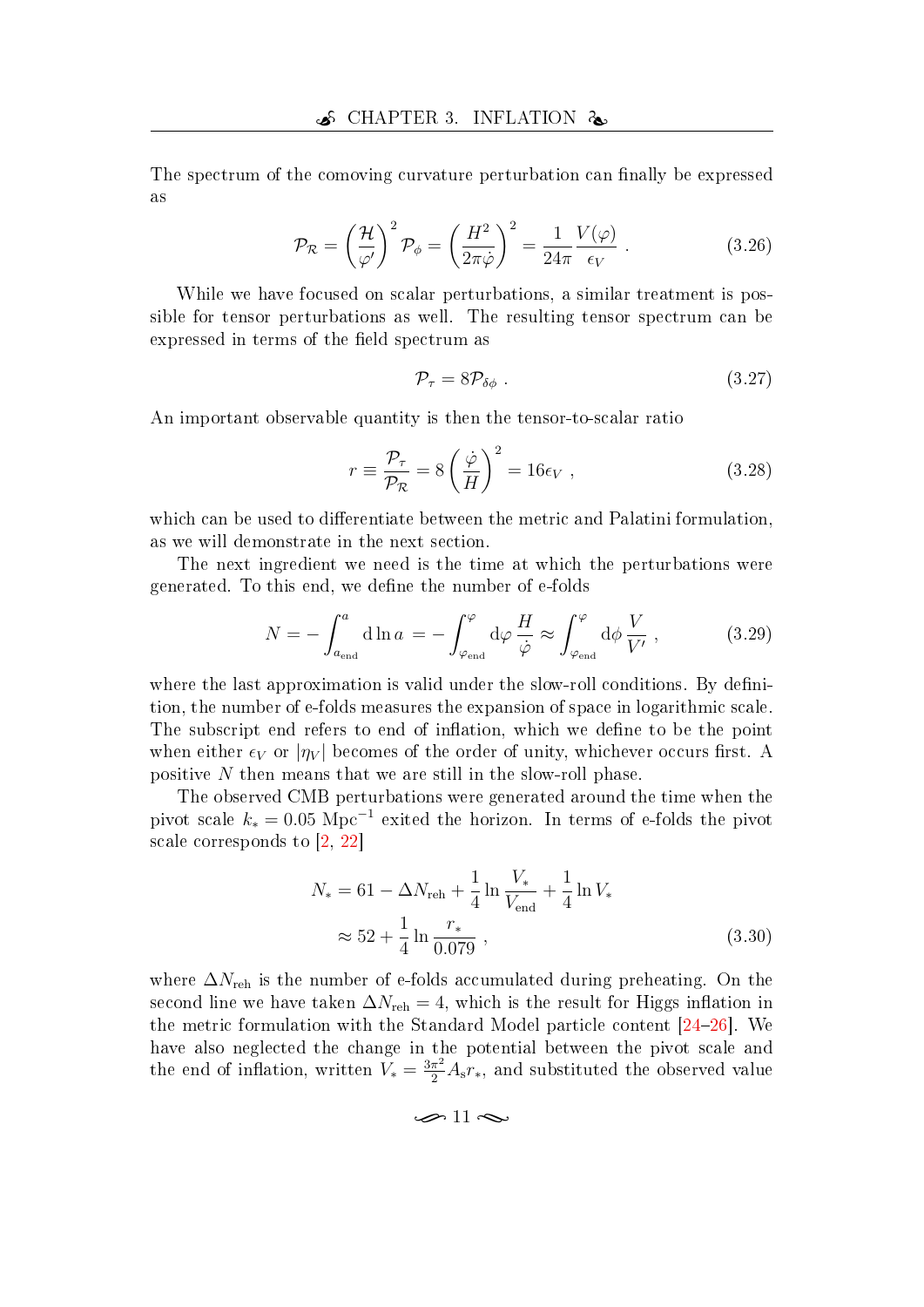The spectrum of the comoving curvature perturbation can finally be expressed as

$$
\mathcal{P}_{\mathcal{R}} = \left(\frac{\mathcal{H}}{\varphi'}\right)^2 \mathcal{P}_{\phi} = \left(\frac{H^2}{2\pi\dot{\varphi}}\right)^2 = \frac{1}{24\pi} \frac{V(\varphi)}{\epsilon_V} . \tag{3.26}
$$

While we have focused on scalar perturbations, a similar treatment is possible for tensor perturbations as well. The resulting tensor spectrum can be expressed in terms of the field spectrum as

<span id="page-20-0"></span>
$$
\mathcal{P}_{\tau} = 8\mathcal{P}_{\delta\phi} \tag{3.27}
$$

An important observable quantity is then the tensor-to-scalar ratio

$$
r \equiv \frac{\mathcal{P}_{\tau}}{\mathcal{P}_{\mathcal{R}}} = 8 \left( \frac{\dot{\varphi}}{H} \right)^2 = 16 \epsilon_V , \qquad (3.28)
$$

which can be used to differentiate between the metric and Palatini formulation, as we will demonstrate in the next section.

The next ingredient we need is the time at which the perturbations were generated. To this end, we define the number of e-folds

$$
N = -\int_{a_{\text{end}}}^{a} d\ln a = -\int_{\varphi_{\text{end}}}^{\varphi} d\varphi \frac{H}{\dot{\varphi}} \approx \int_{\varphi_{\text{end}}}^{\varphi} d\phi \frac{V}{V'},
$$
(3.29)

where the last approximation is valid under the slow-roll conditions. By definition, the number of e-folds measures the expansion of space in logarithmic scale. The subscript end refers to end of inflation, which we define to be the point when either  $\epsilon_V$  or  $|\eta_V|$  becomes of the order of unity, whichever occurs first. A positive N then means that we are still in the slow-roll phase.

The observed CMB perturbations were generated around the time when the pivot scale  $k_* = 0.05 \text{ Mpc}^{-1}$  exited the horizon. In terms of e-folds the pivot scale corresponds to [\[2,](#page-45-10) [22\]](#page-46-8)

$$
N_{*} = 61 - \Delta N_{\text{reh}} + \frac{1}{4} \ln \frac{V_{*}}{V_{\text{end}}} + \frac{1}{4} \ln V_{*}
$$
  

$$
\approx 52 + \frac{1}{4} \ln \frac{r_{*}}{0.079},
$$
 (3.30)

where  $\Delta N_{\text{reh}}$  is the number of e-folds accumulated during preheating. On the second line we have taken  $\Delta N_{\text{reh}} = 4$ , which is the result for Higgs inflation in the metric formulation with the Standard Model particle content  $[24-26]$  $[24-26]$  $[24-26]$ . We have also neglected the change in the potential between the pivot scale and the end of inflation, written  $\bar{V}_* = \frac{3\pi^2}{2} A_s r_*$ , and substituted the observed value

<span id="page-20-1"></span> $\approx$  11  $\approx$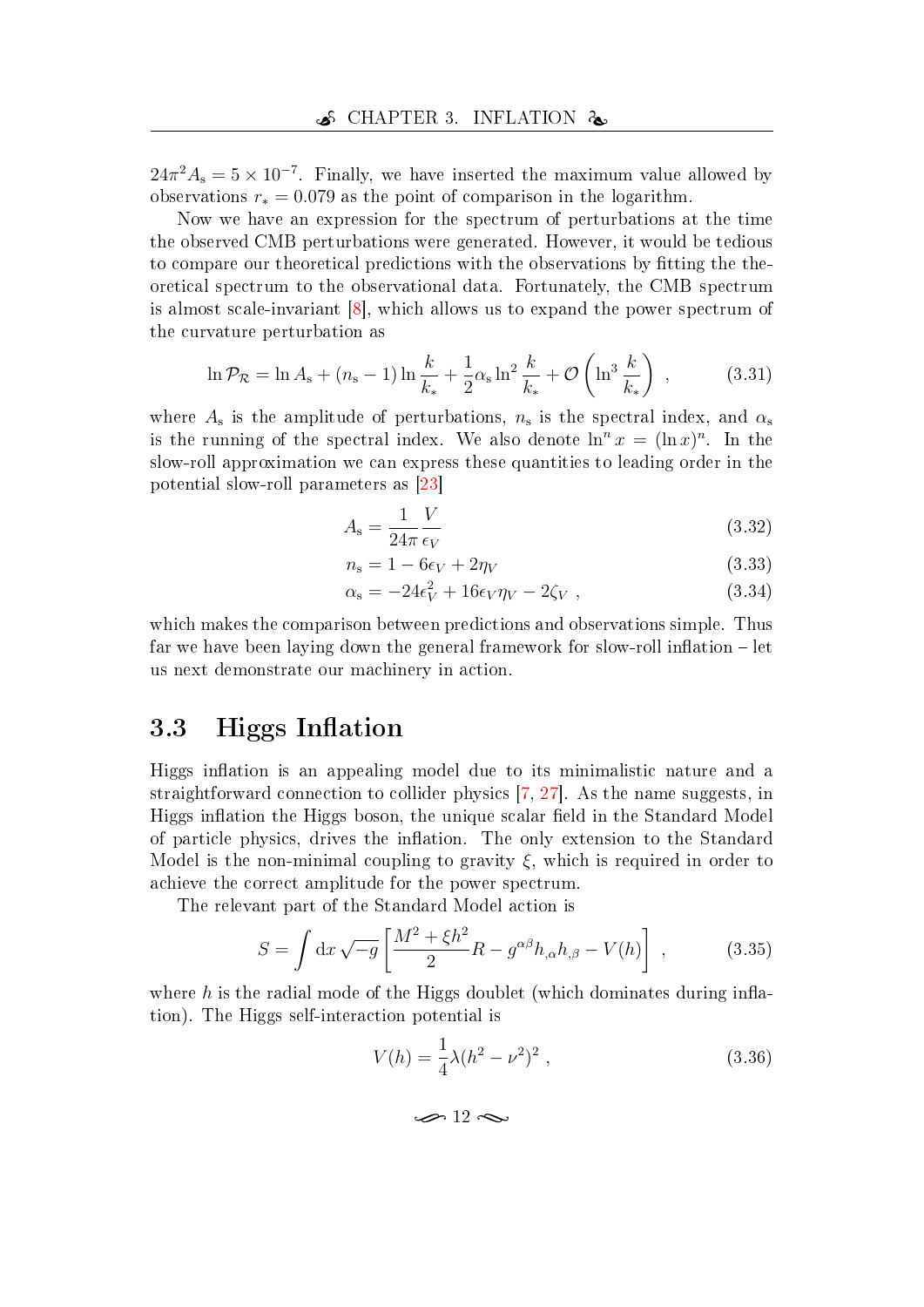$24\pi^2 A_s = 5 \times 10^{-7}$ . Finally, we have inserted the maximum value allowed by observations  $r_* = 0.079$  as the point of comparison in the logarithm.

Now we have an expression for the spectrum of perturbations at the time the observed CMB perturbations were generated. However, it would be tedious to compare our theoretical predictions with the observations by tting the theoretical spectrum to the observational data. Fortunately, the CMB spectrum is almost scale-invariant [\[8\]](#page-45-6), which allows us to expand the power spectrum of the curvature perturbation as

$$
\ln \mathcal{P}_{\mathcal{R}} = \ln A_{s} + (n_{s} - 1) \ln \frac{k}{k_{*}} + \frac{1}{2} \alpha_{s} \ln^{2} \frac{k}{k_{*}} + \mathcal{O}\left(\ln^{3} \frac{k}{k_{*}}\right) ,\qquad (3.31)
$$

where  $A_{\rm s}$  is the amplitude of perturbations,  $n_{\rm s}$  is the spectral index, and  $\alpha_{\rm s}$ is the running of the spectral index. We also denote  $\ln^n x = (\ln x)^n$ . In the slow-roll approximation we can express these quantities to leading order in the potential slow-roll parameters as [\[23\]](#page-47-0)

$$
A_{\rm s} = \frac{1}{24\pi} \frac{V}{\epsilon_V} \tag{3.32}
$$

$$
n_{\rm s} = 1 - 6\epsilon_V + 2\eta_V \tag{3.33}
$$

$$
\alpha_{\rm s} = -24\epsilon_V^2 + 16\epsilon_V \eta_V - 2\zeta_V \,,\tag{3.34}
$$

which makes the comparison between predictions and observations simple. Thus far we have been laying down the general framework for slow-roll inflation  $-\text{ let }$ us next demonstrate our machinery in action.

## <span id="page-21-0"></span>3.3 Higgs Inflation

Higgs inflation is an appealing model due to its minimalistic nature and a straightforward connection to collider physics [\[7,](#page-45-5) [27\]](#page-47-3). As the name suggests, in Higgs inflation the Higgs boson, the unique scalar field in the Standard Model of particle physics, drives the inflation. The only extension to the Standard Model is the non-minimal coupling to gravity  $\xi$ , which is required in order to achieve the correct amplitude for the power spectrum.

The relevant part of the Standard Model action is

$$
S = \int \mathrm{d}x \sqrt{-g} \left[ \frac{M^2 + \xi h^2}{2} R - g^{\alpha \beta} h_{,\alpha} h_{,\beta} - V(h) \right] , \qquad (3.35)
$$

where h is the radial mode of the Higgs doublet (which dominates during inflation). The Higgs self-interaction potential is

$$
V(h) = \frac{1}{4}\lambda (h^2 - \nu^2)^2 \,, \tag{3.36}
$$

 $\rightarrow$  12 $\sim$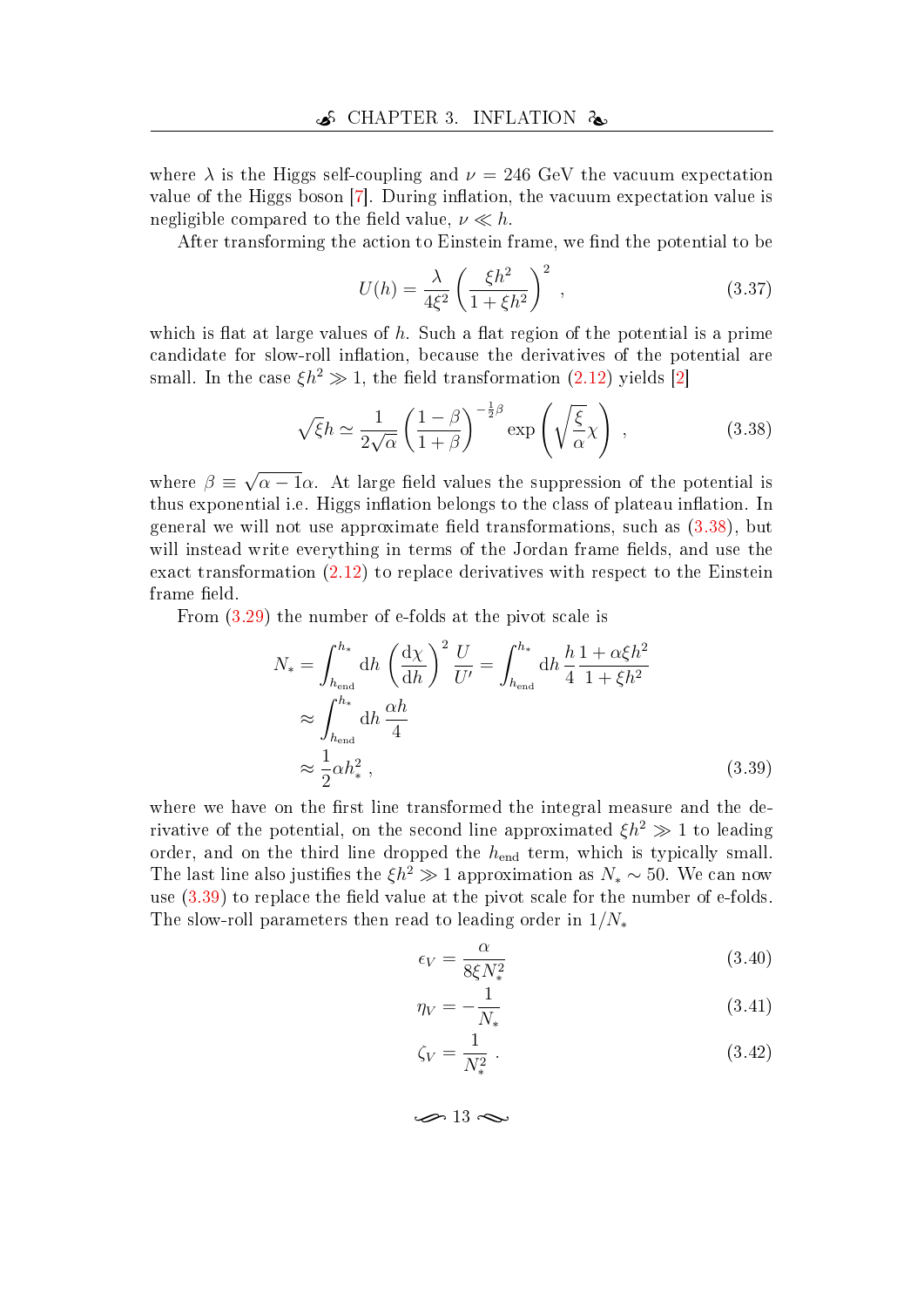where  $\lambda$  is the Higgs self-coupling and  $\nu = 246$  GeV the vacuum expectation value of the Higgs boson  $[7]$ . During inflation, the vacuum expectation value is negligible compared to the field value,  $\nu \ll h$ .

After transforming the action to Einstein frame, we find the potential to be

<span id="page-22-2"></span><span id="page-22-0"></span>
$$
U(h) = \frac{\lambda}{4\xi^2} \left(\frac{\xi h^2}{1 + \xi h^2}\right)^2 ,
$$
 (3.37)

which is flat at large values of  $h$ . Such a flat region of the potential is a prime candidate for slow-roll inflation, because the derivatives of the potential are small. In the case  $\xi h^2 \gg 1$ , the field transformation [\(2.12\)](#page-15-0) yields [\[2\]](#page-45-10)

$$
\sqrt{\xi}h \simeq \frac{1}{2\sqrt{\alpha}} \left(\frac{1-\beta}{1+\beta}\right)^{-\frac{1}{2}\beta} \exp\left(\sqrt{\frac{\xi}{\alpha}}\chi\right) ,\qquad (3.38)
$$

where  $\beta \equiv$ √  $\overline{\alpha - 1}\alpha$ . At large field values the suppression of the potential is thus exponential i.e. Higgs inflation belongs to the class of plateau inflation. In general we will not use approximate field transformations, such as  $(3.38)$ , but will instead write everything in terms of the Jordan frame fields, and use the exact transformation [\(2.12\)](#page-15-0) to replace derivatives with respect to the Einstein frame field.

From [\(3.29\)](#page-20-0) the number of e-folds at the pivot scale is

$$
N_{*} = \int_{h_{\text{end}}}^{h_{*}} dh \left(\frac{d\chi}{dh}\right)^{2} \frac{U}{U'} = \int_{h_{\text{end}}}^{h_{*}} dh \frac{h}{4} \frac{1 + \alpha \xi h^{2}}{1 + \xi h^{2}}
$$

$$
\approx \int_{h_{\text{end}}}^{h_{*}} dh \frac{\alpha h}{4}
$$

$$
\approx \frac{1}{2} \alpha h_{*}^{2}, \qquad (3.39)
$$

where we have on the first line transformed the integral measure and the derivative of the potential, on the second line approximated  $\xi h^2 \gg 1$  to leading order, and on the third line dropped the  $h_{end}$  term, which is typically small. The last line also justifies the  $\xi h^2 \gg 1$  approximation as  $N_* \sim 50$ . We can now use  $(3.39)$  to replace the field value at the pivot scale for the number of e-folds. The slow-roll parameters then read to leading order in  $1/N_*$ 

<span id="page-22-1"></span>
$$
\epsilon_V = \frac{\alpha}{8\xi N_*^2} \tag{3.40}
$$

$$
\eta_V = -\frac{1}{N_*} \tag{3.41}
$$

$$
\zeta_V = \frac{1}{N_*^2} \; . \tag{3.42}
$$

 $\sim$  13  $\sim$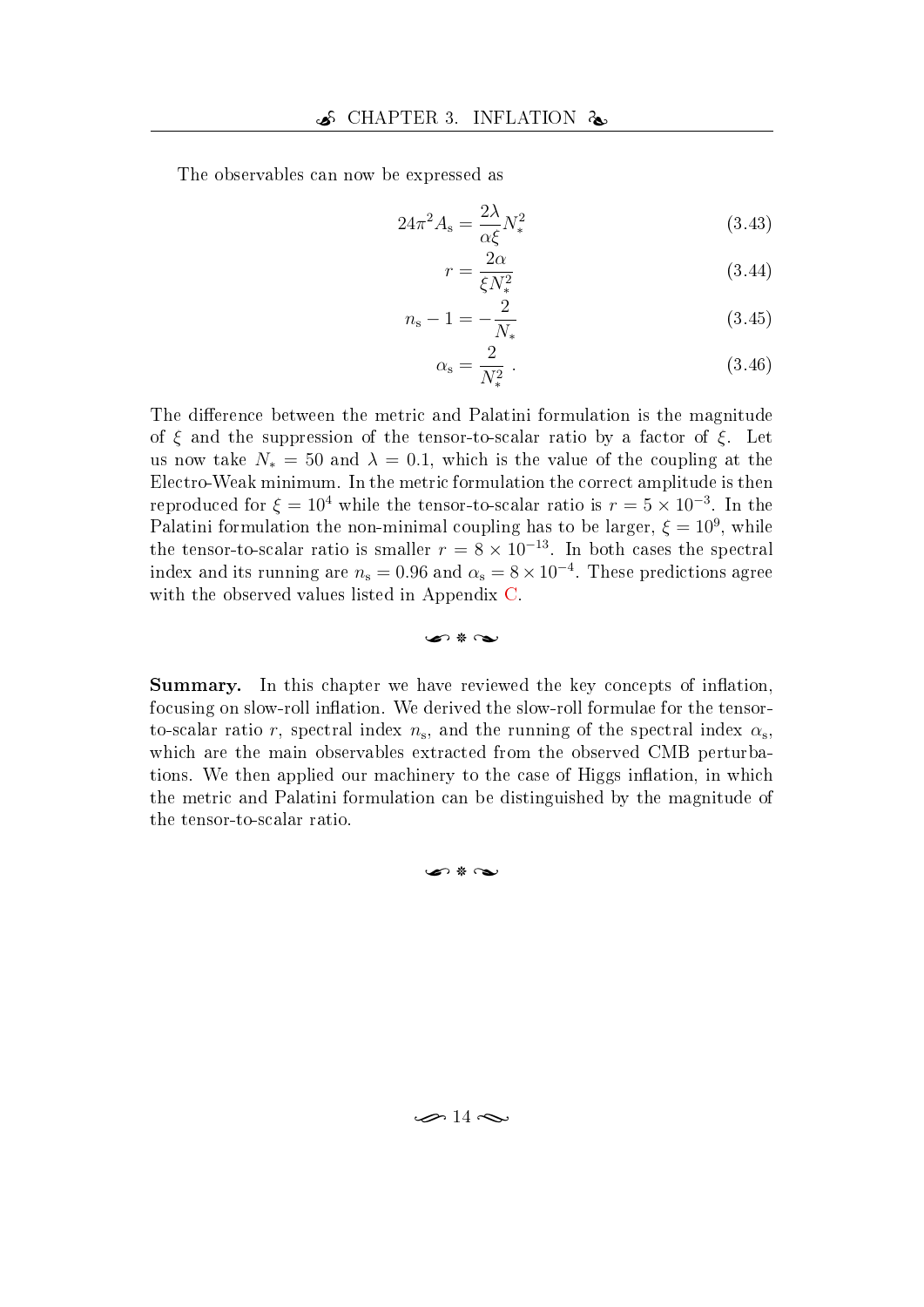The observables can now be expressed as

$$
24\pi^2 A_s = \frac{2\lambda}{\alpha \xi} N_*^2 \tag{3.43}
$$

<span id="page-23-1"></span><span id="page-23-0"></span>
$$
r = \frac{2\alpha}{\xi N_*^2} \tag{3.44}
$$

$$
n_{\rm s} - 1 = -\frac{2}{N_*} \tag{3.45}
$$

$$
\alpha_{\rm s} = \frac{2}{N_*^2} \tag{3.46}
$$

The difference between the metric and Palatini formulation is the magnitude of  $\xi$  and the suppression of the tensor-to-scalar ratio by a factor of  $\xi$ . Let us now take  $N_* = 50$  and  $\lambda = 0.1$ , which is the value of the coupling at the Electro-Weak minimum. In the metric formulation the correct amplitude is then reproduced for  $\xi = 10^4$  while the tensor-to-scalar ratio is  $r = 5 \times 10^{-3}$ . In the Palatini formulation the non-minimal coupling has to be larger,  $\xi = 10^9$ , while the tensor-to-scalar ratio is smaller  $r = 8 \times 10^{-13}$ . In both cases the spectral index and its running are  $n_{\rm s}=0.96$  and  $\alpha_{\rm s}=8\times 10^{-4}.$  These predictions agree with the observed values listed in Appendix [C.](#page-53-0)

#### Summary. In this chapter we have reviewed the key concepts of inflation, focusing on slow-roll inflation. We derived the slow-roll formulae for the tensorto-scalar ratio r, spectral index  $n_{\rm s}$ , and the running of the spectral index  $\alpha_{\rm s}$ , which are the main observables extracted from the observed CMB perturbations. We then applied our machinery to the case of Higgs inflation, in which the metric and Palatini formulation can be distinguished by the magnitude of the tensor-to-scalar ratio.

u 8 U

#### $\epsilon$   $\ast$   $\infty$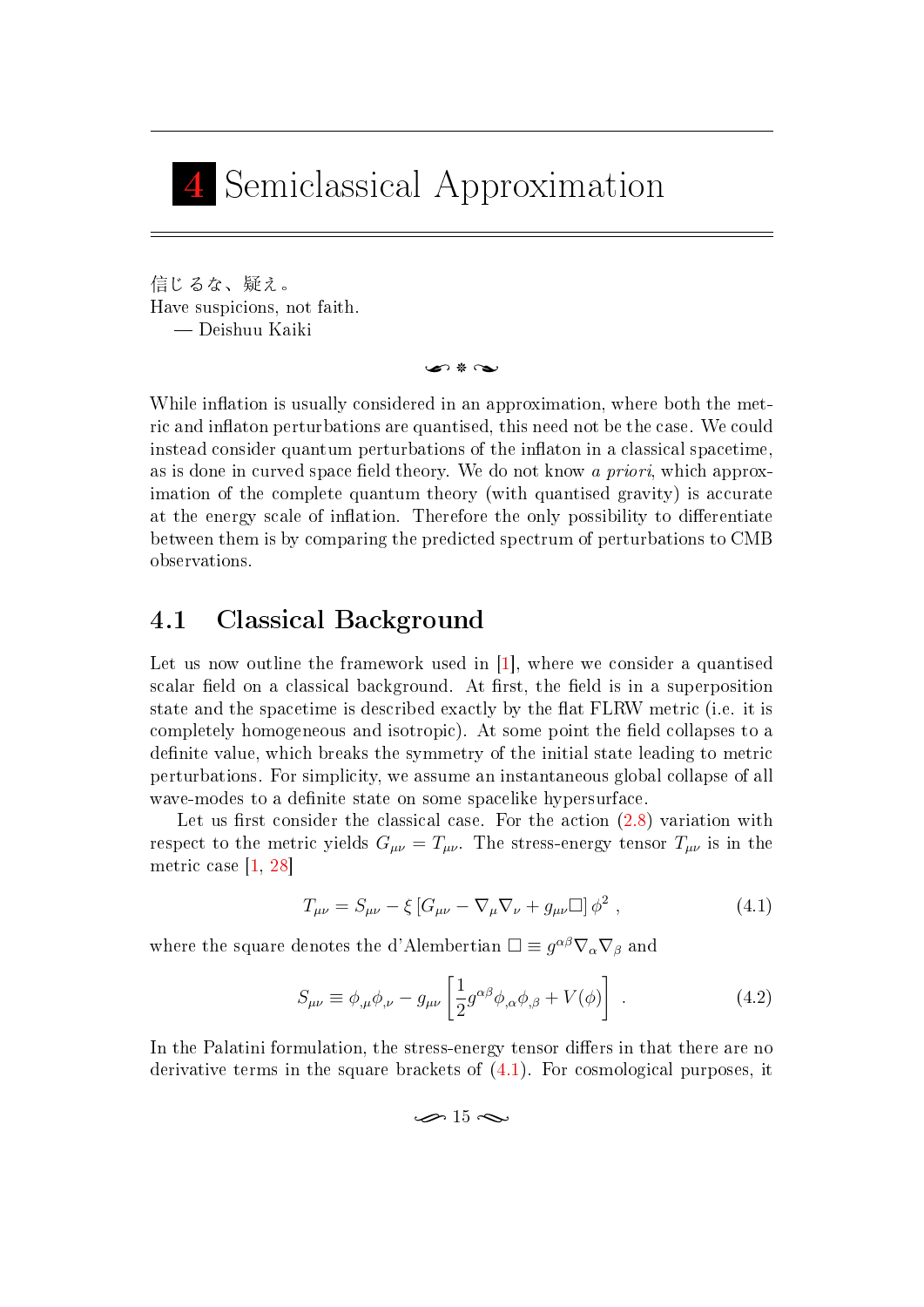## <span id="page-24-0"></span>4 Semiclassical Approximation

信じるな、疑え。 Have suspicions, not faith. Deishuu Kaiki

 $\sim$  8  $\sim$ 

While inflation is usually considered in an approximation, where both the metric and inflaton perturbations are quantised, this need not be the case. We could instead consider quantum perturbations of the inflaton in a classical spacetime, as is done in curved space field theory. We do not know a priori, which approximation of the complete quantum theory (with quantised gravity) is accurate at the energy scale of inflation. Therefore the only possibility to differentiate between them is by comparing the predicted spectrum of perturbations to CMB observations.

## <span id="page-24-1"></span>4.1 Classical Background

Let us now outline the framework used in [\[1\]](#page-45-0), where we consider a quantised scalar field on a classical background. At first, the field is in a superposition state and the spacetime is described exactly by the at FLRW metric (i.e. it is completely homogeneous and isotropic). At some point the field collapses to a definite value, which breaks the symmetry of the initial state leading to metric perturbations. For simplicity, we assume an instantaneous global collapse of all wave-modes to a definite state on some spacelike hypersurface.

Let us first consider the classical case. For the action  $(2.8)$  variation with respect to the metric yields  $G_{\mu\nu} = T_{\mu\nu}$ . The stress-energy tensor  $T_{\mu\nu}$  is in the metric case [\[1,](#page-45-0) [28\]](#page-47-4)

$$
T_{\mu\nu} = S_{\mu\nu} - \xi \left[ G_{\mu\nu} - \nabla_{\mu} \nabla_{\nu} + g_{\mu\nu} \Box \right] \phi^2 \,, \tag{4.1}
$$

where the square denotes the d'Alembertian  $\square \equiv g^{\alpha\beta}\nabla_\alpha\nabla_\beta$  and

$$
S_{\mu\nu} \equiv \phi_{,\mu}\phi_{,\nu} - g_{\mu\nu} \left[ \frac{1}{2} g^{\alpha\beta} \phi_{,\alpha} \phi_{,\beta} + V(\phi) \right] . \tag{4.2}
$$

In the Palatini formulation, the stress-energy tensor differs in that there are no derivative terms in the square brackets of [\(4.1\)](#page-24-2). For cosmological purposes, it

<span id="page-24-2"></span> $\infty$  15  $\infty$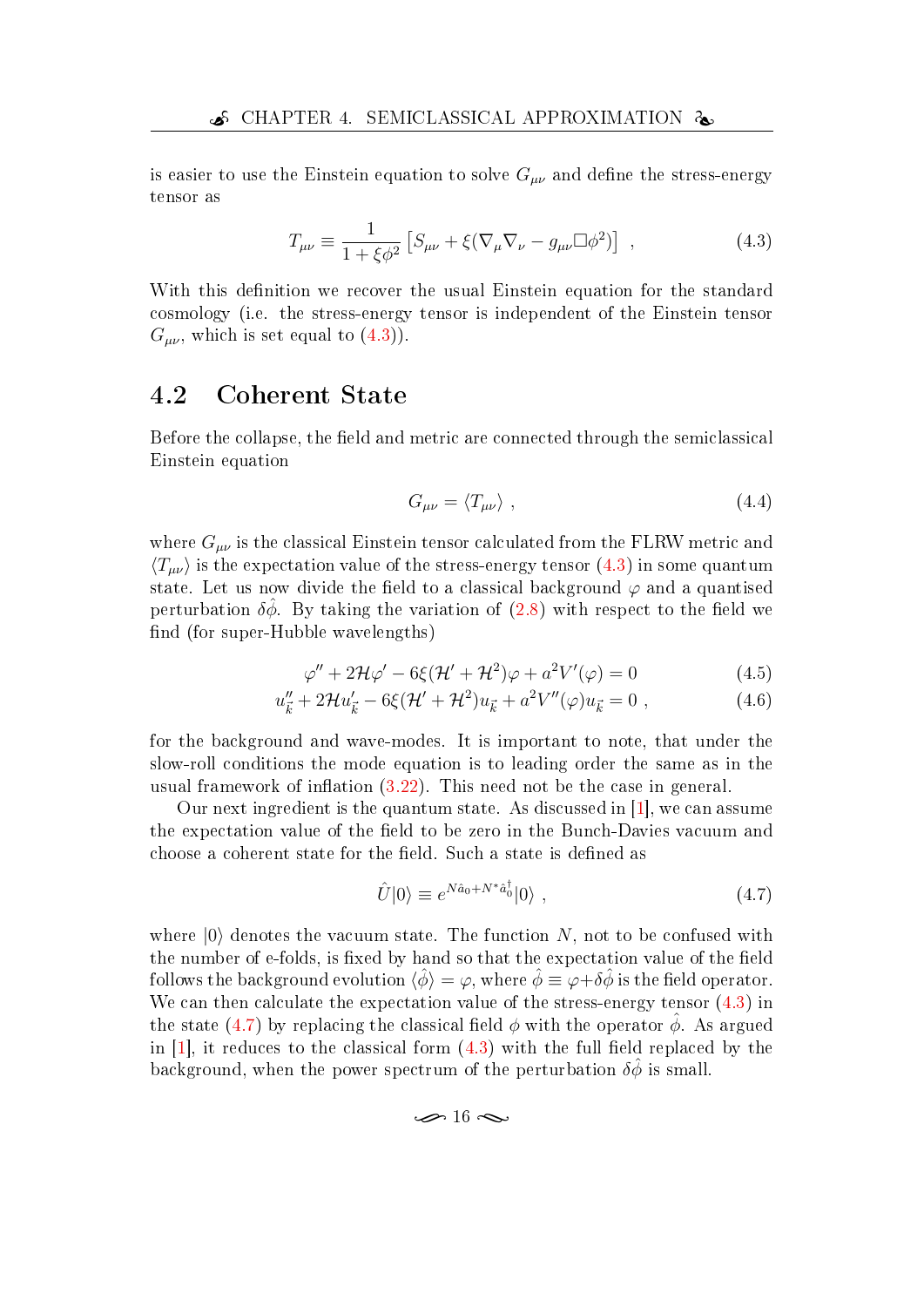is easier to use the Einstein equation to solve  $G_{\mu\nu}$  and define the stress-energy tensor as

$$
T_{\mu\nu} \equiv \frac{1}{1 + \xi \phi^2} \left[ S_{\mu\nu} + \xi (\nabla_{\mu} \nabla_{\nu} - g_{\mu\nu} \square \phi^2) \right] , \qquad (4.3)
$$

With this definition we recover the usual Einstein equation for the standard cosmology (i.e. the stress-energy tensor is independent of the Einstein tensor  $G_{\mu\nu}$ , which is set equal to  $(4.3)$ .

### <span id="page-25-0"></span>4.2 Coherent State

Before the collapse, the field and metric are connected through the semiclassical Einstein equation

<span id="page-25-1"></span>
$$
G_{\mu\nu} = \langle T_{\mu\nu} \rangle \tag{4.4}
$$

where  $G_{\mu\nu}$  is the classical Einstein tensor calculated from the FLRW metric and  $\langle T_{\mu\nu} \rangle$  is the expectation value of the stress-energy tensor [\(4.3\)](#page-25-1) in some quantum state. Let us now divide the field to a classical background  $\varphi$  and a quantised perturbation  $\delta\hat{\phi}$ . By taking the variation of [\(2.8\)](#page-14-1) with respect to the field we find (for super-Hubble wavelengths)

$$
\varphi'' + 2\mathcal{H}\varphi' - 6\xi(\mathcal{H}' + \mathcal{H}^2)\varphi + a^2V'(\varphi) = 0
$$
\n(4.5)

$$
u''_{\vec{k}} + 2\mathcal{H}u'_{\vec{k}} - 6\xi(\mathcal{H}' + \mathcal{H}^2)u_{\vec{k}} + a^2V''(\varphi)u_{\vec{k}} = 0 , \qquad (4.6)
$$

for the background and wave-modes. It is important to note, that under the slow-roll conditions the mode equation is to leading order the same as in the usual framework of inflation  $(3.22)$ . This need not be the case in general.

Our next ingredient is the quantum state. As discussed in [\[1\]](#page-45-0), we can assume the expectation value of the field to be zero in the Bunch-Davies vacuum and choose a coherent state for the field. Such a state is defined as

<span id="page-25-2"></span>
$$
\hat{U}|0\rangle \equiv e^{N\hat{a}_0 + N^*\hat{a}_0^\dagger}|0\rangle \tag{4.7}
$$

where  $|0\rangle$  denotes the vacuum state. The function N, not to be confused with the number of e-folds, is fixed by hand so that the expectation value of the field follows the background evolution  $\langle \phi \rangle = \varphi$ , where  $\phi \equiv \varphi + \delta \phi$  is the field operator. We can then calculate the expectation value of the stress-energy tensor [\(4.3\)](#page-25-1) in the state [\(4.7\)](#page-25-2) by replacing the classical field  $\phi$  with the operator  $\phi$ . As argued in [\[1\]](#page-45-0), it reduces to the classical form  $(4.3)$  with the full field replaced by the background, when the power spectrum of the perturbation  $\delta\hat{\phi}$  is small.

$$
\mathcal{A} \approx 16 \, \infty
$$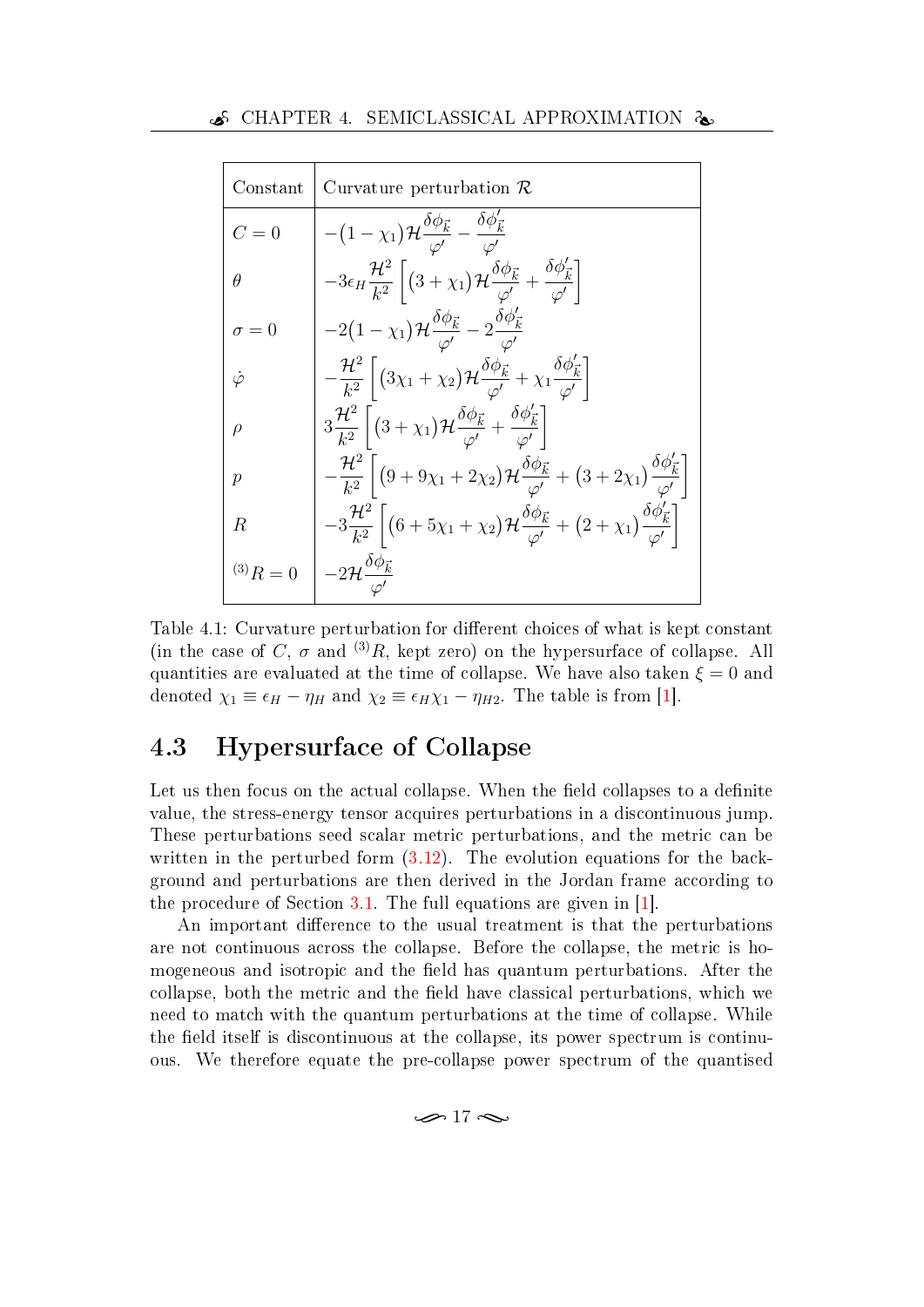| Constant        | Curvature perturbation $\mathcal R$                                                                                                                                             |
|-----------------|---------------------------------------------------------------------------------------------------------------------------------------------------------------------------------|
| $C=0$           | $-(1-\chi_1)\mathcal{H}\frac{\delta\phi_{\vec{k}}}{\phi'}-\frac{\delta\phi_{\vec{k}}'}{\phi'}$                                                                                  |
| $\theta$        | $-3\epsilon_H \frac{\mathcal{H}^2}{k^2} \left[ (3+\chi_1)\mathcal{H} \frac{\delta \phi_{\vec{k}}}{\phi'} + \frac{\delta \phi'_{\vec{k}}}{\phi'} \right]$                        |
| $\sigma=0$      | $-2\big(1-\chi_1\big)\mathcal{H}\frac{\delta\phi_{\vec{k}}}{\mathcal{A}'}-2\frac{\delta\phi'_{\vec{k}}}{\mathcal{A}}$                                                           |
| $\dot{\varphi}$ | $-\frac{\mathcal{H}^2}{k^2}\left[ \left(3\chi_1+\chi_2\right)\mathcal{H}\frac{\delta\phi_{\vec{k}}}{\phi'}+\chi_1\frac{\delta\phi_{\vec{k}}'}{\phi'}\right]$                    |
| $\rho$          | $3\frac{\mathcal{H}^2}{k^2}\left[ (3+\chi_1)\mathcal{H}\frac{\delta\phi_{\vec{k}}}{\phi'}+\frac{\delta\phi'_{\vec{k}}}{\phi'}\right]$                                           |
| $\mathcal{p}$   | $-\frac{\mathcal{H}^2}{k^2}\left[ \left(9+9\chi_1+2\chi_2\right)\mathcal{H}\frac{\delta\phi_{\vec{k}}}{\phi'}+\left(3+2\chi_1\right)\frac{\delta\phi_{\vec{k}}'}{\phi'}\right]$ |
| R               | $-3\frac{\mathcal{H}^2}{k^2}\left[\left(6+5\chi_1+\chi_2\right)\mathcal{H}\frac{\delta\phi_{\vec{k}}}{\phi'}+\left(2+\chi_1\right)\frac{\delta\phi_{\vec{k}}'}{\phi'}\right]$   |
| $^{(3)}R = 0$   | $-2\mathcal{H} \frac{\partial \phi_{\vec{k}}}{\partial \phi}$                                                                                                                   |

<span id="page-26-1"></span>Table 4.1: Curvature perturbation for different choices of what is kept constant (in the case of C,  $\sigma$  and <sup>(3)</sup>R, kept zero) on the hypersurface of collapse. All quantities are evaluated at the time of collapse. We have also taken  $\xi = 0$  and denoted  $\chi_1 \equiv \epsilon_H - \eta_H$  and  $\chi_2 \equiv \epsilon_H \chi_1 - \eta_{H2}$ . The table is from [\[1\]](#page-45-0).

## <span id="page-26-0"></span>4.3 Hypersurface of Collapse

Let us then focus on the actual collapse. When the field collapses to a definite value, the stress-energy tensor acquires perturbations in a discontinuous jump. These perturbations seed scalar metric perturbations, and the metric can be written in the perturbed form  $(3.12)$ . The evolution equations for the background and perturbations are then derived in the Jordan frame according to the procedure of Section [3.1.](#page-16-1) The full equations are given in [\[1\]](#page-45-0).

An important difference to the usual treatment is that the perturbations are not continuous across the collapse. Before the collapse, the metric is homogeneous and isotropic and the field has quantum perturbations. After the collapse, both the metric and the field have classical perturbations, which we need to match with the quantum perturbations at the time of collapse. While the field itself is discontinuous at the collapse, its power spectrum is continuous. We therefore equate the pre-collapse power spectrum of the quantised

 $\sim$  17  $\sim$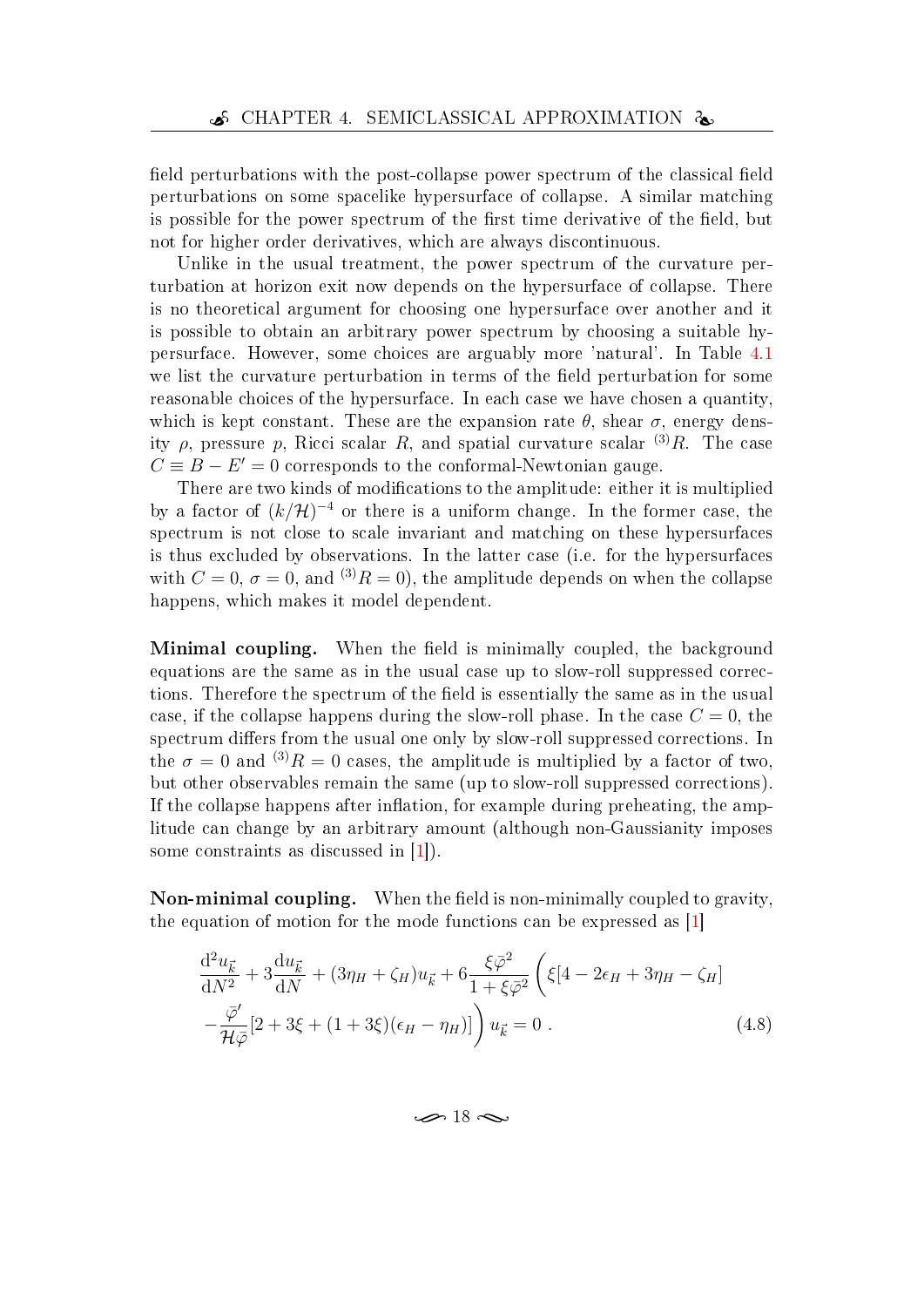field perturbations with the post-collapse power spectrum of the classical field perturbations on some spacelike hypersurface of collapse. A similar matching is possible for the power spectrum of the first time derivative of the field, but not for higher order derivatives, which are always discontinuous.

Unlike in the usual treatment, the power spectrum of the curvature perturbation at horizon exit now depends on the hypersurface of collapse. There is no theoretical argument for choosing one hypersurface over another and it is possible to obtain an arbitrary power spectrum by choosing a suitable hypersurface. However, some choices are arguably more 'natural'. In Table [4.1](#page-26-1) we list the curvature perturbation in terms of the field perturbation for some reasonable choices of the hypersurface. In each case we have chosen a quantity, which is kept constant. These are the expansion rate  $\theta$ , shear  $\sigma$ , energy density  $\rho$ , pressure p, Ricci scalar R, and spatial curvature scalar  $(3)R$ . The case  $C \equiv B - E' = 0$  corresponds to the conformal-Newtonian gauge.

There are two kinds of modifications to the amplitude: either it is multiplied by a factor of  $(k/\mathcal{H})^{-4}$  or there is a uniform change. In the former case, the spectrum is not close to scale invariant and matching on these hypersurfaces is thus excluded by observations. In the latter case (i.e. for the hypersurfaces with  $C = 0$ ,  $\sigma = 0$ , and  $^{(3)}R = 0$ , the amplitude depends on when the collapse happens, which makes it model dependent.

**Minimal coupling.** When the field is minimally coupled, the background equations are the same as in the usual case up to slow-roll suppressed corrections. Therefore the spectrum of the field is essentially the same as in the usual case, if the collapse happens during the slow-roll phase. In the case  $C = 0$ , the spectrum differs from the usual one only by slow-roll suppressed corrections. In the  $\sigma = 0$  and  $^{(3)}R = 0$  cases, the amplitude is multiplied by a factor of two. but other observables remain the same (up to slow-roll suppressed corrections). If the collapse happens after inflation, for example during preheating, the amplitude can change by an arbitrary amount (although non-Gaussianity imposes some constraints as discussed in [\[1\]](#page-45-0)).

Non-minimal coupling. When the field is non-minimally coupled to gravity, the equation of motion for the mode functions can be expressed as [\[1\]](#page-45-0)

$$
\frac{d^2 u_{\vec{k}}}{dN^2} + 3\frac{du_{\vec{k}}}{dN} + (3\eta_H + \zeta_H)u_{\vec{k}} + 6\frac{\xi\bar{\varphi}^2}{1 + \xi\bar{\varphi}^2} \left(\xi[4 - 2\epsilon_H + 3\eta_H - \zeta_H] - \frac{\bar{\varphi}'}{\mathcal{H}\bar{\varphi}}[2 + 3\xi + (1 + 3\xi)(\epsilon_H - \eta_H)]\right)u_{\vec{k}} = 0.
$$
\n(4.8)

<span id="page-27-0"></span> $\sim$  18  $\sim$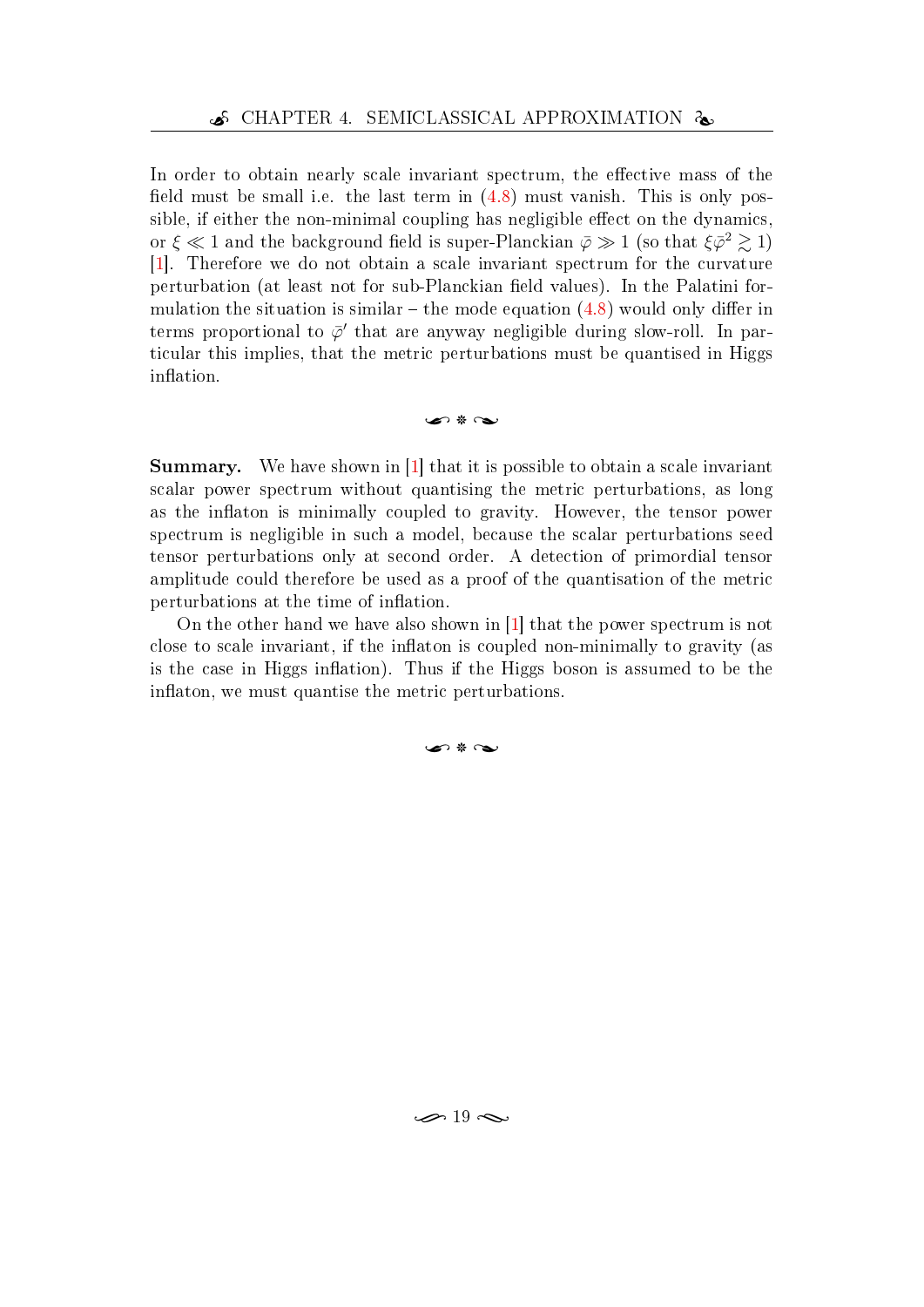In order to obtain nearly scale invariant spectrum, the effective mass of the field must be small i.e. the last term in  $(4.8)$  must vanish. This is only possible, if either the non-minimal coupling has negligible effect on the dynamics, or  $\xi \ll 1$  and the background field is super-Planckian  $\bar{\varphi} \gg 1$  (so that  $\xi \bar{\varphi}^2 \gtrsim 1)$ [\[1\]](#page-45-0). Therefore we do not obtain a scale invariant spectrum for the curvature perturbation (at least not for sub-Planckian field values). In the Palatini formulation the situation is similar  $-$  the mode equation [\(4.8\)](#page-27-0) would only differ in terms proportional to  $\bar{\varphi}'$  that are anyway negligible during slow-roll. In particular this implies, that the metric perturbations must be quantised in Higgs inflation.

#### u 8 U

Summary. We have shown in [\[1\]](#page-45-0) that it is possible to obtain a scale invariant scalar power spectrum without quantising the metric perturbations, as long as the inflaton is minimally coupled to gravity. However, the tensor power spectrum is negligible in such a model, because the scalar perturbations seed tensor perturbations only at second order. A detection of primordial tensor amplitude could therefore be used as a proof of the quantisation of the metric perturbations at the time of inflation.

On the other hand we have also shown in [\[1\]](#page-45-0) that the power spectrum is not close to scale invariant, if the inflaton is coupled non-minimally to gravity (as is the case in Higgs inflation). Thus if the Higgs boson is assumed to be the inflaton, we must quantise the metric perturbations.

 $\sim$  \*  $\sim$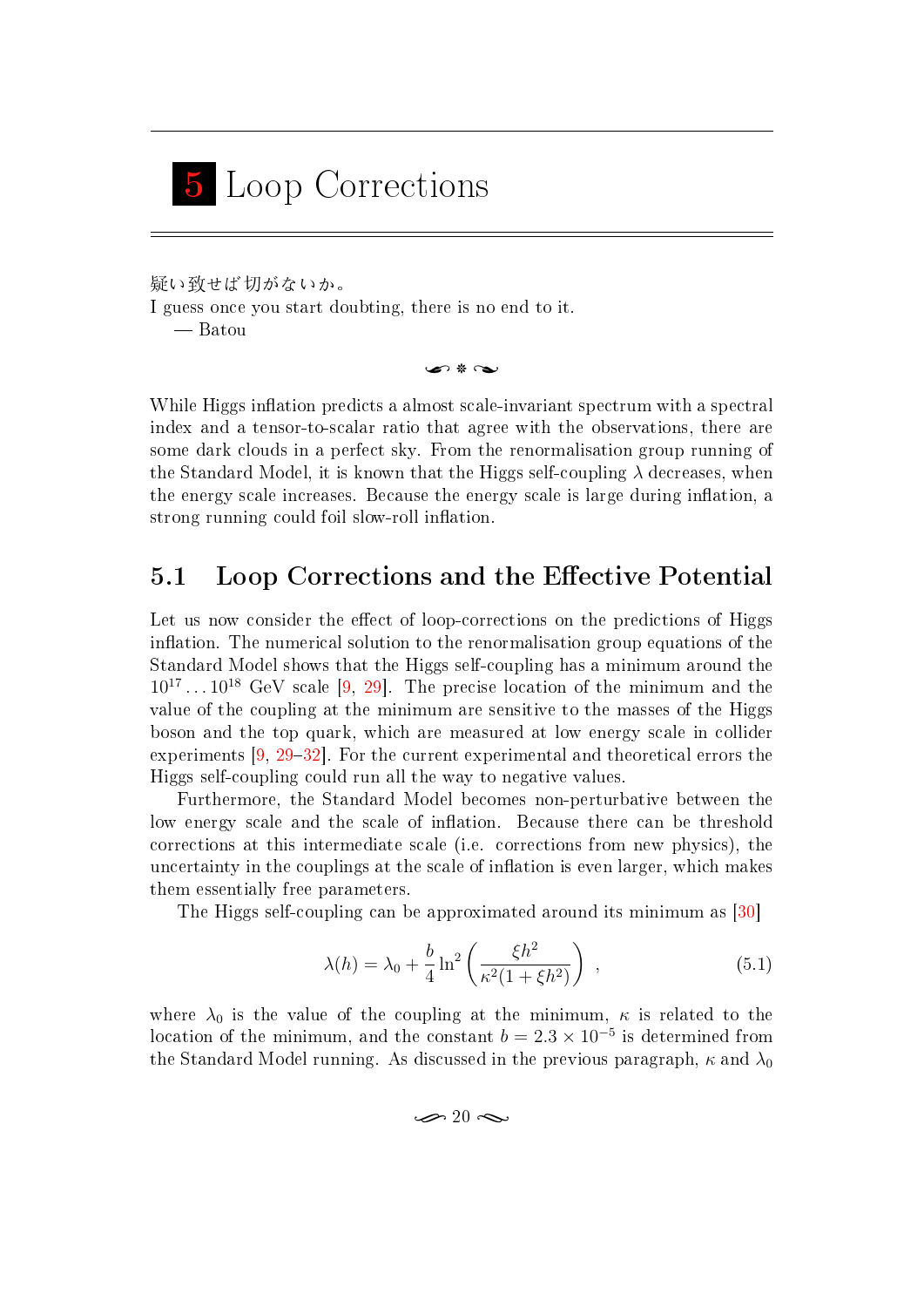# <span id="page-29-0"></span>5 Loop Corrections

疑い致せば切がないか。 I guess once you start doubting, there is no end to it. Batou

ค \* ๛

While Higgs inflation predicts a almost scale-invariant spectrum with a spectral index and a tensor-to-scalar ratio that agree with the observations, there are some dark clouds in a perfect sky. From the renormalisation group running of the Standard Model, it is known that the Higgs self-coupling  $\lambda$  decreases, when the energy scale increases. Because the energy scale is large during inflation, a strong running could foil slow-roll inflation.

## <span id="page-29-1"></span>5.1 Loop Corrections and the Effective Potential

Let us now consider the effect of loop-corrections on the predictions of Higgs inflation. The numerical solution to the renormalisation group equations of the Standard Model shows that the Higgs self-coupling has a minimum around the  $10^{17} \dots 10^{18}$  GeV scale [\[9,](#page-45-7) [29\]](#page-47-5). The precise location of the minimum and the value of the coupling at the minimum are sensitive to the masses of the Higgs boson and the top quark, which are measured at low energy scale in collider experiments  $[9, 29-32]$  $[9, 29-32]$  $[9, 29-32]$  $[9, 29-32]$  $[9, 29-32]$ . For the current experimental and theoretical errors the Higgs self-coupling could run all the way to negative values.

Furthermore, the Standard Model becomes non-perturbative between the low energy scale and the scale of inflation. Because there can be threshold corrections at this intermediate scale (i.e. corrections from new physics), the uncertainty in the couplings at the scale of inflation is even larger, which makes them essentially free parameters.

The Higgs self-coupling can be approximated around its minimum as [\[30\]](#page-47-7)

$$
\lambda(h) = \lambda_0 + \frac{b}{4} \ln^2 \left( \frac{\xi h^2}{\kappa^2 (1 + \xi h^2)} \right) , \qquad (5.1)
$$

where  $\lambda_0$  is the value of the coupling at the minimum,  $\kappa$  is related to the location of the minimum, and the constant  $b = 2.3 \times 10^{-5}$  is determined from the Standard Model running. As discussed in the previous paragraph,  $\kappa$  and  $\lambda_0$ 

<span id="page-29-2"></span> $\infty$  20  $\infty$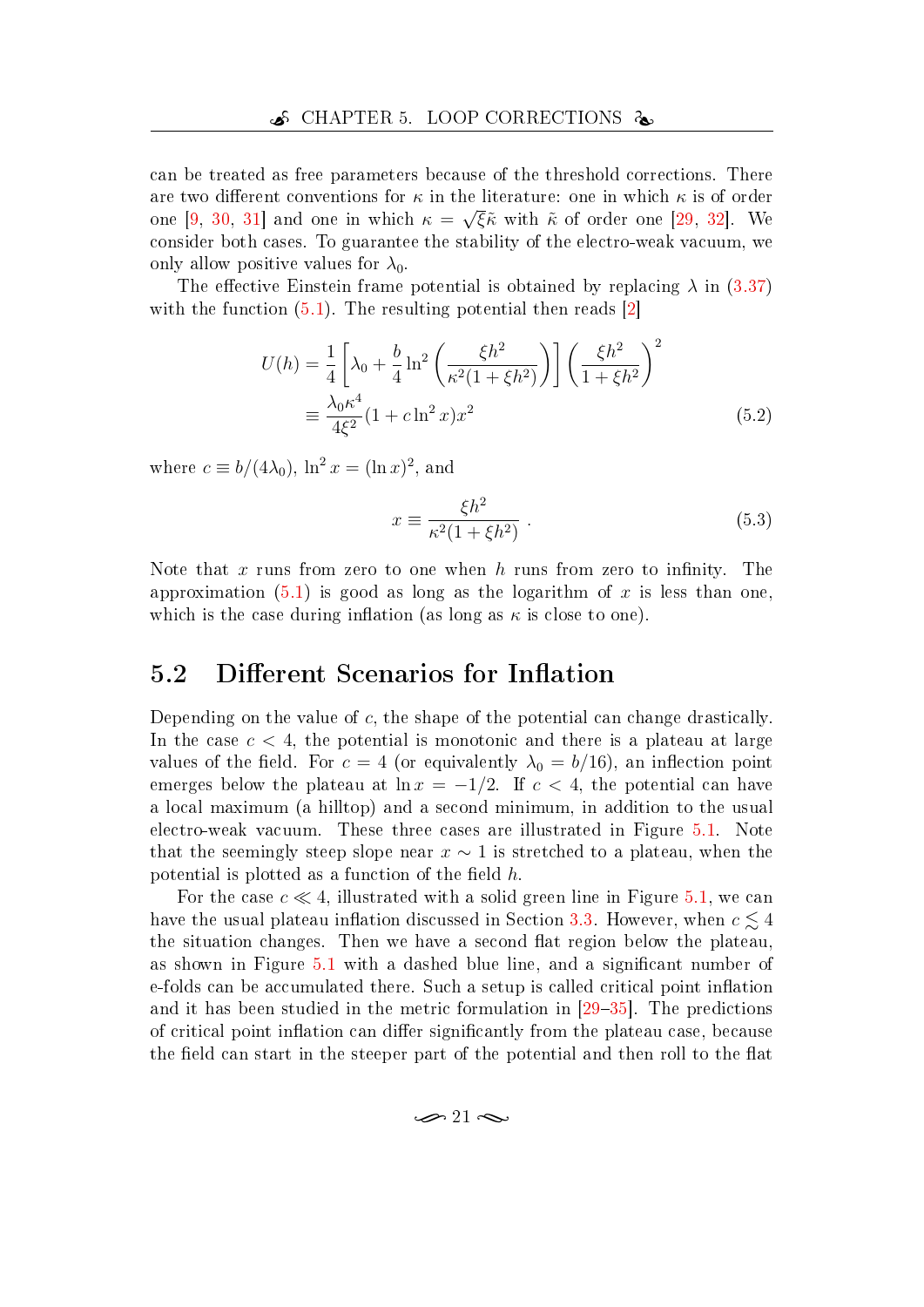can be treated as free parameters because of the threshold corrections. There are two different conventions for  $\kappa$  in the literature: one in which  $\kappa$  is of order one [\[9,](#page-45-7) [30,](#page-47-7) [31\]](#page-47-8) and one in which  $\kappa = \sqrt{\xi} \tilde{\kappa}$  with  $\tilde{\kappa}$  of order one [\[29,](#page-47-5) [32\]](#page-47-6). We consider both cases. To guarantee the stability of the electro-weak vacuum, we only allow positive values for  $\lambda_0$ .

The effective Einstein frame potential is obtained by replacing  $\lambda$  in [\(3.37\)](#page-22-2) with the function  $(5.1)$ . The resulting potential then reads  $|2|$ 

$$
U(h) = \frac{1}{4} \left[ \lambda_0 + \frac{b}{4} \ln^2 \left( \frac{\xi h^2}{\kappa^2 (1 + \xi h^2)} \right) \right] \left( \frac{\xi h^2}{1 + \xi h^2} \right)^2
$$
  

$$
\equiv \frac{\lambda_0 \kappa^4}{4\xi^2} (1 + c \ln^2 x) x^2
$$
 (5.2)

where  $c \equiv b/(4\lambda_0)$ ,  $\ln^2 x = (\ln x)^2$ , and

$$
x \equiv \frac{\xi h^2}{\kappa^2 (1 + \xi h^2)}.
$$
\n(5.3)

Note that x runs from zero to one when h runs from zero to infinity. The approximation  $(5.1)$  is good as long as the logarithm of x is less than one, which is the case during inflation (as long as  $\kappa$  is close to one).

### <span id="page-30-0"></span>5.2 Different Scenarios for Inflation

Depending on the value of c, the shape of the potential can change drastically. In the case  $c < 4$ , the potential is monotonic and there is a plateau at large values of the field. For  $c = 4$  (or equivalently  $\lambda_0 = b/16$ ), an inflection point emerges below the plateau at  $\ln x = -1/2$ . If  $c < 4$ , the potential can have a local maximum (a hilltop) and a second minimum, in addition to the usual electro-weak vacuum. These three cases are illustrated in Figure [5.1.](#page-31-0) Note that the seemingly steep slope near  $x \sim 1$  is stretched to a plateau, when the potential is plotted as a function of the field  $h$ .

For the case  $c \ll 4$ , illustrated with a solid green line in Figure [5.1,](#page-31-0) we can have the usual plateau inflation discussed in Section [3.3.](#page-21-0) However, when  $c \lesssim 4$ the situation changes. Then we have a second flat region below the plateau, as shown in Figure [5.1](#page-31-0) with a dashed blue line, and a significant number of e-folds can be accumulated there. Such a setup is called critical point inflation and it has been studied in the metric formulation in  $[29-35]$  $[29-35]$  $[29-35]$ . The predictions of critical point inflation can differ significantly from the plateau case, because the field can start in the steeper part of the potential and then roll to the flat

$$
\mathcal{D}21 \mathcal{D}
$$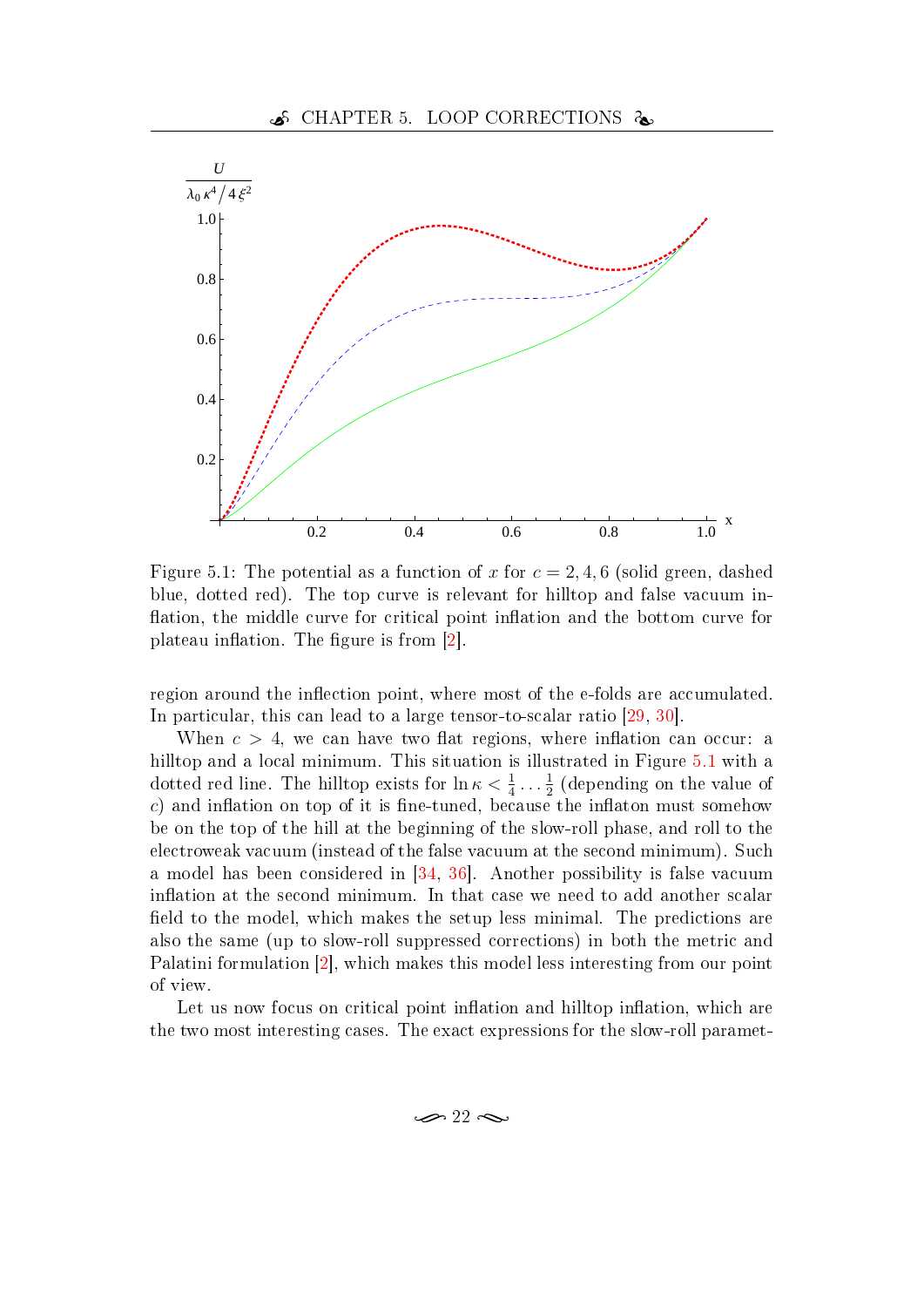

<span id="page-31-0"></span>Figure 5.1: The potential as a function of x for  $c = 2, 4, 6$  (solid green, dashed blue, dotted red). The top curve is relevant for hilltop and false vacuum in flation, the middle curve for critical point inflation and the bottom curve for plateau inflation. The figure is from  $[2]$ .

region around the inflection point, where most of the e-folds are accumulated. In particular, this can lead to a large tensor-to-scalar ratio  $[29, 30]$  $[29, 30]$  $[29, 30]$ .

When  $c > 4$ , we can have two flat regions, where inflation can occur: a hilltop and a local minimum. This situation is illustrated in Figure [5.1](#page-31-0) with a dotted red line. The hilltop exists for  $\ln \kappa < \frac{1}{4} \dots \frac{1}{2}$  $\frac{1}{2}$  (depending on the value of  $c)$  and inflation on top of it is fine-tuned, because the inflaton must somehow be on the top of the hill at the beginning of the slow-roll phase, and roll to the electroweak vacuum (instead of the false vacuum at the second minimum). Such a model has been considered in [\[34,](#page-47-9) [36\]](#page-48-1). Another possibility is false vacuum inflation at the second minimum. In that case we need to add another scalar field to the model, which makes the setup less minimal. The predictions are also the same (up to slow-roll suppressed corrections) in both the metric and Palatini formulation [\[2\]](#page-45-10), which makes this model less interesting from our point of view.

Let us now focus on critical point inflation and hilltop inflation, which are the two most interesting cases. The exact expressions for the slow-roll paramet-

$$
\infty 22 \infty
$$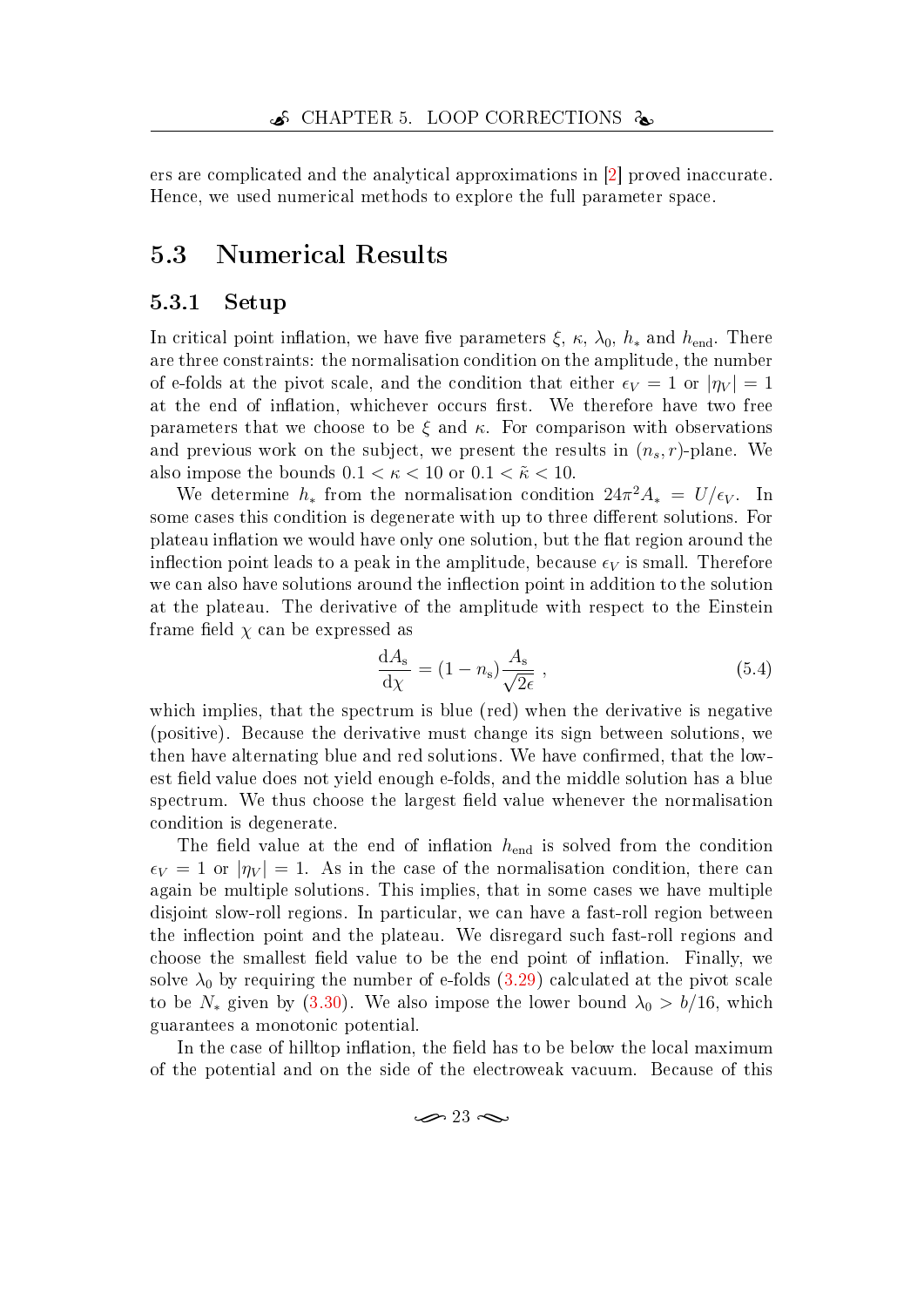ers are complicated and the analytical approximations in [\[2\]](#page-45-10) proved inaccurate. Hence, we used numerical methods to explore the full parameter space.

## <span id="page-32-0"></span>5.3 Numerical Results

#### <span id="page-32-1"></span>5.3.1 Setup

In critical point inflation, we have five parameters  $\xi$ ,  $\kappa$ ,  $\lambda_0$ ,  $h_*$  and  $h_{end}$ . There are three constraints: the normalisation condition on the amplitude, the number of e-folds at the pivot scale, and the condition that either  $\epsilon_V = 1$  or  $|\eta_V| = 1$ at the end of inflation, whichever occurs first. We therefore have two free parameters that we choose to be  $\xi$  and  $\kappa$ . For comparison with observations and previous work on the subject, we present the results in  $(n_s, r)$ -plane. We also impose the bounds  $0.1 < \kappa < 10$  or  $0.1 < \tilde{\kappa} < 10$ .

We determine  $h_*$  from the normalisation condition  $24\pi^2 A_* = U/\epsilon_V$ . In some cases this condition is degenerate with up to three different solutions. For plateau inflation we would have only one solution, but the flat region around the inflection point leads to a peak in the amplitude, because  $\epsilon_V$  is small. Therefore we can also have solutions around the inflection point in addition to the solution at the plateau. The derivative of the amplitude with respect to the Einstein frame field  $\chi$  can be expressed as

$$
\frac{\mathrm{d}A_{\mathrm{s}}}{\mathrm{d}\chi} = (1 - n_{\mathrm{s}}) \frac{A_{\mathrm{s}}}{\sqrt{2\epsilon}} \,, \tag{5.4}
$$

which implies, that the spectrum is blue (red) when the derivative is negative (positive). Because the derivative must change its sign between solutions, we then have alternating blue and red solutions. We have confirmed, that the lowest field value does not yield enough e-folds, and the middle solution has a blue spectrum. We thus choose the largest field value whenever the normalisation condition is degenerate.

The field value at the end of inflation  $h_{end}$  is solved from the condition  $\epsilon_V = 1$  or  $|\eta_V| = 1$ . As in the case of the normalisation condition, there can again be multiple solutions. This implies, that in some cases we have multiple disjoint slow-roll regions. In particular, we can have a fast-roll region between the inflection point and the plateau. We disregard such fast-roll regions and choose the smallest field value to be the end point of inflation. Finally, we solve  $\lambda_0$  by requiring the number of e-folds [\(3.29\)](#page-20-0) calculated at the pivot scale to be  $N_*$  given by [\(3.30\)](#page-20-1). We also impose the lower bound  $\lambda_0 > b/16$ , which guarantees a monotonic potential.

In the case of hilltop inflation, the field has to be below the local maximum of the potential and on the side of the electroweak vacuum. Because of this

$$
\mathcal{D}^{23} \mathcal{D}
$$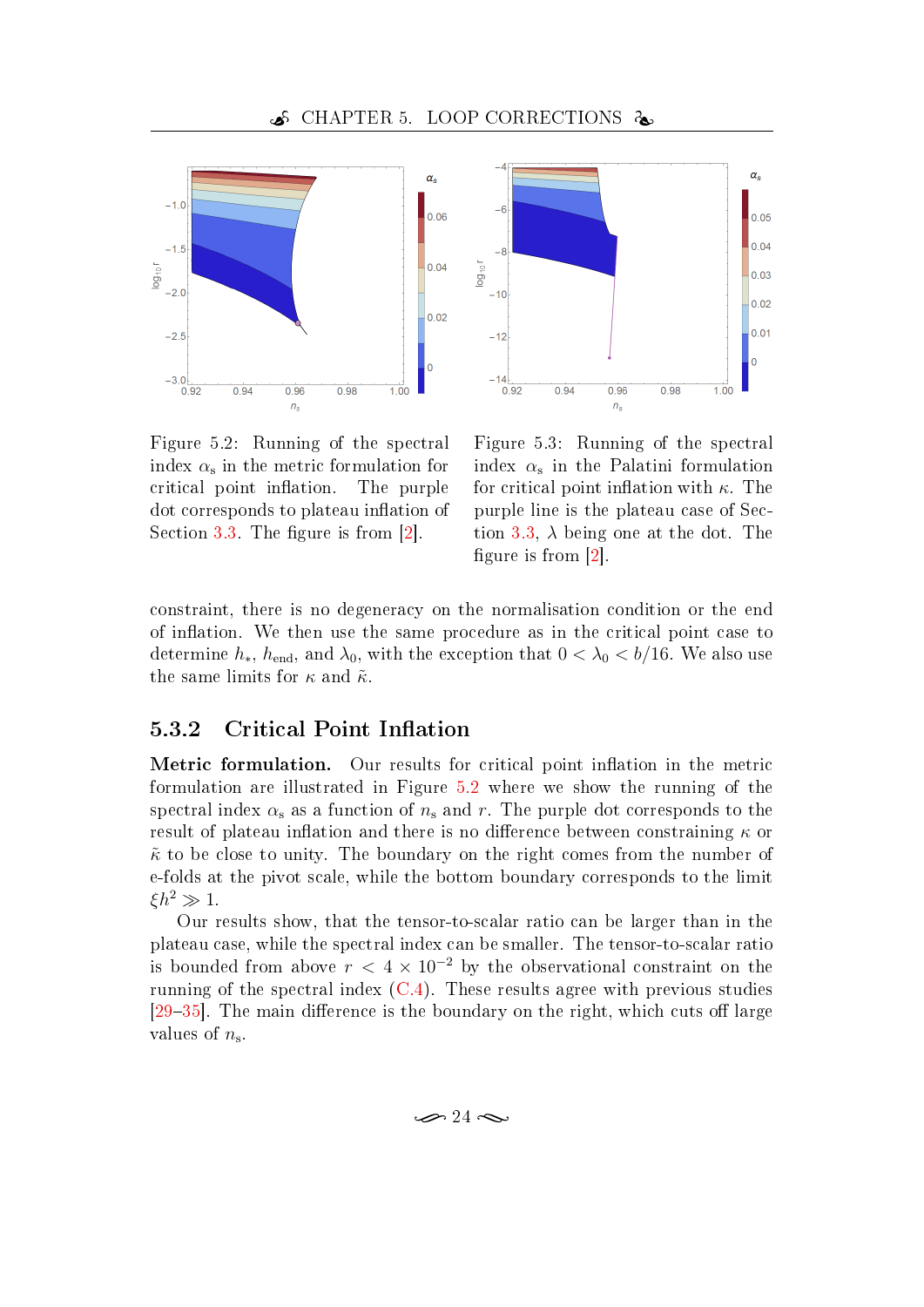$-\epsilon$ 

 $-10$ 

 $-12$ 

 $-14$ 

 $log_{10}r$ 



<span id="page-33-1"></span>

Figure 5.3: Running of the spectral index  $\alpha_{\rm s}$  in the Palatini formulation for critical point inflation with  $\kappa$ . The purple line is the plateau case of Sec-tion [3.3,](#page-21-0)  $\lambda$  being one at the dot. The

 $0.96$ 

<span id="page-33-2"></span> $n_{\rm s}$ 

 $0.98$ 

 $\alpha_{\rm s}$ 

 $0.05$  $|_{0.04}$ 

 $0.03$ 

 $0.02$ 

 $0.01$ 

 $\overline{\mathbf{0}}$ 

 $1.00$ 

constraint, there is no degeneracy on the normalisation condition or the end of inflation. We then use the same procedure as in the critical point case to determine  $h_*, h_{end}$ , and  $\lambda_0$ , with the exception that  $0 < \lambda_0 < b/16$ . We also use the same limits for  $\kappa$  and  $\tilde{\kappa}$ .

#### <span id="page-33-0"></span>5.3.2 Critical Point Inflation

Metric formulation. Our results for critical point inflation in the metric formulation are illustrated in Figure [5.2](#page-33-1) where we show the running of the spectral index  $\alpha_s$  as a function of  $n_s$  and r. The purple dot corresponds to the result of plateau inflation and there is no difference between constraining  $\kappa$  or  $\tilde{\kappa}$  to be close to unity. The boundary on the right comes from the number of e-folds at the pivot scale, while the bottom boundary corresponds to the limit  $\xi h^2 \gg 1$ .

Our results show, that the tensor-to-scalar ratio can be larger than in the plateau case, while the spectral index can be smaller. The tensor-to-scalar ratio is bounded from above  $r < 4 \times 10^{-2}$  by the observational constraint on the running of the spectral index  $(C.4)$ . These results agree with previous studies  $[29-35]$  $[29-35]$  $[29-35]$ . The main difference is the boundary on the right, which cuts off large values of  $n_{\rm s}$ .

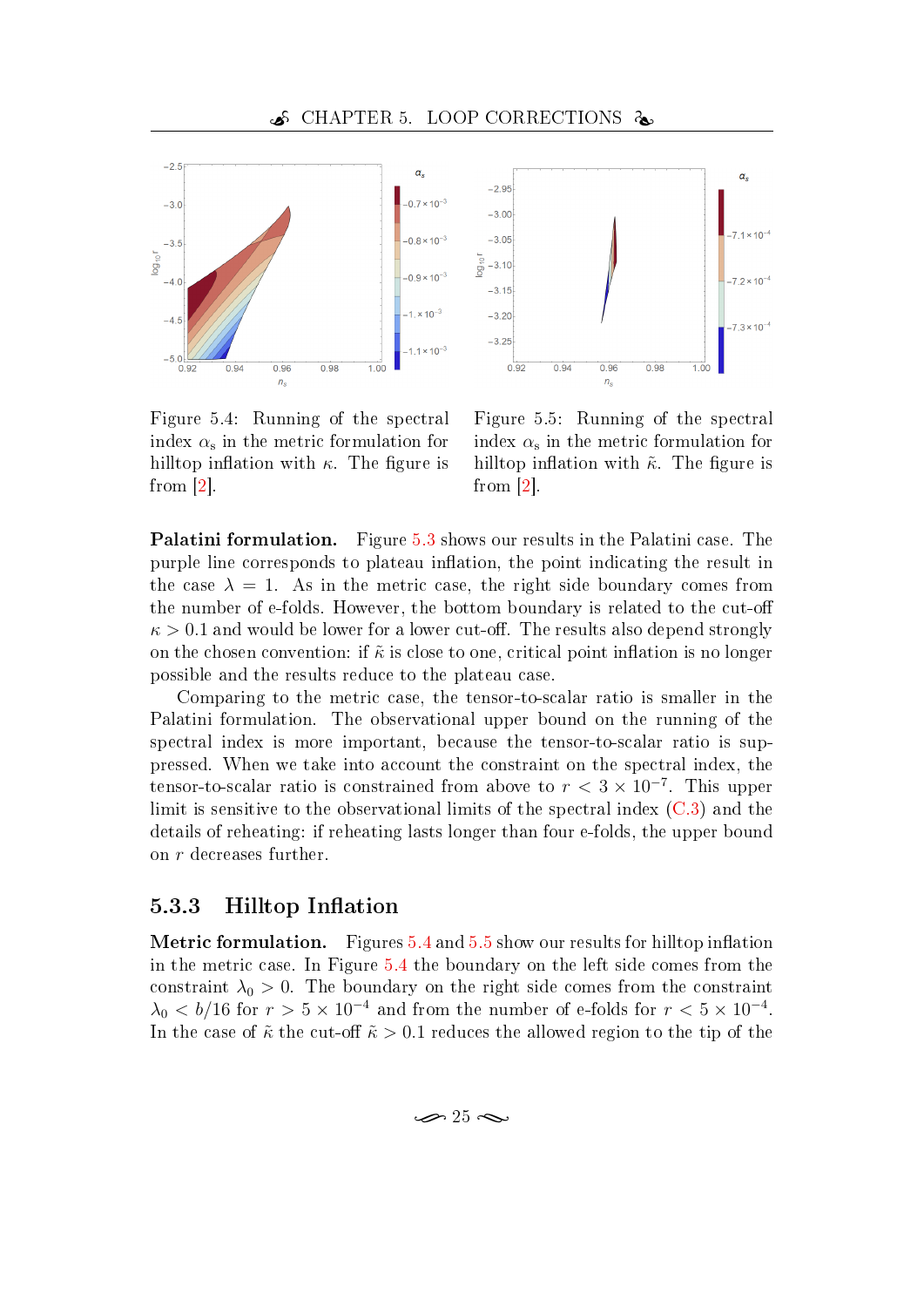

<span id="page-34-1"></span>Figure 5.4: Running of the spectral  $\text{index} \ \alpha_{\text{s}}$  in the metric formulation for hilltop inflation with  $\kappa$ . The figure is from [\[2\]](#page-45-10).



<span id="page-34-2"></span>Figure 5.5: Running of the spectral index  $\alpha_{\mathrm{s}}$  in the metric formulation for hilltop inflation with  $\tilde{\kappa}$ . The figure is from [\[2\]](#page-45-10).

Palatini formulation. Figure [5.3](#page-33-2) shows our results in the Palatini case. The purple line corresponds to plateau inflation, the point indicating the result in the case  $\lambda = 1$ . As in the metric case, the right side boundary comes from the number of e-folds. However, the bottom boundary is related to the cut-o  $\kappa > 0.1$  and would be lower for a lower cut-off. The results also depend strongly on the chosen convention: if  $\tilde{\kappa}$  is close to one, critical point inflation is no longer possible and the results reduce to the plateau case.

Comparing to the metric case, the tensor-to-scalar ratio is smaller in the Palatini formulation. The observational upper bound on the running of the spectral index is more important, because the tensor-to-scalar ratio is suppressed. When we take into account the constraint on the spectral index, the tensor-to-scalar ratio is constrained from above to  $r < 3 \times 10^{-7}$ . This upper limit is sensitive to the observational limits of the spectral index [\(C.3\)](#page-53-2) and the details of reheating: if reheating lasts longer than four e-folds, the upper bound on r decreases further.

#### <span id="page-34-0"></span>5.3.3 Hilltop Inflation

**Metric formulation.** Figures  $5.4$  and  $5.5$  show our results for hilltop inflation in the metric case. In Figure [5.4](#page-34-1) the boundary on the left side comes from the constraint  $\lambda_0 > 0$ . The boundary on the right side comes from the constraint  $\lambda_0 < b/16$  for  $r > 5 \times 10^{-4}$  and from the number of e-folds for  $r < 5 \times 10^{-4}$ . In the case of  $\tilde{\kappa}$  the cut-off  $\tilde{\kappa} > 0.1$  reduces the allowed region to the tip of the

 $\approx$  25  $\approx$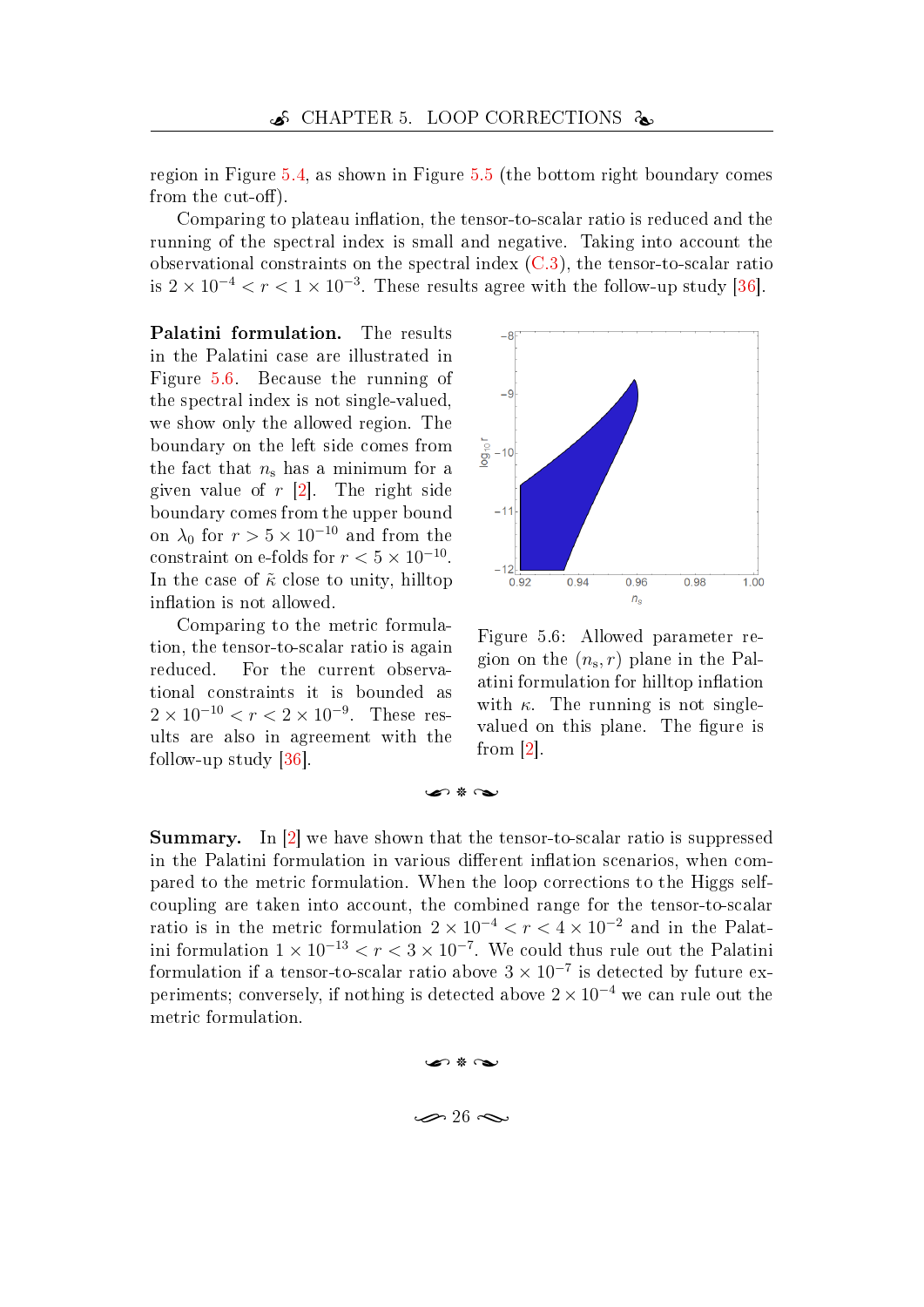region in Figure [5.4,](#page-34-1) as shown in Figure [5.5](#page-34-2) (the bottom right boundary comes from the cut-off).

Comparing to plateau inflation, the tensor-to-scalar ratio is reduced and the running of the spectral index is small and negative. Taking into account the observational constraints on the spectral index [\(C.3\)](#page-53-2), the tensor-to-scalar ratio is  $2 \times 10^{-4} < r < 1 \times 10^{-3}$ . These results agree with the follow-up study [\[36\]](#page-48-1).

Palatini formulation. The results in the Palatini case are illustrated in Figure [5.6.](#page-35-0) Because the running of the spectral index is not single-valued, we show only the allowed region. The boundary on the left side comes from the fact that  $n_s$  has a minimum for a given value of  $r$  [\[2\]](#page-45-10). The right side boundary comes from the upper bound on  $\lambda_0$  for  $r > 5 \times 10^{-10}$  and from the constraint on e-folds for  $r < 5 \times 10^{-10}$ . In the case of  $\tilde{\kappa}$  close to unity, hilltop inflation is not allowed.

Comparing to the metric formulation, the tensor-to-scalar ratio is again reduced. For the current observational constraints it is bounded as  $2 \times 10^{-10} < r < 2 \times 10^{-9}$ . These results are also in agreement with the follow-up study [\[36\]](#page-48-1).



<span id="page-35-0"></span>Figure 5.6: Allowed parameter region on the  $(n_s, r)$  plane in the Palatini formulation for hilltop inflation with  $\kappa$ . The running is not singlevalued on this plane. The figure is from [\[2\]](#page-45-10).

Summary. In [\[2\]](#page-45-10) we have shown that the tensor-to-scalar ratio is suppressed in the Palatini formulation in various different inflation scenarios, when compared to the metric formulation. When the loop corrections to the Higgs selfcoupling are taken into account, the combined range for the tensor-to-scalar ratio is in the metric formulation  $2 \times 10^{-4} < r < 4 \times 10^{-2}$  and in the Palatini formulation  $1 \times 10^{-13} < r < 3 \times 10^{-7}$ . We could thus rule out the Palatini formulation if a tensor-to-scalar ratio above  $3 \times 10^{-7}$  is detected by future experiments; conversely, if nothing is detected above  $2 \times 10^{-4}$  we can rule out the metric formulation.

 $\bullet$   $\ast$   $\sim$ 

## $\bullet$   $\ast$   $\bullet$  $\gg 26 \approx$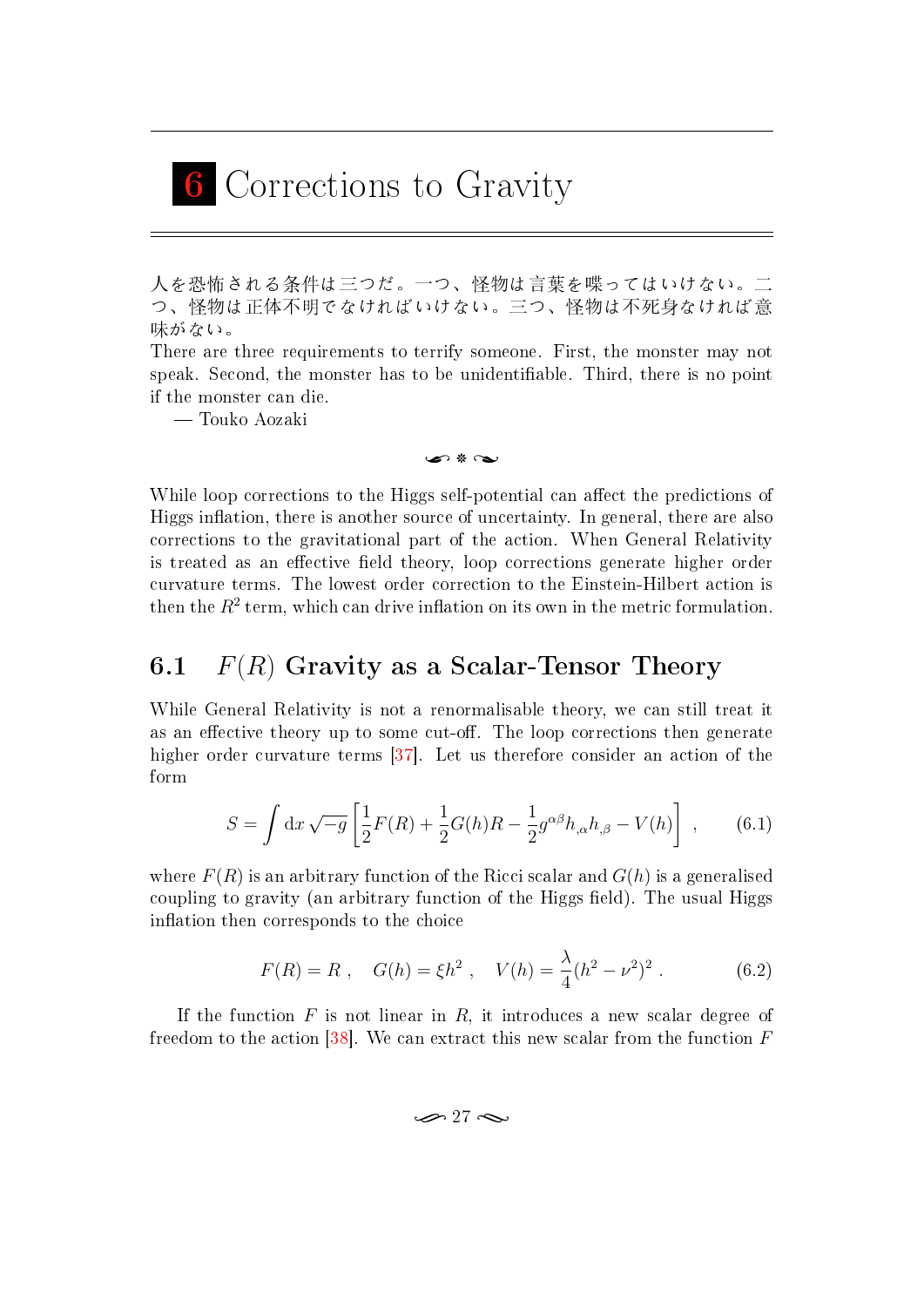## <span id="page-36-0"></span>6 Corrections to Gravity

人を恐怖される条件は三つだ。一つ、怪物は言葉を喋ってはいけない。二 つ、怪物は正体不明でなければいけない。三つ、怪物は不死身なければ意 味がない。

There are three requirements to terrify someone. First, the monster may not speak. Second, the monster has to be unidentiable. Third, there is no point if the monster can die.

Touko Aozaki

#### $\bullet$  8  $\sim$

While loop corrections to the Higgs self-potential can affect the predictions of Higgs inflation, there is another source of uncertainty. In general, there are also corrections to the gravitational part of the action. When General Relativity is treated as an effective field theory, loop corrections generate higher order curvature terms. The lowest order correction to the Einstein-Hilbert action is then the  $R^2$  term, which can drive inflation on its own in the metric formulation.

## <span id="page-36-1"></span>6.1  $F(R)$  Gravity as a Scalar-Tensor Theory

While General Relativity is not a renormalisable theory, we can still treat it as an effective theory up to some cut-off. The loop corrections then generate higher order curvature terms [\[37\]](#page-48-2). Let us therefore consider an action of the form

$$
S = \int dx \sqrt{-g} \left[ \frac{1}{2} F(R) + \frac{1}{2} G(h) R - \frac{1}{2} g^{\alpha \beta} h_{,\alpha} h_{,\beta} - V(h) \right] , \qquad (6.1)
$$

where  $F(R)$  is an arbitrary function of the Ricci scalar and  $G(h)$  is a generalised coupling to gravity (an arbitrary function of the Higgs field). The usual Higgs inflation then corresponds to the choice

$$
F(R) = R , \quad G(h) = \xi h^2 , \quad V(h) = \frac{\lambda}{4} (h^2 - \nu^2)^2 . \tag{6.2}
$$

If the function  $F$  is not linear in  $R$ , it introduces a new scalar degree of freedom to the action  $[38]$ . We can extract this new scalar from the function F

<span id="page-36-2"></span> $\infty$  27  $\infty$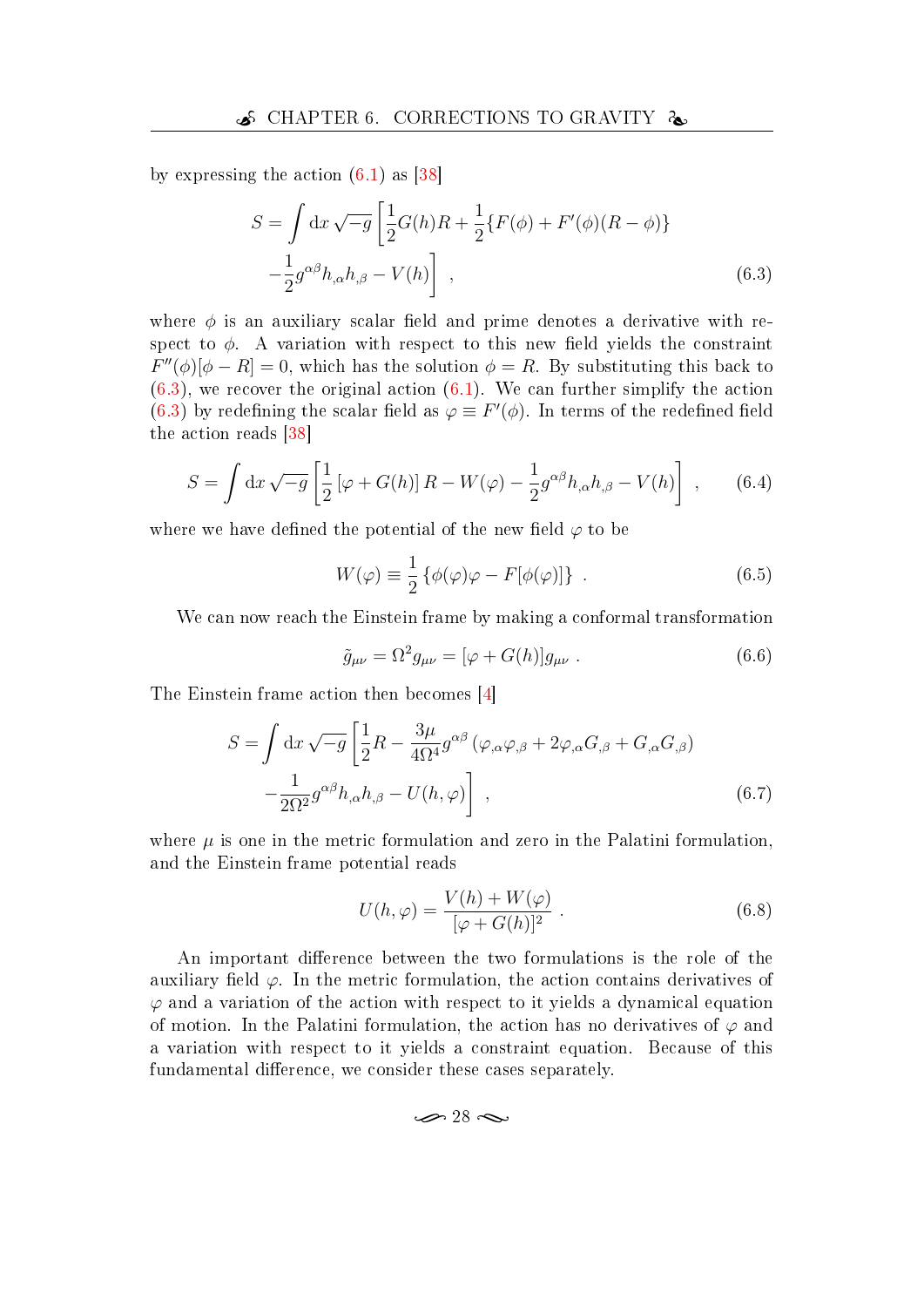by expressing the action  $(6.1)$  as [\[38\]](#page-48-3)

<span id="page-37-0"></span>
$$
S = \int dx \sqrt{-g} \left[ \frac{1}{2} G(h) R + \frac{1}{2} \{ F(\phi) + F'(\phi)(R - \phi) \} - \frac{1}{2} g^{\alpha \beta} h_{,\alpha} h_{,\beta} - V(h) \right],
$$
\n(6.3)

where  $\phi$  is an auxiliary scalar field and prime denotes a derivative with respect to  $\phi$ . A variation with respect to this new field yields the constraint  $F''(\phi)[\phi - R] = 0$ , which has the solution  $\phi = R$ . By substituting this back to  $(6.3)$ , we recover the original action  $(6.1)$ . We can further simplify the action [\(6.3\)](#page-37-0) by redefining the scalar field as  $\varphi \equiv F'(\phi)$ . In terms of the redefined field the action reads [\[38\]](#page-48-3)

$$
S = \int dx \sqrt{-g} \left[ \frac{1}{2} \left[ \varphi + G(h) \right] R - W(\varphi) - \frac{1}{2} g^{\alpha \beta} h_{,\alpha} h_{,\beta} - V(h) \right] , \qquad (6.4)
$$

where we have defined the potential of the new field  $\varphi$  to be

$$
W(\varphi) \equiv \frac{1}{2} \left\{ \phi(\varphi)\varphi - F[\phi(\varphi)] \right\} . \tag{6.5}
$$

We can now reach the Einstein frame by making a conformal transformation

$$
\tilde{g}_{\mu\nu} = \Omega^2 g_{\mu\nu} = [\varphi + G(h)]g_{\mu\nu} . \qquad (6.6)
$$

The Einstein frame action then becomes [\[4\]](#page-45-1)

$$
S = \int dx \sqrt{-g} \left[ \frac{1}{2} R - \frac{3\mu}{4\Omega^4} g^{\alpha\beta} (\varphi_{,\alpha}\varphi_{,\beta} + 2\varphi_{,\alpha}G_{,\beta} + G_{,\alpha}G_{,\beta}) - \frac{1}{2\Omega^2} g^{\alpha\beta} h_{,\alpha} h_{,\beta} - U(h, \varphi) \right],
$$
\n(6.7)

where  $\mu$  is one in the metric formulation and zero in the Palatini formulation, and the Einstein frame potential reads

<span id="page-37-1"></span>
$$
U(h,\varphi) = \frac{V(h) + W(\varphi)}{[\varphi + G(h)]^2} . \tag{6.8}
$$

An important difference between the two formulations is the role of the auxiliary field  $\varphi$ . In the metric formulation, the action contains derivatives of  $\varphi$  and a variation of the action with respect to it yields a dynamical equation of motion. In the Palatini formulation, the action has no derivatives of  $\varphi$  and a variation with respect to it yields a constraint equation. Because of this fundamental difference, we consider these cases separately.

$$
\mathcal{P}28 \mathbin{\approx}
$$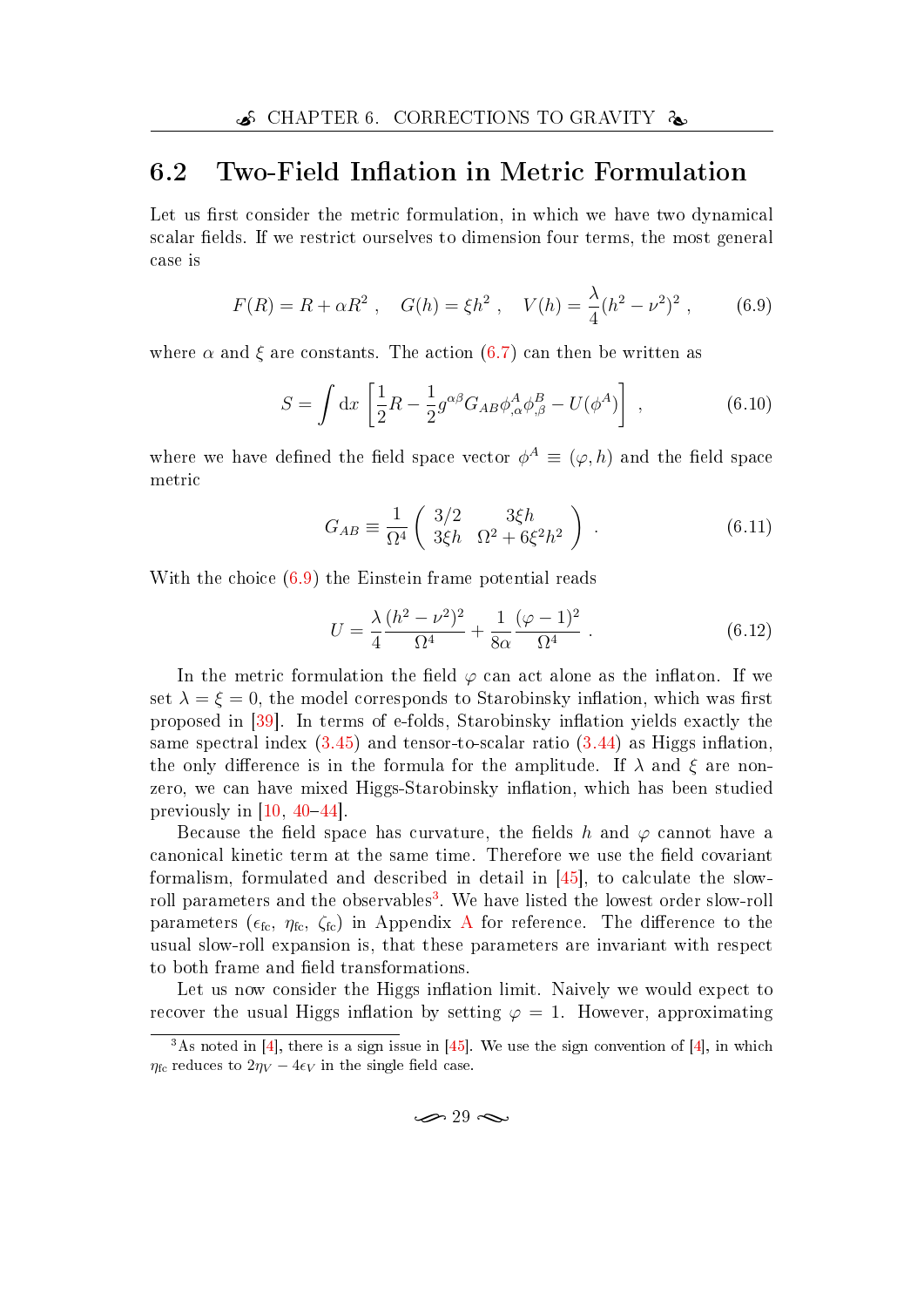### <span id="page-38-0"></span>6.2 Two-Field Inflation in Metric Formulation

Let us first consider the metric formulation, in which we have two dynamical scalar fields. If we restrict ourselves to dimension four terms, the most general case is

$$
F(R) = R + \alpha R^2 \ , \quad G(h) = \xi h^2 \ , \quad V(h) = \frac{\lambda}{4} (h^2 - \nu^2)^2 \ , \tag{6.9}
$$

where  $\alpha$  and  $\xi$  are constants. The action [\(6.7\)](#page-37-1) can then be written as

<span id="page-38-1"></span>
$$
S = \int \mathrm{d}x \left[ \frac{1}{2} R - \frac{1}{2} g^{\alpha\beta} G_{AB} \phi^A_{,\alpha} \phi^B_{,\beta} - U(\phi^A) \right] , \qquad (6.10)
$$

where we have defined the field space vector  $\phi^A \equiv (\varphi, h)$  and the field space metric

$$
G_{AB} \equiv \frac{1}{\Omega^4} \begin{pmatrix} 3/2 & 3\xi h \\ 3\xi h & \Omega^2 + 6\xi^2 h^2 \end{pmatrix} . \tag{6.11}
$$

With the choice [\(6.9\)](#page-38-1) the Einstein frame potential reads

$$
U = \frac{\lambda}{4} \frac{(h^2 - \nu^2)^2}{\Omega^4} + \frac{1}{8\alpha} \frac{(\varphi - 1)^2}{\Omega^4} \,. \tag{6.12}
$$

In the metric formulation the field  $\varphi$  can act alone as the inflaton. If we set  $\lambda = \xi = 0$ , the model corresponds to Starobinsky inflation, which was first proposed in [\[39\]](#page-48-4). In terms of e-folds, Starobinsky inflation yields exactly the same spectral index  $(3.45)$  and tensor-to-scalar ratio  $(3.44)$  as Higgs inflation. the only difference is in the formula for the amplitude. If  $\lambda$  and  $\xi$  are nonzero, we can have mixed Higgs-Starobinsky inflation, which has been studied previously in  $[10, 40-44]$  $[10, 40-44]$  $[10, 40-44]$  $[10, 40-44]$  $[10, 40-44]$ .

Because the field space has curvature, the fields h and  $\varphi$  cannot have a canonical kinetic term at the same time. Therefore we use the field covariant formalism, formulated and described in detail in [\[45\]](#page-48-7), to calculate the slow-roll parameters and the observables<sup>[3](#page-38-2)</sup>. We have listed the lowest order slow-roll parameters ( $\epsilon_{\text{fc}}, \eta_{\text{fc}}, \zeta_{\text{fc}}$ ) in [A](#page-49-0)ppendix A for reference. The difference to the usual slow-roll expansion is, that these parameters are invariant with respect to both frame and field transformations.

Let us now consider the Higgs inflation limit. Naively we would expect to recover the usual Higgs inflation by setting  $\varphi = 1$ . However, approximating

 $\infty$  29  $\infty$ 

<span id="page-38-2"></span><sup>&</sup>lt;sup>3</sup>As noted in [\[4\]](#page-45-1), there is a sign issue in [\[45\]](#page-48-7). We use the sign convention of [4], in which  $\eta_{\text{fc}}$  reduces to  $2\eta_V - 4\epsilon_V$  in the single field case.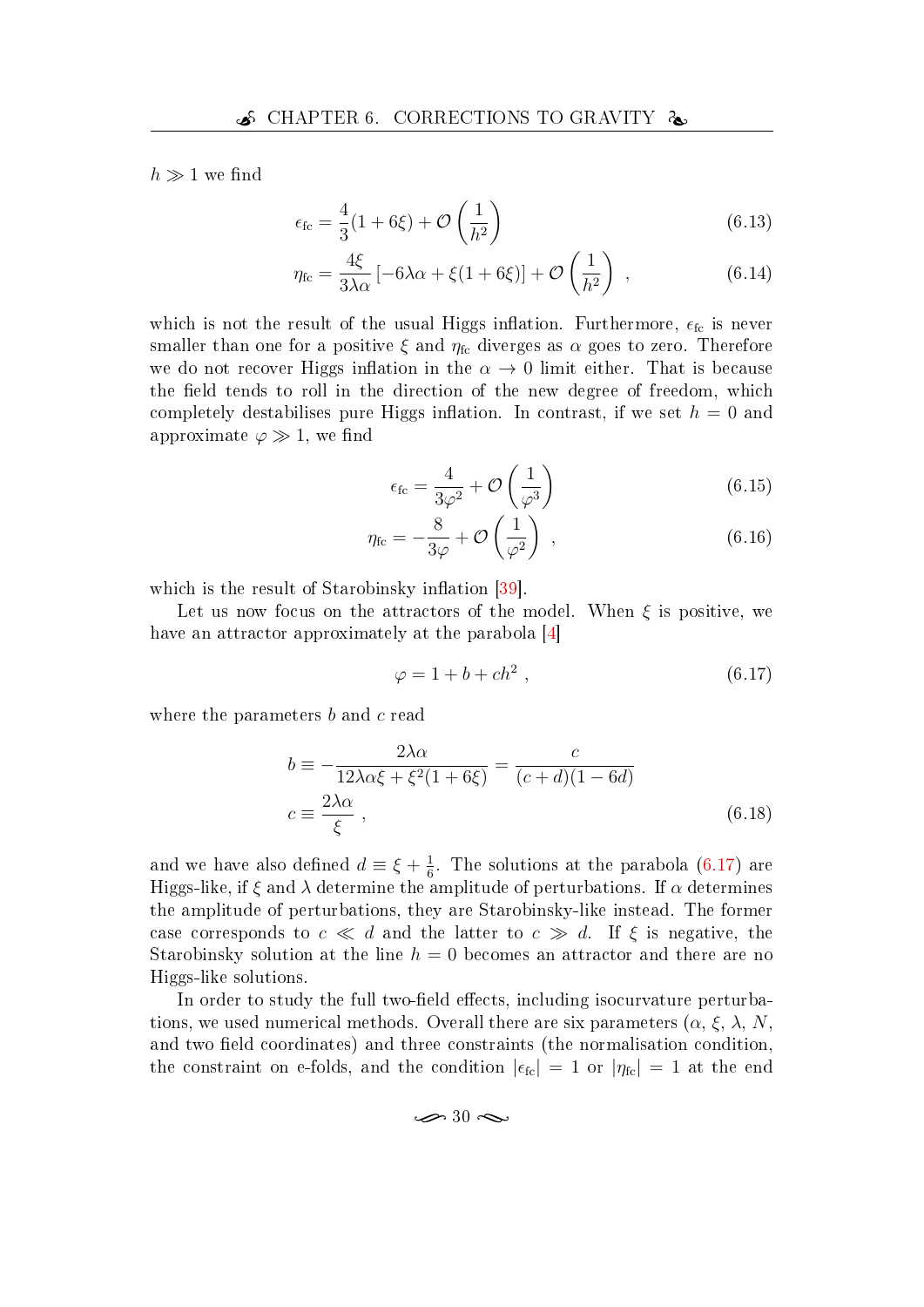$h \gg 1$  we find

$$
\epsilon_{\text{fc}} = \frac{4}{3}(1+6\xi) + \mathcal{O}\left(\frac{1}{h^2}\right) \tag{6.13}
$$

$$
\eta_{\rm fc} = \frac{4\xi}{3\lambda\alpha} \left[ -6\lambda\alpha + \xi(1+6\xi) \right] + \mathcal{O}\left(\frac{1}{h^2}\right) \,,\tag{6.14}
$$

which is not the result of the usual Higgs inflation. Furthermore,  $\epsilon_{\text{fc}}$  is never smaller than one for a positive  $\xi$  and  $\eta_{\text{fc}}$  diverges as  $\alpha$  goes to zero. Therefore we do not recover Higgs inflation in the  $\alpha \rightarrow 0$  limit either. That is because the field tends to roll in the direction of the new degree of freedom, which completely destabilises pure Higgs inflation. In contrast, if we set  $h = 0$  and approximate  $\varphi \gg 1$ , we find

$$
\epsilon_{\text{fc}} = \frac{4}{3\varphi^2} + \mathcal{O}\left(\frac{1}{\varphi^3}\right) \tag{6.15}
$$

$$
\eta_{\rm fc} = -\frac{8}{3\varphi} + \mathcal{O}\left(\frac{1}{\varphi^2}\right) \,, \tag{6.16}
$$

which is the result of Starobinsky inflation  $[39]$ .

Let us now focus on the attractors of the model. When  $\xi$  is positive, we have an attractor approximately at the parabola [\[4\]](#page-45-1)

<span id="page-39-0"></span>
$$
\varphi = 1 + b + ch^2 \tag{6.17}
$$

where the parameters b and c read

$$
b \equiv -\frac{2\lambda\alpha}{12\lambda\alpha\xi + \xi^2(1 + 6\xi)} = \frac{c}{(c+d)(1 - 6d)}
$$
  

$$
c \equiv \frac{2\lambda\alpha}{\xi}, \qquad (6.18)
$$

and we have also defined  $d \equiv \xi + \frac{1}{6}$  $\frac{1}{6}$ . The solutions at the parabola [\(6.17\)](#page-39-0) are Higgs-like, if  $\xi$  and  $\lambda$  determine the amplitude of perturbations. If  $\alpha$  determines the amplitude of perturbations, they are Starobinsky-like instead. The former case corresponds to  $c \ll d$  and the latter to  $c \gg d$ . If  $\xi$  is negative, the Starobinsky solution at the line  $h = 0$  becomes an attractor and there are no Higgs-like solutions.

In order to study the full two-field effects, including isocurvature perturbations, we used numerical methods. Overall there are six parameters  $(\alpha, \xi, \lambda, N, \eta)$ and two field coordinates) and three constraints (the normalisation condition, the constraint on e-folds, and the condition  $|\epsilon_{\text{fc}}| = 1$  or  $|\eta_{\text{fc}}| = 1$  at the end

$$
\mathcal{A} \gg 30 \; \mathcal{A}
$$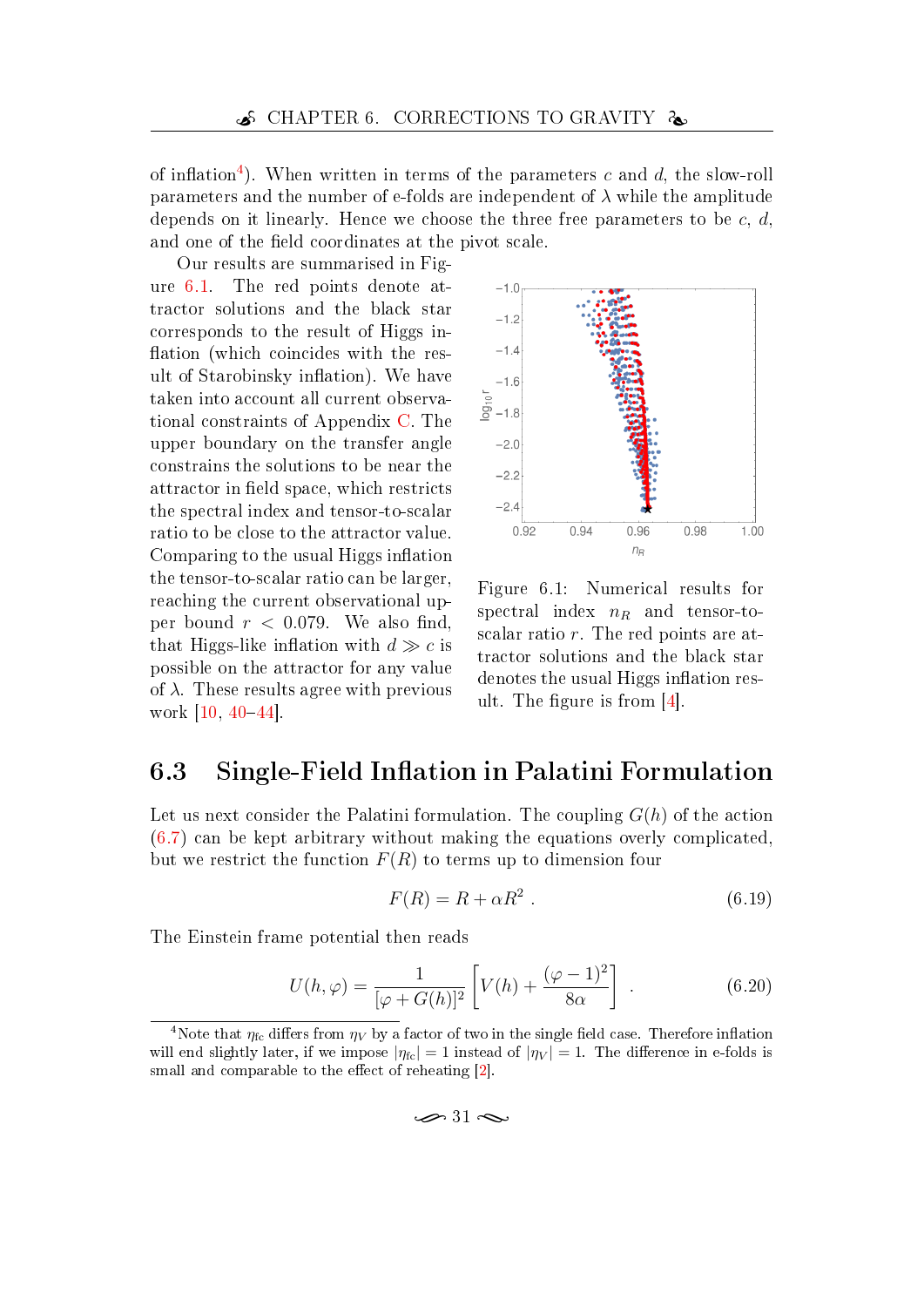of inflation<sup>[4](#page-40-1)</sup>). When written in terms of the parameters c and d, the slow-roll parameters and the number of e-folds are independent of  $\lambda$  while the amplitude depends on it linearly. Hence we choose the three free parameters to be  $c, d$ , and one of the field coordinates at the pivot scale.

Our results are summarised in Figure [6.1.](#page-40-2) The red points denote attractor solutions and the black star corresponds to the result of Higgs in flation (which coincides with the result of Starobinsky inflation). We have taken into account all current observational constraints of Appendix [C.](#page-53-0) The upper boundary on the transfer angle constrains the solutions to be near the attractor in field space, which restricts the spectral index and tensor-to-scalar ratio to be close to the attractor value. Comparing to the usual Higgs inflation the tensor-to-scalar ratio can be larger, reaching the current observational upper bound  $r < 0.079$ . We also find, that Higgs-like inflation with  $d \gg c$  is possible on the attractor for any value of  $\lambda$ . These results agree with previous work  $[10, 40-44]$  $[10, 40-44]$  $[10, 40-44]$  $[10, 40-44]$  $[10, 40-44]$ .



<span id="page-40-2"></span>Figure 6.1: Numerical results for spectral index  $n_R$  and tensor-toscalar ratio r. The red points are attractor solutions and the black star denotes the usual Higgs inflation result. The figure is from  $[4]$ .

## <span id="page-40-0"></span>6.3 Single-Field Inflation in Palatini Formulation

Let us next consider the Palatini formulation. The coupling  $G(h)$  of the action [\(6.7\)](#page-37-1) can be kept arbitrary without making the equations overly complicated, but we restrict the function  $F(R)$  to terms up to dimension four

$$
F(R) = R + \alpha R^2 \tag{6.19}
$$

The Einstein frame potential then reads

$$
U(h,\varphi) = \frac{1}{[\varphi + G(h)]^2} \left[ V(h) + \frac{(\varphi - 1)^2}{8\alpha} \right] . \tag{6.20}
$$

 $\approx$  31  $\approx$ 

<span id="page-40-1"></span><sup>&</sup>lt;sup>4</sup>Note that  $\eta_{\text{fc}}$  differs from  $\eta_V$  by a factor of two in the single field case. Therefore inflation will end slightly later, if we impose  $|\eta_{\text{fc}}| = 1$  instead of  $|\eta_V| = 1$ . The difference in e-folds is small and comparable to the effect of reheating  $[2]$ .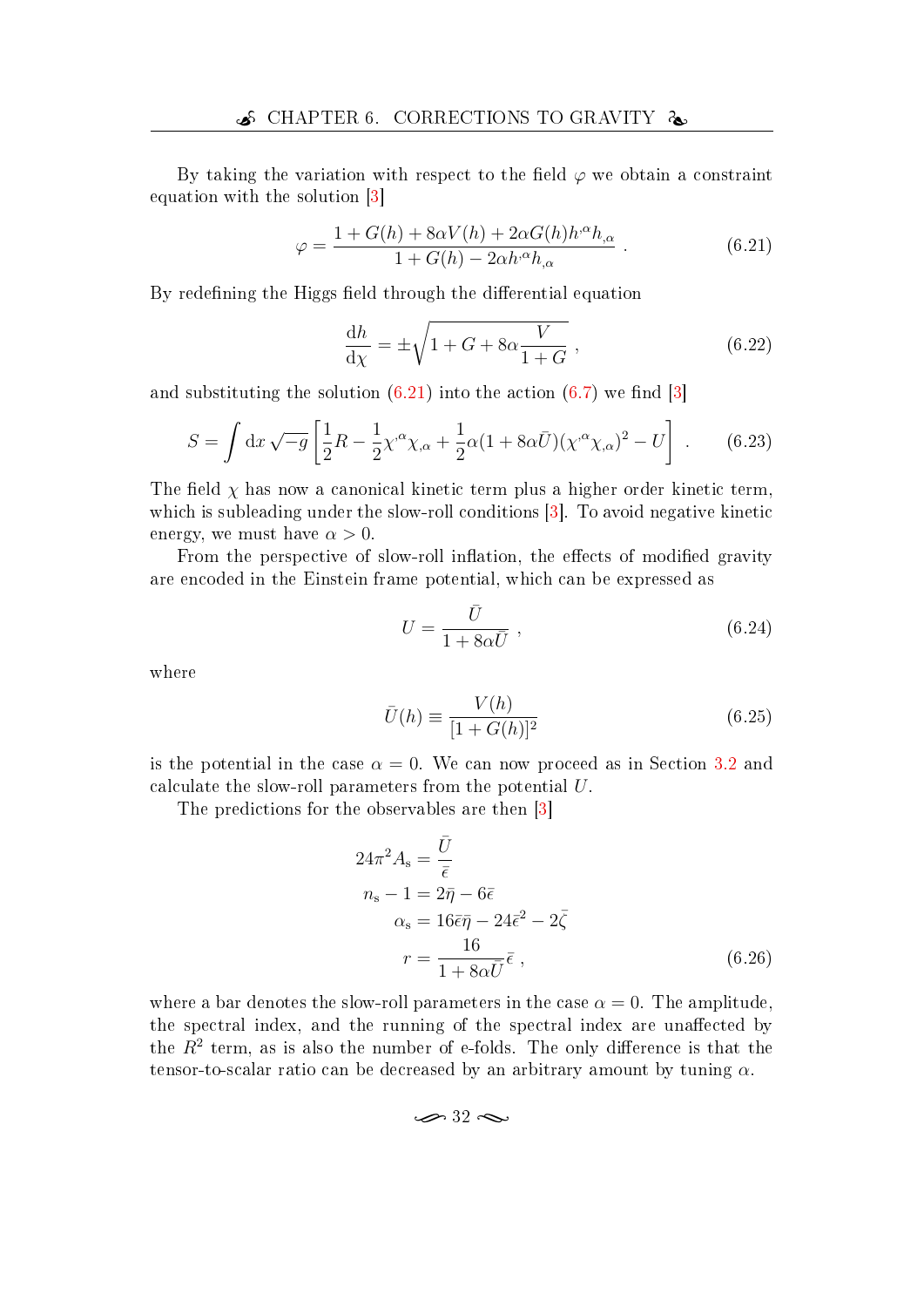By taking the variation with respect to the field  $\varphi$  we obtain a constraint equation with the solution [\[3\]](#page-45-11)

$$
\varphi = \frac{1 + G(h) + 8\alpha V(h) + 2\alpha G(h)h^{\alpha}h_{,\alpha}}{1 + G(h) - 2\alpha h^{\alpha}h_{,\alpha}}.
$$
\n(6.21)

By redefining the Higgs field through the differential equation

<span id="page-41-0"></span>
$$
\frac{\mathrm{d}h}{\mathrm{d}\chi} = \pm \sqrt{1 + G + 8\alpha \frac{V}{1 + G}},\tag{6.22}
$$

and substituting the solution  $(6.21)$  into the action  $(6.7)$  we find [\[3\]](#page-45-11)

$$
S = \int dx \sqrt{-g} \left[ \frac{1}{2} R - \frac{1}{2} \chi^{\alpha} \chi_{,\alpha} + \frac{1}{2} \alpha (1 + 8\alpha \bar{U}) (\chi^{\alpha} \chi_{,\alpha})^2 - U \right] . \tag{6.23}
$$

The field  $\chi$  has now a canonical kinetic term plus a higher order kinetic term, which is subleading under the slow-roll conditions [\[3\]](#page-45-11). To avoid negative kinetic energy, we must have  $\alpha > 0$ .

From the perspective of slow-roll inflation, the effects of modified gravity are encoded in the Einstein frame potential, which can be expressed as

$$
U = \frac{\bar{U}}{1 + 8\alpha \bar{U}} \,, \tag{6.24}
$$

where

$$
\bar{U}(h) \equiv \frac{V(h)}{[1 + G(h)]^2} \tag{6.25}
$$

is the potential in the case  $\alpha = 0$ . We can now proceed as in Section [3.2](#page-18-0) and calculate the slow-roll parameters from the potential U.

The predictions for the observables are then [\[3\]](#page-45-11)

$$
24\pi^2 A_s = \frac{\bar{U}}{\bar{\epsilon}}
$$
  
\n
$$
n_s - 1 = 2\bar{\eta} - 6\bar{\epsilon}
$$
  
\n
$$
\alpha_s = 16\bar{\epsilon}\bar{\eta} - 24\bar{\epsilon}^2 - 2\bar{\zeta}
$$
  
\n
$$
r = \frac{16}{1 + 8\alpha\bar{U}}\bar{\epsilon},
$$
\n(6.26)

where a bar denotes the slow-roll parameters in the case  $\alpha = 0$ . The amplitude, the spectral index, and the running of the spectral index are unaffected by the  $R^2$  term, as is also the number of e-folds. The only difference is that the tensor-to-scalar ratio can be decreased by an arbitrary amount by tuning  $\alpha$ .

<span id="page-41-1"></span>
$$
\epsilon \gg 32 \approx
$$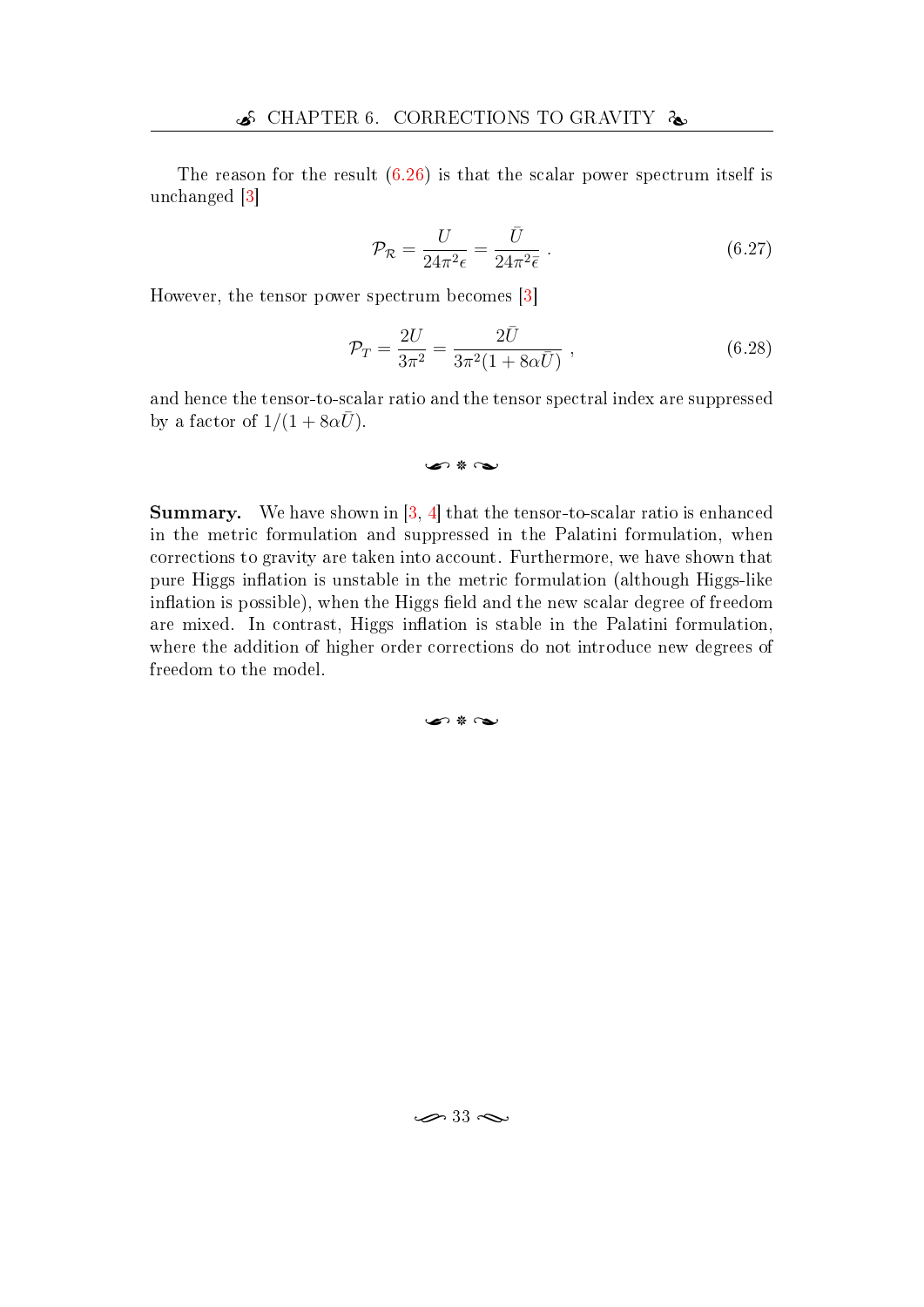The reason for the result [\(6.26\)](#page-41-1) is that the scalar power spectrum itself is unchanged [\[3\]](#page-45-11)

$$
\mathcal{P}_{\mathcal{R}} = \frac{U}{24\pi^2 \epsilon} = \frac{\bar{U}}{24\pi^2 \bar{\epsilon}}.
$$
\n(6.27)

However, the tensor power spectrum becomes [\[3\]](#page-45-11)

$$
\mathcal{P}_T = \frac{2U}{3\pi^2} = \frac{2\bar{U}}{3\pi^2(1 + 8\alpha\bar{U})},
$$
\n(6.28)

and hence the tensor-to-scalar ratio and the tensor spectral index are suppressed by a factor of  $1/(1 + 8\alpha \bar{U})$ .

$$
\text{Lip} \ast \text{Lip}
$$

**Summary.** We have shown in  $\begin{bmatrix} 3 & 4 \end{bmatrix}$  that the tensor-to-scalar ratio is enhanced in the metric formulation and suppressed in the Palatini formulation, when corrections to gravity are taken into account. Furthermore, we have shown that pure Higgs inflation is unstable in the metric formulation (although Higgs-like inflation is possible), when the Higgs field and the new scalar degree of freedom are mixed. In contrast, Higgs inflation is stable in the Palatini formulation, where the addition of higher order corrections do not introduce new degrees of freedom to the model.

#### سم \* ص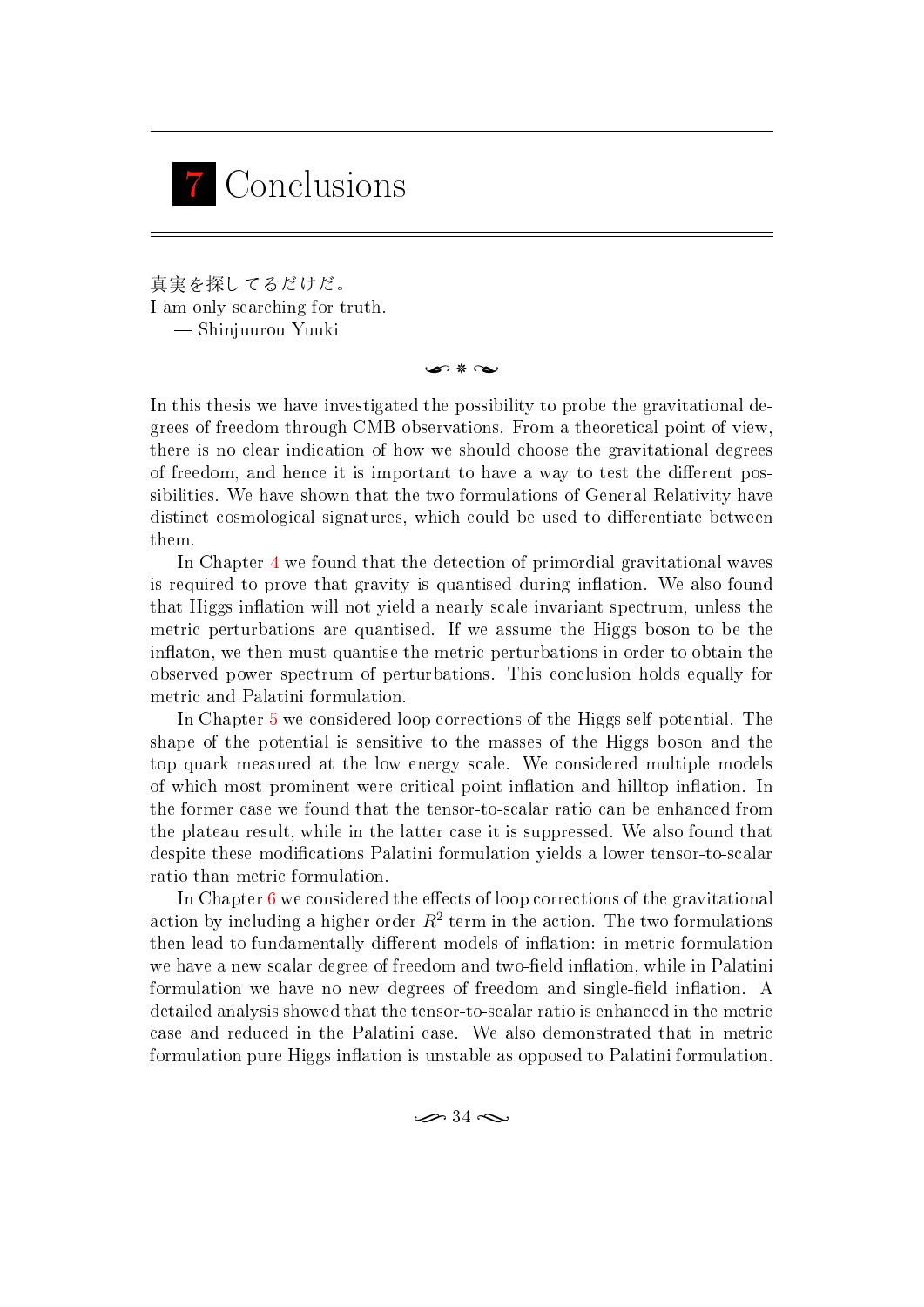<span id="page-43-0"></span>

真実を探してるだけだ。 I am only searching for truth. Shinjuurou Yuuki

n \* ~

In this thesis we have investigated the possibility to probe the gravitational degrees of freedom through CMB observations. From a theoretical point of view, there is no clear indication of how we should choose the gravitational degrees of freedom, and hence it is important to have a way to test the different possibilities. We have shown that the two formulations of General Relativity have distinct cosmological signatures, which could be used to differentiate between them.

In Chapter [4](#page-24-0) we found that the detection of primordial gravitational waves is required to prove that gravity is quantised during inflation. We also found that Higgs inflation will not yield a nearly scale invariant spectrum, unless the metric perturbations are quantised. If we assume the Higgs boson to be the inflaton, we then must quantise the metric perturbations in order to obtain the observed power spectrum of perturbations. This conclusion holds equally for metric and Palatini formulation.

In Chapter [5](#page-29-0) we considered loop corrections of the Higgs self-potential. The shape of the potential is sensitive to the masses of the Higgs boson and the top quark measured at the low energy scale. We considered multiple models of which most prominent were critical point inflation and hilltop inflation. In the former case we found that the tensor-to-scalar ratio can be enhanced from the plateau result, while in the latter case it is suppressed. We also found that despite these modifications Palatini formulation yields a lower tensor-to-scalar ratio than metric formulation.

In Chapter  $6$  we considered the effects of loop corrections of the gravitational action by including a higher order  $R^2$  term in the action. The two formulations then lead to fundamentally different models of inflation: in metric formulation we have a new scalar degree of freedom and two-field inflation, while in Palatini formulation we have no new degrees of freedom and single-field inflation. A detailed analysis showed that the tensor-to-scalar ratio is enhanced in the metric case and reduced in the Palatini case. We also demonstrated that in metric formulation pure Higgs inflation is unstable as opposed to Palatini formulation.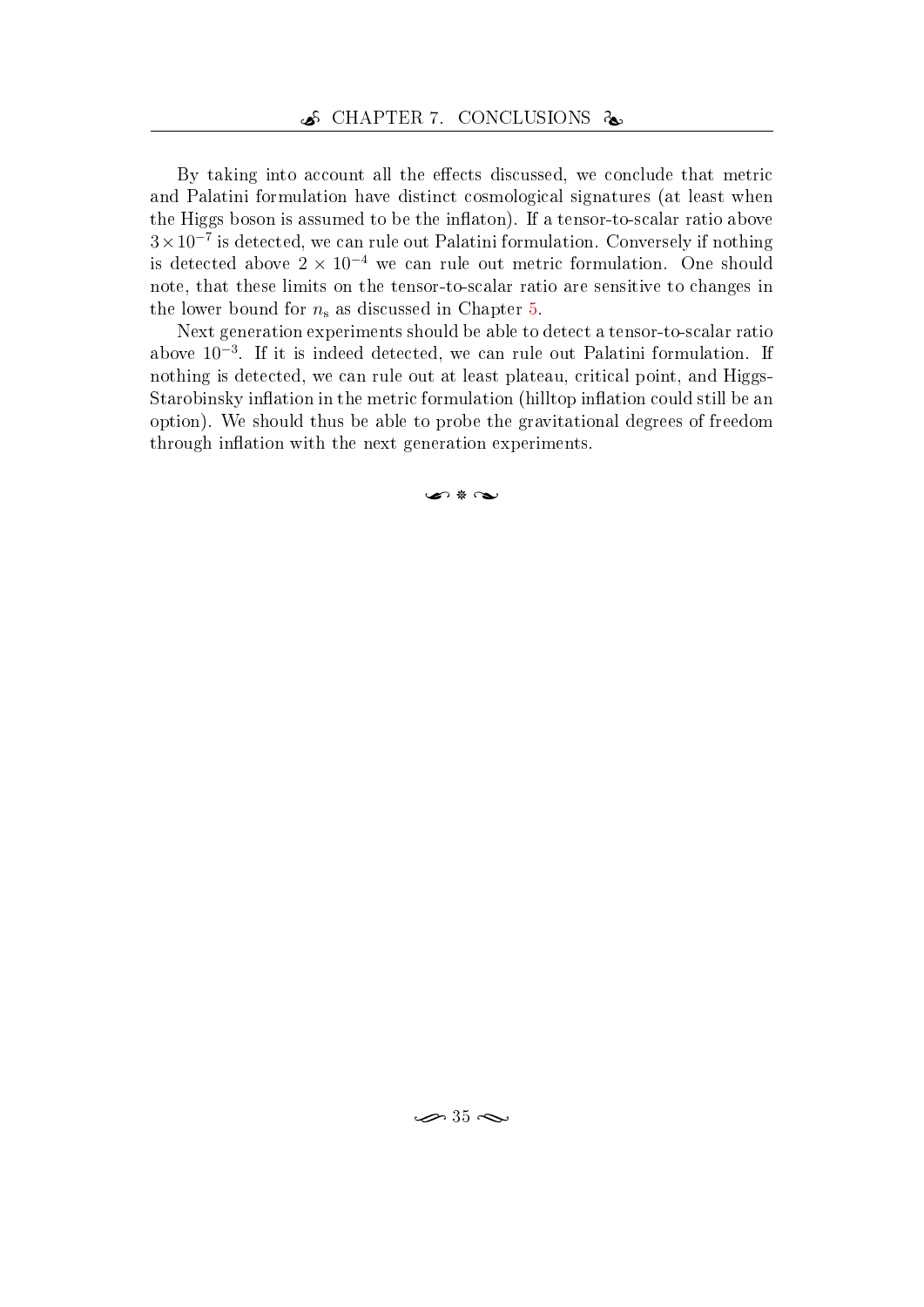By taking into account all the effects discussed, we conclude that metric and Palatini formulation have distinct cosmological signatures (at least when the Higgs boson is assumed to be the inflaton). If a tensor-to-scalar ratio above 3×10<sup>−</sup><sup>7</sup> is detected, we can rule out Palatini formulation. Conversely if nothing is detected above  $2 \times 10^{-4}$  we can rule out metric formulation. One should note, that these limits on the tensor-to-scalar ratio are sensitive to changes in the lower bound for  $n_s$  as discussed in Chapter [5.](#page-29-0)

Next generation experiments should be able to detect a tensor-to-scalar ratio above 10<sup>−</sup><sup>3</sup> . If it is indeed detected, we can rule out Palatini formulation. If nothing is detected, we can rule out at least plateau, critical point, and Higgs-Starobinsky inflation in the metric formulation (hilltop inflation could still be an option). We should thus be able to probe the gravitational degrees of freedom through inflation with the next generation experiments.

 $\sim$  8  $\sim$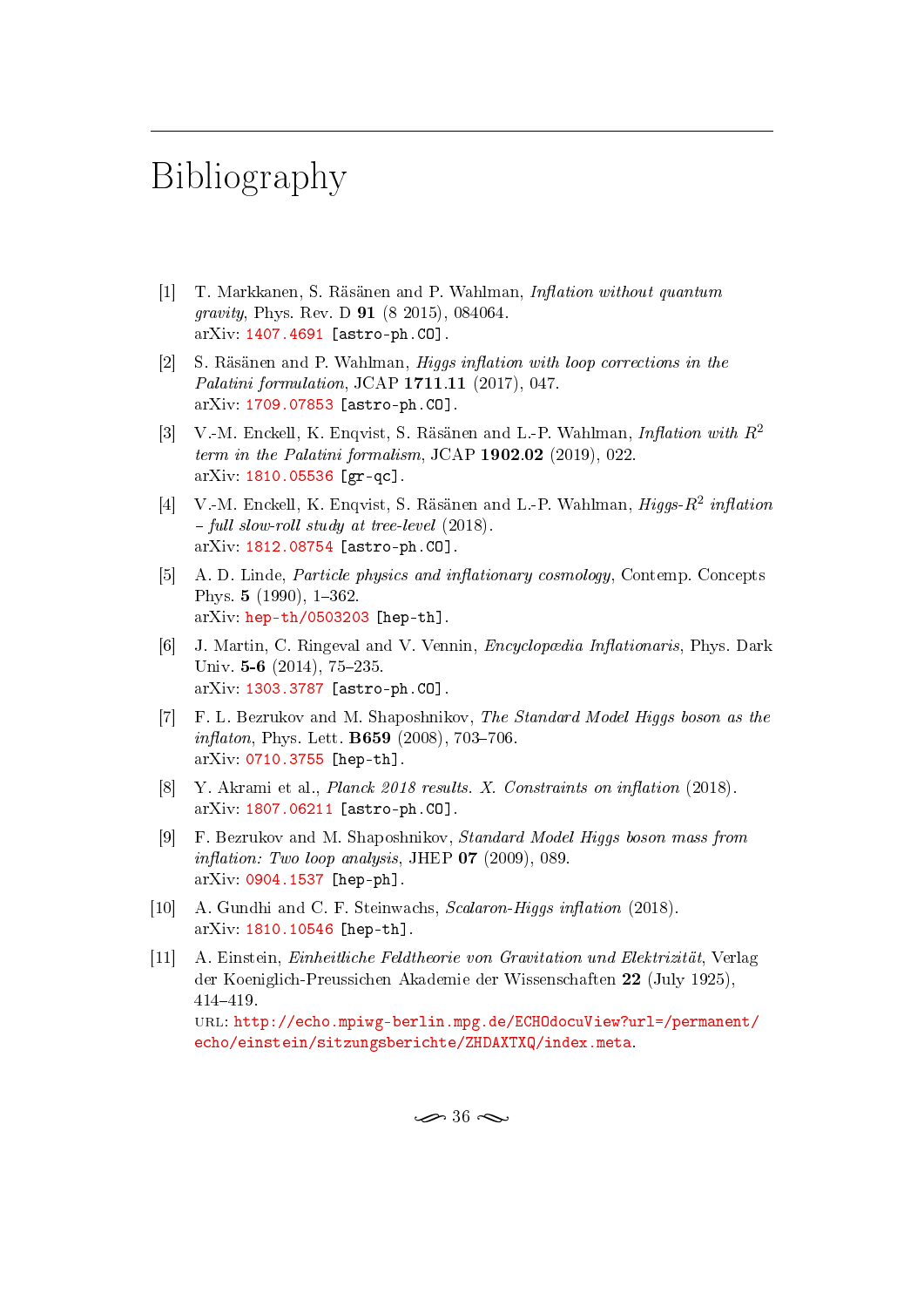## <span id="page-45-2"></span>Bibliography

- <span id="page-45-0"></span> $[1]$  T. Markkanen, S. Räsänen and P. Wahlman, *Inflation without quantum* gravity, Phys. Rev. D 91 (8 2015), 084064. arXiv: [1407.4691](http://arxiv.org/abs/1407.4691) [astro-ph.CO].
- <span id="page-45-10"></span> $[2]$  S. Räsänen and P. Wahlman, *Higgs inflation with loop corrections in the* Palatini formulation, JCAP 1711.11 (2017), 047. arXiv: [1709.07853](http://arxiv.org/abs/1709.07853) [astro-ph.CO].
- <span id="page-45-11"></span>[3] V.-M. Enckell, K. Enqvist, S. Räsänen and L.-P. Wahlman, *Inflation with*  $R^2$ term in the Palatini formalism, JCAP 1902.02 (2019), 022. arXiv: [1810.05536](http://arxiv.org/abs/1810.05536) [gr-qc].
- <span id="page-45-1"></span>[4] V.-M. Enckell, K. Enqvist, S. Räsänen and L.-P. Wahlman,  $Higgs-R^2$  inflation  $-$  full slow-roll study at tree-level (2018). arXiv: [1812.08754](http://arxiv.org/abs/1812.08754) [astro-ph.CO].
- <span id="page-45-3"></span>[5] A. D. Linde, *Particle physics and inflationary cosmology*, Contemp. Concepts Phys.  $5(1990)$ , 1-362.  $arXiv: \mathbf{hep-th}/0503203$  [hep-th].
- <span id="page-45-4"></span>[6] J. Martin, C. Ringeval and V. Vennin, *Encyclopædia Inflationaris*, Phys. Dark Univ.  $5-6$  (2014), 75-235. arXiv: [1303.3787](http://arxiv.org/abs/1303.3787) [astro-ph.CO].
- <span id="page-45-5"></span>[7] F. L. Bezrukov and M. Shaposhnikov, The Standard Model Higgs boson as the  $inflation$ , Phys. Lett. **B659** (2008), 703-706. arXiv: [0710.3755](http://arxiv.org/abs/0710.3755) [hep-th].
- <span id="page-45-6"></span>[8] Y. Akrami et al., *Planck 2018 results. X. Constraints on inflation*  $(2018)$ . arXiv: [1807.06211](http://arxiv.org/abs/1807.06211) [astro-ph.CO].
- <span id="page-45-7"></span>[9] F. Bezrukov and M. Shaposhnikov, Standard Model Higgs boson mass from inflation: Two loop analysis, JHEP  $07$  (2009), 089. arXiv: [0904.1537](http://arxiv.org/abs/0904.1537) [hep-ph].
- <span id="page-45-8"></span>[10] A. Gundhi and C. F. Steinwachs,  $Scalaron-Higgs\ inflation\ (2018)$ . arXiv: [1810.10546](http://arxiv.org/abs/1810.10546) [hep-th].
- <span id="page-45-9"></span>[11] A. Einstein, Einheitliche Feldtheorie von Gravitation und Elektrizität, Verlag der Koeniglich-Preussichen Akademie der Wissenschaften 22 (July 1925), 414419. url: [http://echo.mpiwg-berlin.mpg.de/ECHOdocuView?url=/permanent/](http://echo.mpiwg-berlin.mpg.de/ECHOdocuView?url=/permanent/echo/einstein/sitzungsberichte/ZHDAXTXQ/index.meta) [echo/einstein/sitzungsberichte/ZHDAXTXQ/index.meta.](http://echo.mpiwg-berlin.mpg.de/ECHOdocuView?url=/permanent/echo/einstein/sitzungsberichte/ZHDAXTXQ/index.meta)

 $\infty$  36  $\infty$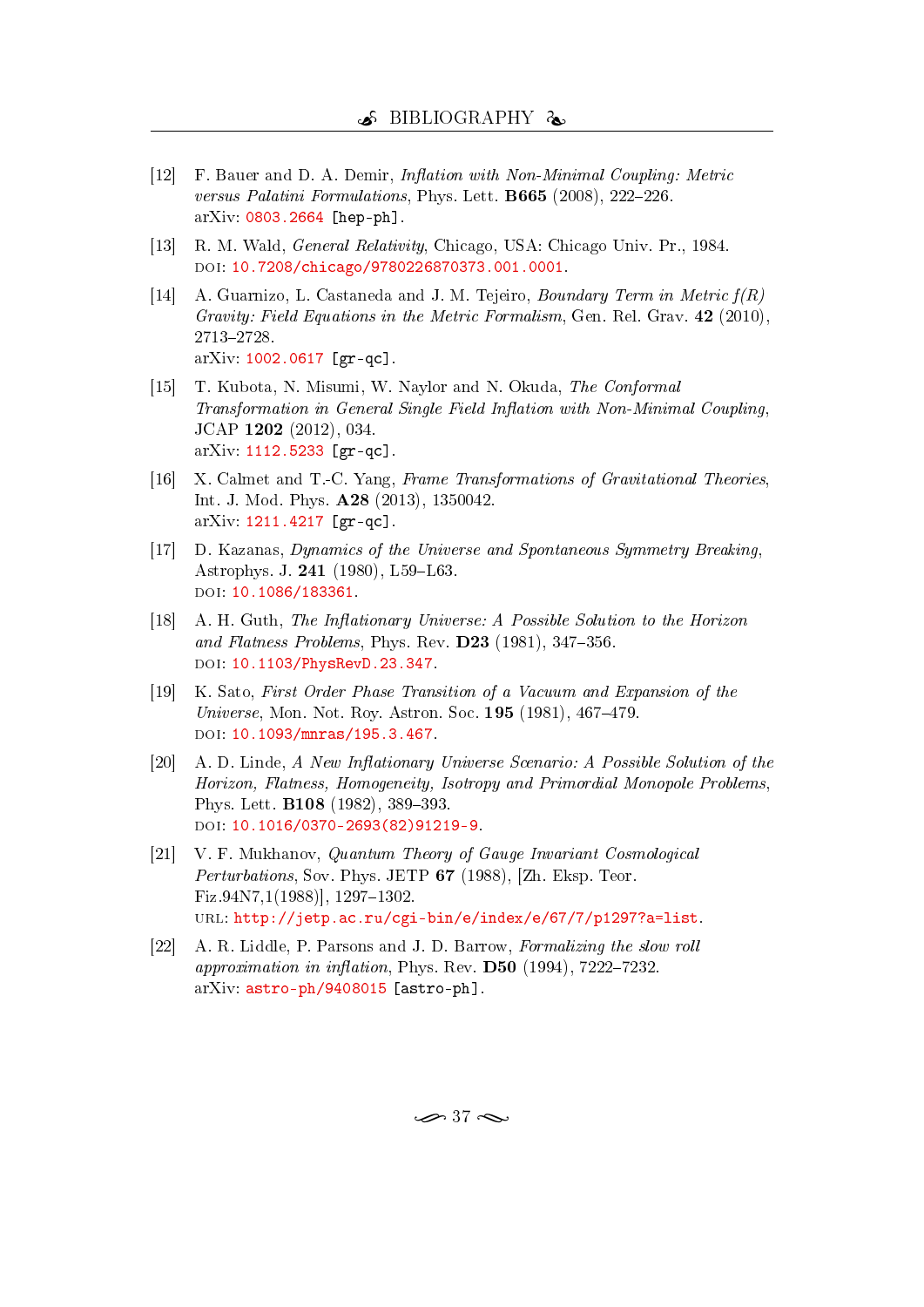- <span id="page-46-0"></span>[12] F. Bauer and D. A. Demir, *Inflation with Non-Minimal Coupling: Metric* versus Palatini Formulations, Phys. Lett.  $B665$  (2008), 222-226. arXiv: [0803.2664](http://arxiv.org/abs/0803.2664) [hep-ph].
- <span id="page-46-1"></span>[13] R. M. Wald, *General Relativity*, Chicago, USA: Chicago Univ. Pr., 1984. doi: [10.7208/chicago/9780226870373.001.0001.](http://dx.doi.org/10.7208/chicago/9780226870373.001.0001)
- <span id="page-46-2"></span>[14] A. Guarnizo, L. Castaneda and J. M. Tejeiro, *Boundary Term in Metric*  $f(R)$ Gravity: Field Equations in the Metric Formalism, Gen. Rel. Grav. 42 (2010). 27132728. arXiv: [1002.0617](http://arxiv.org/abs/1002.0617) [gr-qc].
- <span id="page-46-3"></span>[15] T. Kubota, N. Misumi, W. Naylor and N. Okuda, The Conformal Transformation in General Single Field Inflation with Non-Minimal Coupling, JCAP 1202 (2012), 034. arXiv: [1112.5233](http://arxiv.org/abs/1112.5233) [gr-qc].
- <span id="page-46-4"></span>[16] X. Calmet and T.-C. Yang, Frame Transformations of Gravitational Theories, Int. J. Mod. Phys. A28 (2013), 1350042. arXiv: [1211.4217](http://arxiv.org/abs/1211.4217) [gr-qc].
- <span id="page-46-5"></span>[17] D. Kazanas, Dynamics of the Universe and Spontaneous Symmetry Breaking, Astrophys. J. 241 (1980), L59-L63. doi: [10.1086/183361.](http://dx.doi.org/10.1086/183361)
- [18] A. H. Guth, The Inflationary Universe: A Possible Solution to the Horizon and Flatness Problems, Phys. Rev.  $D23$  (1981), 347-356. doi: [10.1103/PhysRevD.23.347.](http://dx.doi.org/10.1103/PhysRevD.23.347)
- [19] K. Sato, First Order Phase Transition of a Vacuum and Expansion of the Universe, Mon. Not. Roy. Astron. Soc.  $195$  (1981), 467–479. DOI: [10.1093/mnras/195.3.467.](http://dx.doi.org/10.1093/mnras/195.3.467)
- <span id="page-46-6"></span>[20] A. D. Linde, A New Inflationary Universe Scenario: A Possible Solution of the Horizon, Flatness, Homogeneity, Isotropy and Primordial Monopole Problems, Phys. Lett. **B108** (1982), 389-393. doi: [10.1016/0370-2693\(82\)91219-9.](http://dx.doi.org/10.1016/0370-2693(82)91219-9)
- <span id="page-46-7"></span>[21] V. F. Mukhanov, Quantum Theory of Gauge Invariant Cosmological Perturbations, Sov. Phys. JETP 67 (1988), [Zh. Eksp. Teor.  $Fix.94N7,1(1988)$ ], 1297-1302. url: [http://jetp.ac.ru/cgi-bin/e/index/e/67/7/p1297?a=list.](http://jetp.ac.ru/cgi-bin/e/index/e/67/7/p1297?a=list)
- <span id="page-46-8"></span>[22] A. R. Liddle, P. Parsons and J. D. Barrow, Formalizing the slow roll approximation in inflation, Phys. Rev.  $\bf{D50}$  (1994), 7222-7232. arXiv: [astro-ph/9408015](http://arxiv.org/abs/astro-ph/9408015) [astro-ph].

 $\rightarrow$  37  $\sim$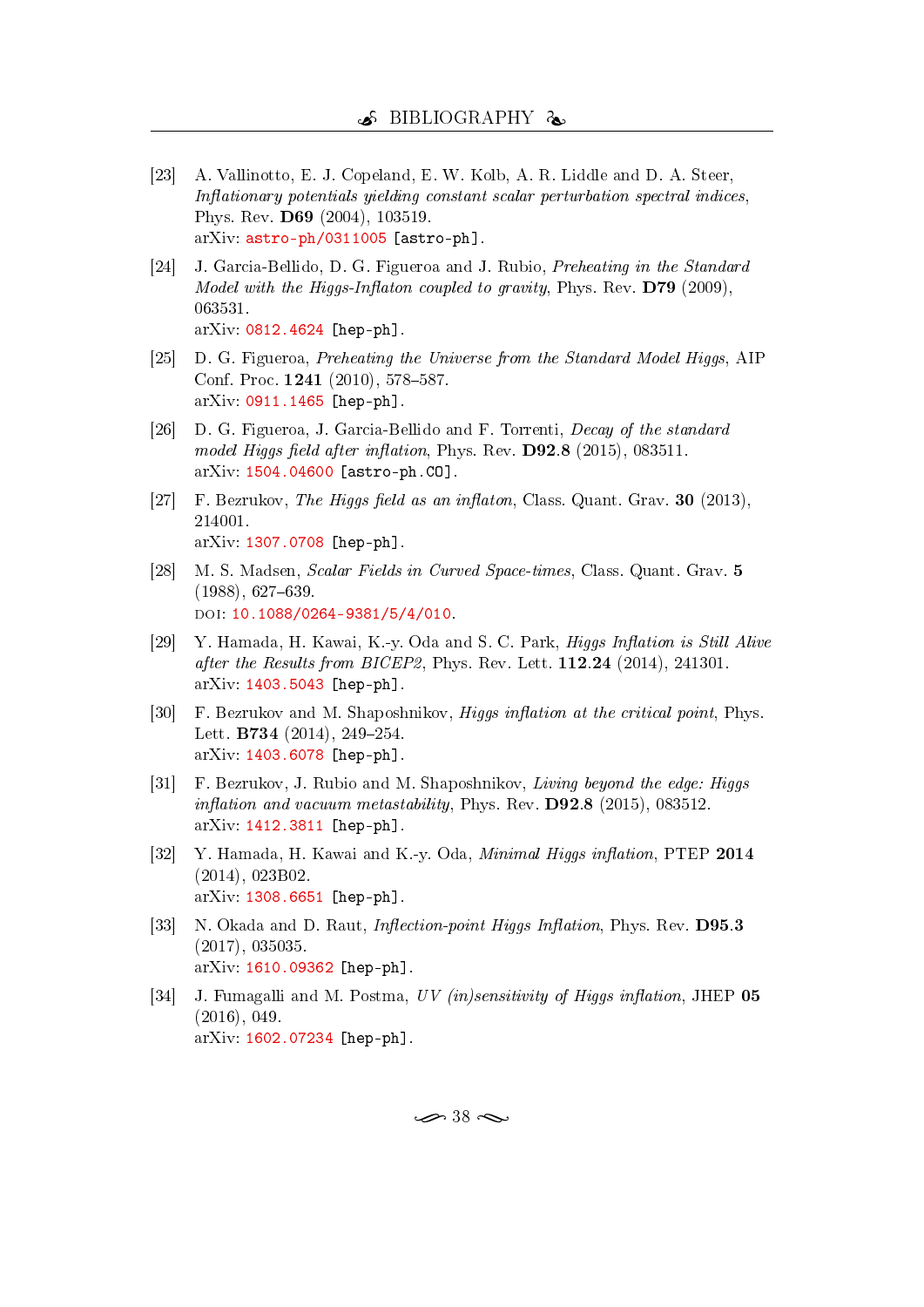- <span id="page-47-0"></span>[23] A. Vallinotto, E. J. Copeland, E. W. Kolb, A. R. Liddle and D. A. Steer,  $Inflationary\ potentials\ yielding\ constant\ scalar\ perturbation\ spectra\ indices.$ Phys. Rev. D69 (2004), 103519. arXiv: [astro-ph/0311005](http://arxiv.org/abs/astro-ph/0311005) [astro-ph].
- <span id="page-47-1"></span>[24] J. Garcia-Bellido, D. G. Figueroa and J. Rubio, Preheating in the Standard Model with the Higgs-Inflaton coupled to gravity, Phys. Rev.  $D79$  (2009), 063531. arXiv: [0812.4624](http://arxiv.org/abs/0812.4624) [hep-ph].
- [25] D. G. Figueroa, Preheating the Universe from the Standard Model Higgs, AIP Conf. Proc. 1241 (2010), 578-587. arXiv: [0911.1465](http://arxiv.org/abs/0911.1465) [hep-ph].
- <span id="page-47-2"></span>[26] D. G. Figueroa, J. Garcia-Bellido and F. Torrenti, Decay of the standard model Higgs field after inflation, Phys. Rev.  $D92.8$  (2015), 083511. arXiv: [1504.04600](http://arxiv.org/abs/1504.04600) [astro-ph.CO].
- <span id="page-47-3"></span>[27] F. Bezrukov, The Higgs field as an inflaton, Class. Quant. Grav.  $30$  (2013), 214001. arXiv: [1307.0708](http://arxiv.org/abs/1307.0708) [hep-ph].
- <span id="page-47-4"></span>[28] M. S. Madsen, Scalar Fields in Curved Space-times, Class. Quant. Grav. 5  $(1988), 627-639.$ DOI: [10.1088/0264-9381/5/4/010.](http://dx.doi.org/10.1088/0264-9381/5/4/010)
- <span id="page-47-5"></span>[29] Y. Hamada, H. Kawai, K.-y. Oda and S. C. Park, *Higgs Inflation is Still Alive* after the Results from BICEP2, Phys. Rev. Lett. 112.24 (2014), 241301. arXiv: [1403.5043](http://arxiv.org/abs/1403.5043) [hep-ph].
- <span id="page-47-7"></span>[30] F. Bezrukov and M. Shaposhnikov, *Higgs inflation at the critical point*, Phys. Lett. **B734** (2014), 249-254. arXiv: [1403.6078](http://arxiv.org/abs/1403.6078) [hep-ph].
- <span id="page-47-8"></span>[31] F. Bezrukov, J. Rubio and M. Shaposhnikov, Living beyond the edge: Higgs inflation and vacuum metastability, Phys. Rev.  $D92.8$  (2015), 083512. arXiv: [1412.3811](http://arxiv.org/abs/1412.3811) [hep-ph].
- <span id="page-47-6"></span>[32] Y. Hamada, H. Kawai and K.-y. Oda, Minimal Higgs inflation, PTEP 2014 (2014), 023B02. arXiv: [1308.6651](http://arxiv.org/abs/1308.6651) [hep-ph].
- [33] N. Okada and D. Raut, *Inflection-point Higgs Inflation*, Phys. Rev. **D95.3** (2017), 035035. arXiv: [1610.09362](http://arxiv.org/abs/1610.09362) [hep-ph].
- <span id="page-47-9"></span>[34] J. Fumagalli and M. Postma,  $UV$  (in)sensitivity of Higgs inflation, JHEP 05 (2016), 049. arXiv: [1602.07234](http://arxiv.org/abs/1602.07234) [hep-ph].

 $\rightarrow$  38  $\sim$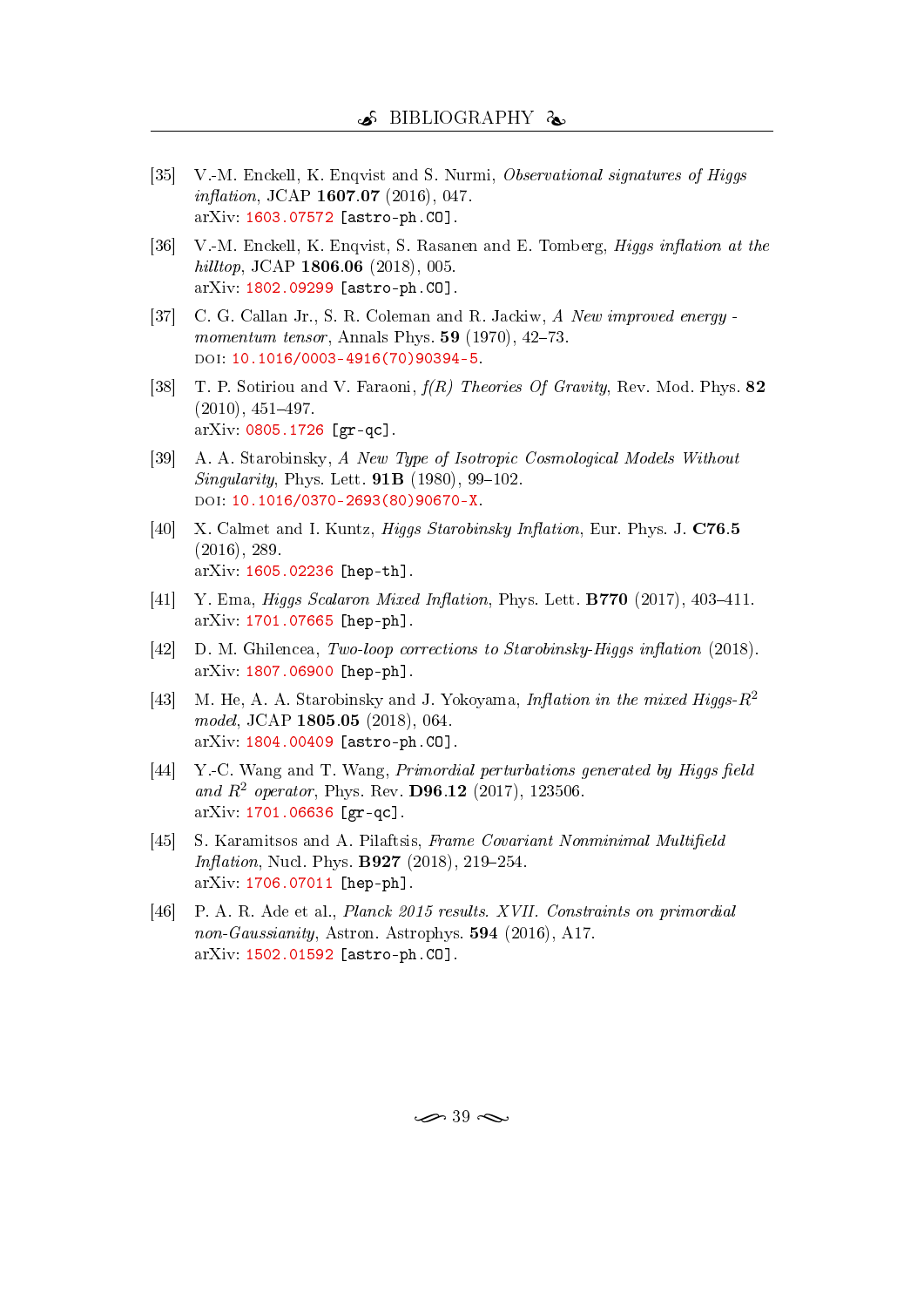- <span id="page-48-0"></span>[35] V.-M. Enckell, K. Enqvist and S. Nurmi, Observational signatures of Higgs  $inflation, JCAP 1607.07 (2016), 047.$ arXiv: [1603.07572](http://arxiv.org/abs/1603.07572) [astro-ph.CO].
- <span id="page-48-1"></span>[36] V.-M. Enckell, K. Enqvist, S. Rasanen and E. Tomberg, *Higgs inflation at the* hilltop, JCAP 1806.06 (2018), 005. arXiv: [1802.09299](http://arxiv.org/abs/1802.09299) [astro-ph.CO].
- <span id="page-48-2"></span>[37] C. G. Callan Jr., S. R. Coleman and R. Jackiw, A New improved energy momentum tensor, Annals Phys.  $59$  (1970), 42-73. DOI: [10.1016/0003-4916\(70\)90394-5.](http://dx.doi.org/10.1016/0003-4916(70)90394-5)
- <span id="page-48-3"></span>[38] T. P. Sotiriou and V. Faraoni, f(R) Theories Of Gravity, Rev. Mod. Phys. 82  $(2010), 451-497.$ arXiv: [0805.1726](http://arxiv.org/abs/0805.1726) [gr-qc].
- <span id="page-48-4"></span>[39] A. A. Starobinsky, A New Type of Isotropic Cosmological Models Without Singularity, Phys. Lett.  $91B(1980), 99-102$ . doi: [10.1016/0370-2693\(80\)90670-X.](http://dx.doi.org/10.1016/0370-2693(80)90670-X)
- <span id="page-48-5"></span>[40] X. Calmet and I. Kuntz, *Higgs Starobinsky Inflation*, Eur. Phys. J. C76.5 (2016), 289. arXiv: [1605.02236](http://arxiv.org/abs/1605.02236) [hep-th].
- [41] Y. Ema, *Higgs Scalaron Mixed Inflation*, Phys. Lett. **B770** (2017), 403-411. arXiv: [1701.07665](http://arxiv.org/abs/1701.07665) [hep-ph].
- $[42]$  D. M. Ghilencea, Two-loop corrections to Starobinsky-Higgs inflation (2018). arXiv: [1807.06900](http://arxiv.org/abs/1807.06900) [hep-ph].
- [43] M. He, A. A. Starobinsky and J. Yokoyama, *Inflation in the mixed Higgs-R*<sup>2</sup> model, JCAP 1805.05 (2018), 064. arXiv: [1804.00409](http://arxiv.org/abs/1804.00409) [astro-ph.CO].
- <span id="page-48-6"></span> $[44]$  Y.-C. Wang and T. Wang, *Primordial perturbations generated by Higgs field* and  $R^2$  operator, Phys. Rev. D96.12 (2017), 123506. arXiv: [1701.06636](http://arxiv.org/abs/1701.06636) [gr-qc].
- <span id="page-48-7"></span>[45] S. Karamitsos and A. Pilaftsis, Frame Covariant Nonminimal Multifield *Inflation*, Nucl. Phys. **B927** (2018), 219–254. arXiv: [1706.07011](http://arxiv.org/abs/1706.07011) [hep-ph].
- <span id="page-48-8"></span>[46] P. A. R. Ade et al., *Planck 2015 results. XVII. Constraints on primordial* non-Gaussianity, Astron. Astrophys. 594 (2016), A17. arXiv: [1502.01592](http://arxiv.org/abs/1502.01592) [astro-ph.CO].

 $\approx$  39  $\approx$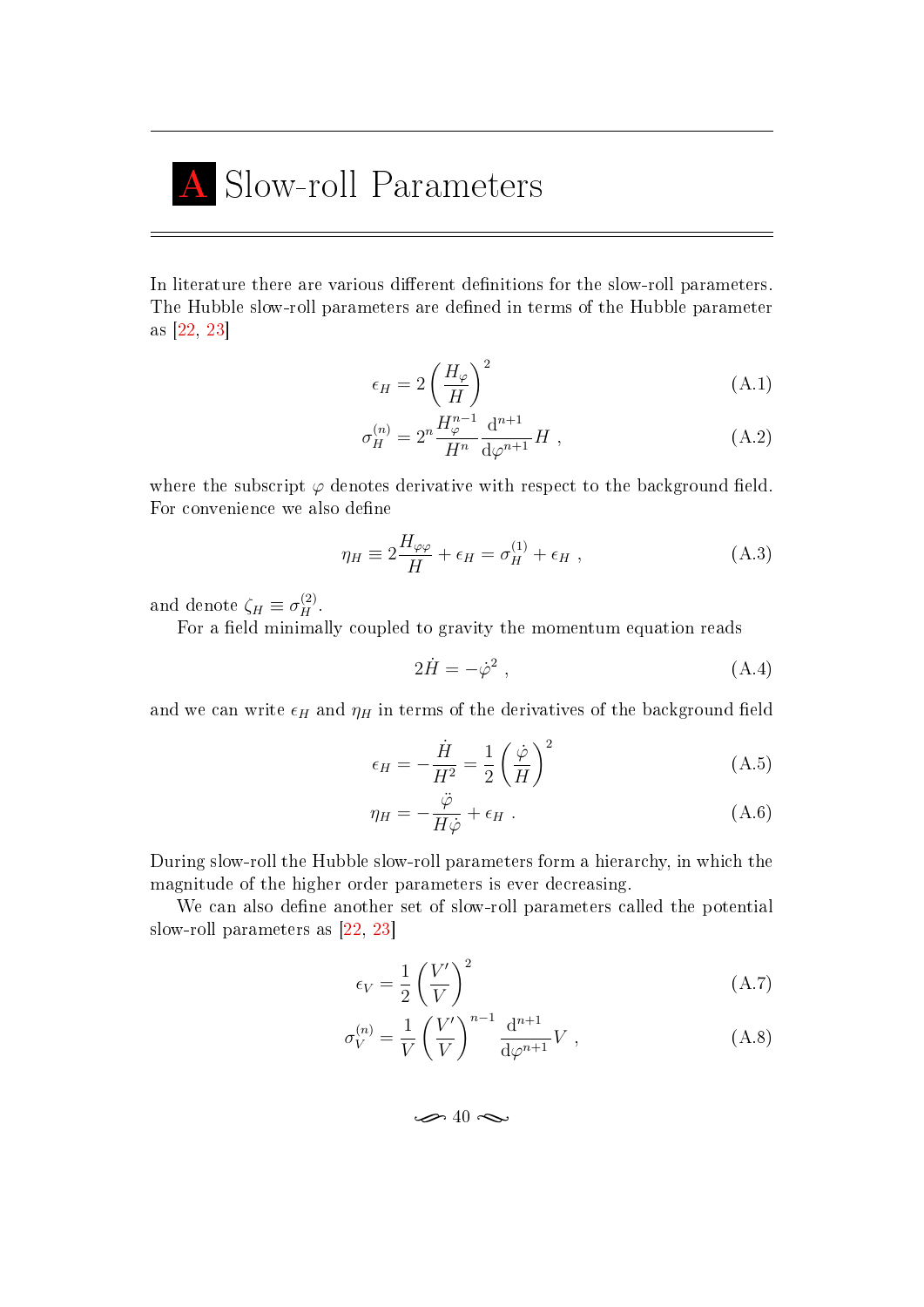# <span id="page-49-0"></span>Slow-roll Parameters

In literature there are various different definitions for the slow-roll parameters. The Hubble slow-roll parameters are defined in terms of the Hubble parameter as [\[22,](#page-46-8) [23\]](#page-47-0)

$$
\epsilon_H = 2\left(\frac{H_\varphi}{H}\right)^2\tag{A.1}
$$

$$
\sigma_H^{(n)} = 2^n \frac{H_{\varphi}^{n-1}}{H^n} \frac{d^{n+1}}{d\varphi^{n+1}} H , \qquad (A.2)
$$

where the subscript  $\varphi$  denotes derivative with respect to the background field. For convenience we also define

$$
\eta_H \equiv 2\frac{H_{\varphi\varphi}}{H} + \epsilon_H = \sigma_H^{(1)} + \epsilon_H , \qquad (A.3)
$$

and denote  $\zeta_H \equiv \sigma_H^{(2)}$ .

For a field minimally coupled to gravity the momentum equation reads

$$
2\dot{H} = -\dot{\varphi}^2 \,,\tag{A.4}
$$

and we can write  $\epsilon_H$  and  $\eta_H$  in terms of the derivatives of the background field

$$
\epsilon_H = -\frac{\dot{H}}{H^2} = \frac{1}{2} \left(\frac{\dot{\varphi}}{H}\right)^2 \tag{A.5}
$$

$$
\eta_H = -\frac{\ddot{\varphi}}{H\dot{\varphi}} + \epsilon_H \ . \tag{A.6}
$$

During slow-roll the Hubble slow-roll parameters form a hierarchy, in which the magnitude of the higher order parameters is ever decreasing.

We can also define another set of slow-roll parameters called the potential slow-roll parameters as [\[22,](#page-46-8) [23\]](#page-47-0)

$$
\epsilon_V = \frac{1}{2} \left(\frac{V'}{V}\right)^2 \tag{A.7}
$$

$$
\sigma_V^{(n)} = \frac{1}{V} \left(\frac{V'}{V}\right)^{n-1} \frac{d^{n+1}}{d\varphi^{n+1}} V , \qquad (A.8)
$$

 $\rightarrow$  40  $\sim$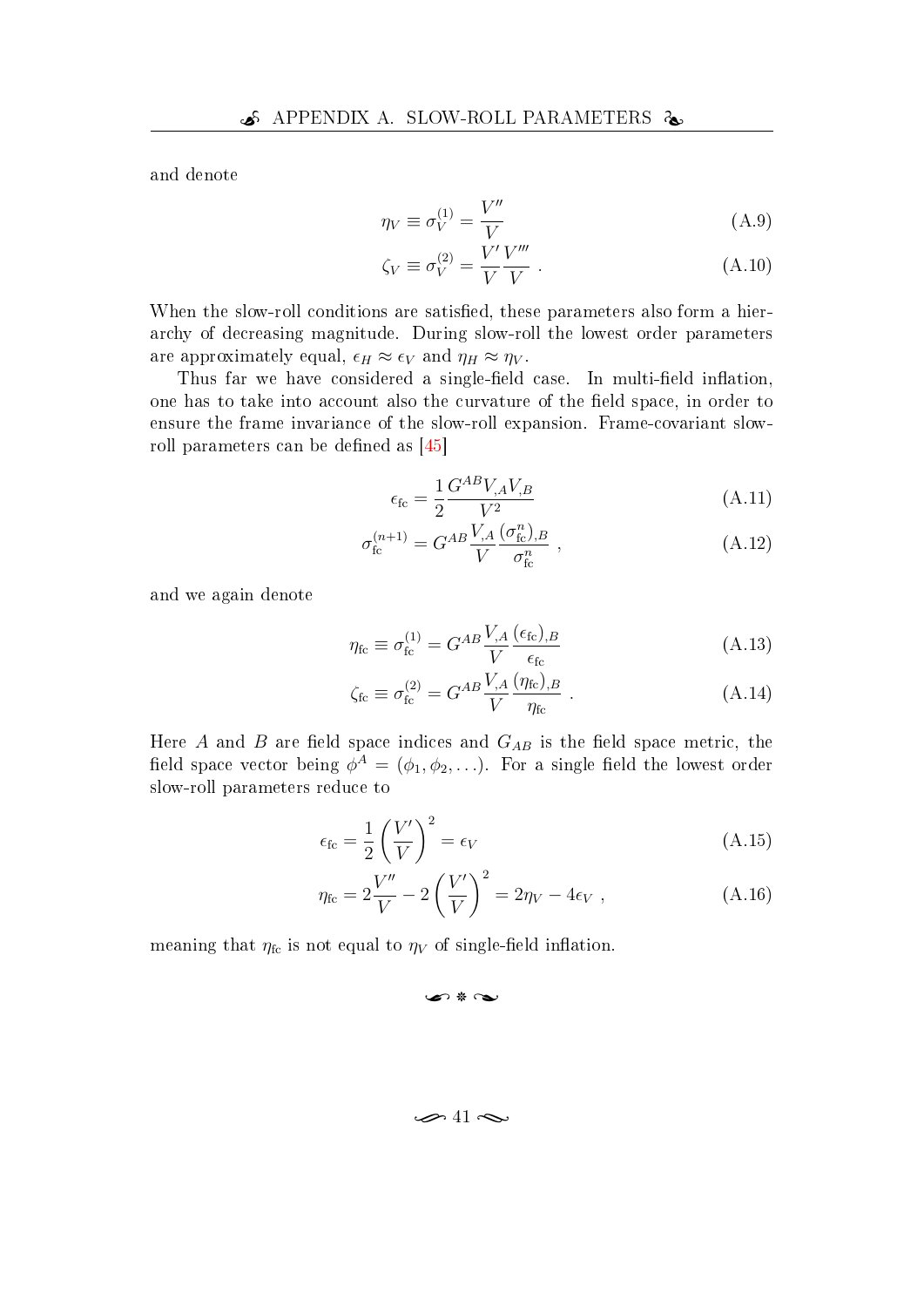and denote

$$
\eta_V \equiv \sigma_V^{(1)} = \frac{V''}{V} \tag{A.9}
$$

$$
\zeta_V \equiv \sigma_V^{(2)} = \frac{V' V'''}{V} \,. \tag{A.10}
$$

When the slow-roll conditions are satisfied, these parameters also form a hierarchy of decreasing magnitude. During slow-roll the lowest order parameters are approximately equal,  $\epsilon_H \approx \epsilon_V$  and  $\eta_H \approx \eta_V$ .

Thus far we have considered a single-field case. In multi-field inflation, one has to take into account also the curvature of the field space, in order to ensure the frame invariance of the slow-roll expansion. Frame-covariant slowroll parameters can be defined as  $[45]$ 

$$
\epsilon_{\rm fc} = \frac{1}{2} \frac{G^{AB} V_{,A} V_{,B}}{V^2} \tag{A.11}
$$

$$
\sigma_{\text{fc}}^{(n+1)} = G^{AB} \frac{V_{,A}}{V} \frac{(\sigma_{\text{fc}}^n)_{,B}}{\sigma_{\text{fc}}^n} \,, \tag{A.12}
$$

and we again denote

$$
\eta_{\rm fc} \equiv \sigma_{\rm fc}^{(1)} = G^{AB} \frac{V_{,A}}{V} \frac{(\epsilon_{\rm fc})_{,B}}{\epsilon_{\rm fc}} \tag{A.13}
$$

$$
\zeta_{\rm fc} \equiv \sigma_{\rm fc}^{(2)} = G^{AB} \frac{V_{,A}}{V} \frac{(\eta_{\rm fc})_{,B}}{\eta_{\rm fc}} \,. \tag{A.14}
$$

Here A and B are field space indices and  $G_{AB}$  is the field space metric, the field space vector being  $\phi^A = (\phi_1, \phi_2, \ldots)$ . For a single field the lowest order slow-roll parameters reduce to

$$
\epsilon_{\rm fc} = \frac{1}{2} \left( \frac{V'}{V} \right)^2 = \epsilon_V \tag{A.15}
$$

$$
\eta_{\rm fc} = 2\frac{V''}{V} - 2\left(\frac{V'}{V}\right)^2 = 2\eta_V - 4\epsilon_V , \qquad (A.16)
$$

meaning that  $\eta_{\text{fc}}$  is not equal to  $\eta_V$  of single-field inflation.

#### n \* ~

#### $\rightarrow$  41  $\sim$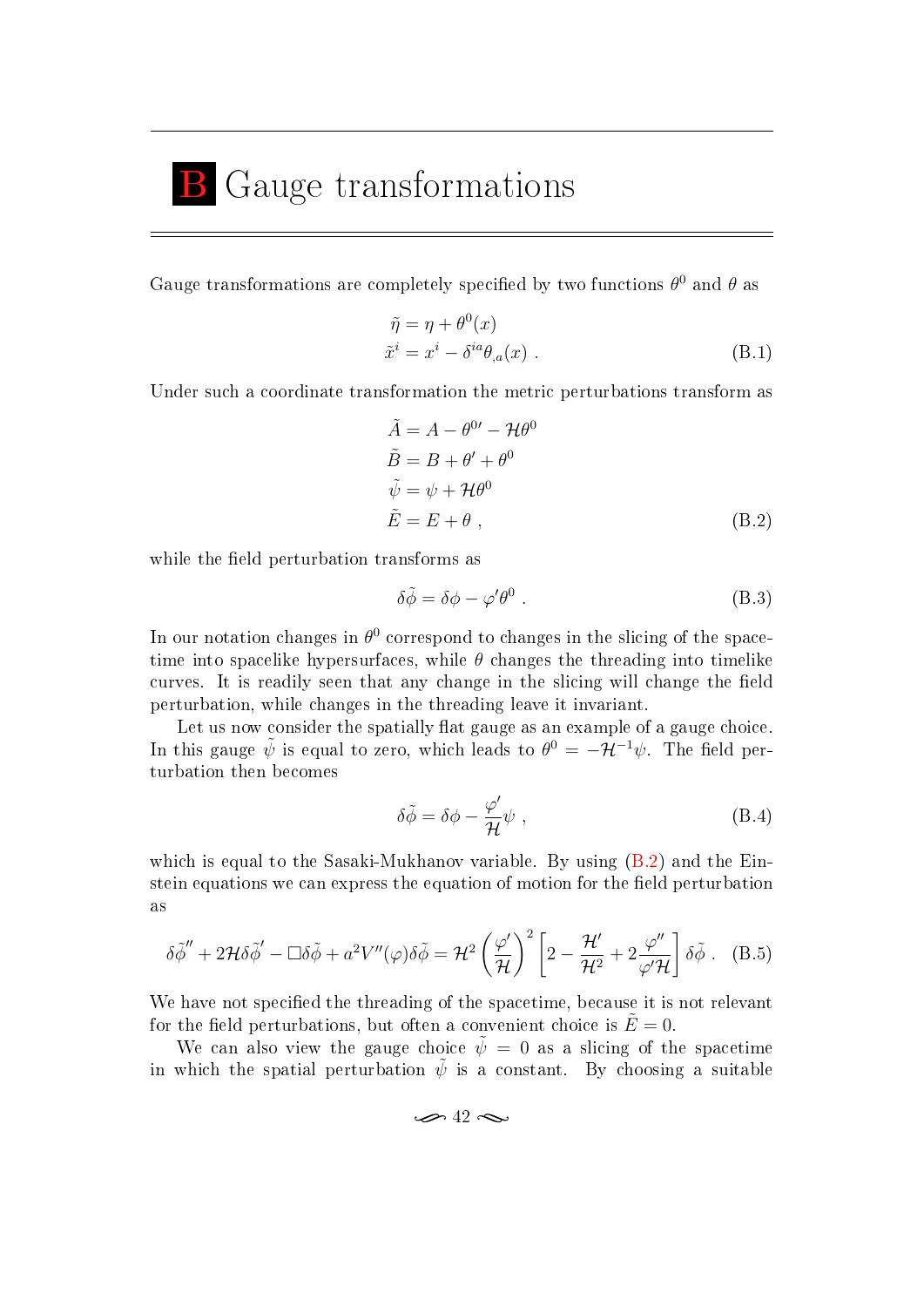## <span id="page-51-0"></span>B Gauge transformations

Gauge transformations are completely specified by two functions  $\theta^0$  and  $\theta$  as

$$
\tilde{\eta} = \eta + \theta^{0}(x)
$$
  
\n
$$
\tilde{x}^{i} = x^{i} - \delta^{ia}\theta_{,a}(x)
$$
 (B.1)

Under such a coordinate transformation the metric perturbations transform as

$$
\tilde{A} = A - \theta^{0'} - \mathcal{H}\theta^{0}
$$
  
\n
$$
\tilde{B} = B + \theta' + \theta^{0}
$$
  
\n
$$
\tilde{\psi} = \psi + \mathcal{H}\theta^{0}
$$
  
\n
$$
\tilde{E} = E + \theta,
$$
\n(B.2)

while the field perturbation transforms as

<span id="page-51-1"></span>
$$
\delta \tilde{\phi} = \delta \phi - \varphi' \theta^0 \tag{B.3}
$$

In our notation changes in  $\theta^0$  correspond to changes in the slicing of the spacetime into spacelike hypersurfaces, while  $\theta$  changes the threading into timelike curves. It is readily seen that any change in the slicing will change the field perturbation, while changes in the threading leave it invariant.

Let us now consider the spatially flat gauge as an example of a gauge choice. In this gauge  $\tilde{\psi}$  is equal to zero, which leads to  $\theta^0 = -\mathcal{H}^{-1}\psi$ . The field perturbation then becomes

$$
\delta \tilde{\phi} = \delta \phi - \frac{\varphi'}{\mathcal{H}} \psi , \qquad (B.4)
$$

which is equal to the Sasaki-Mukhanov variable. By using  $(B.2)$  and the Einstein equations we can express the equation of motion for the field perturbation as

$$
\delta \tilde{\phi}'' + 2\mathcal{H} \delta \tilde{\phi}' - \Box \delta \tilde{\phi} + a^2 V''(\varphi) \delta \tilde{\phi} = \mathcal{H}^2 \left(\frac{\varphi'}{\mathcal{H}}\right)^2 \left[2 - \frac{\mathcal{H}'}{\mathcal{H}^2} + 2 \frac{\varphi''}{\varphi' \mathcal{H}}\right] \delta \tilde{\phi}. \quad (B.5)
$$

We have not specified the threading of the spacetime, because it is not relevant for the field perturbations, but often a convenient choice is  $\dot{E}=0$ .

We can also view the gauge choice  $\tilde{\psi} = 0$  as a slicing of the spacetime in which the spatial perturbation  $\tilde{\psi}$  is a constant. By choosing a suitable

$$
\mathcal{A}^2 \mathcal{A}
$$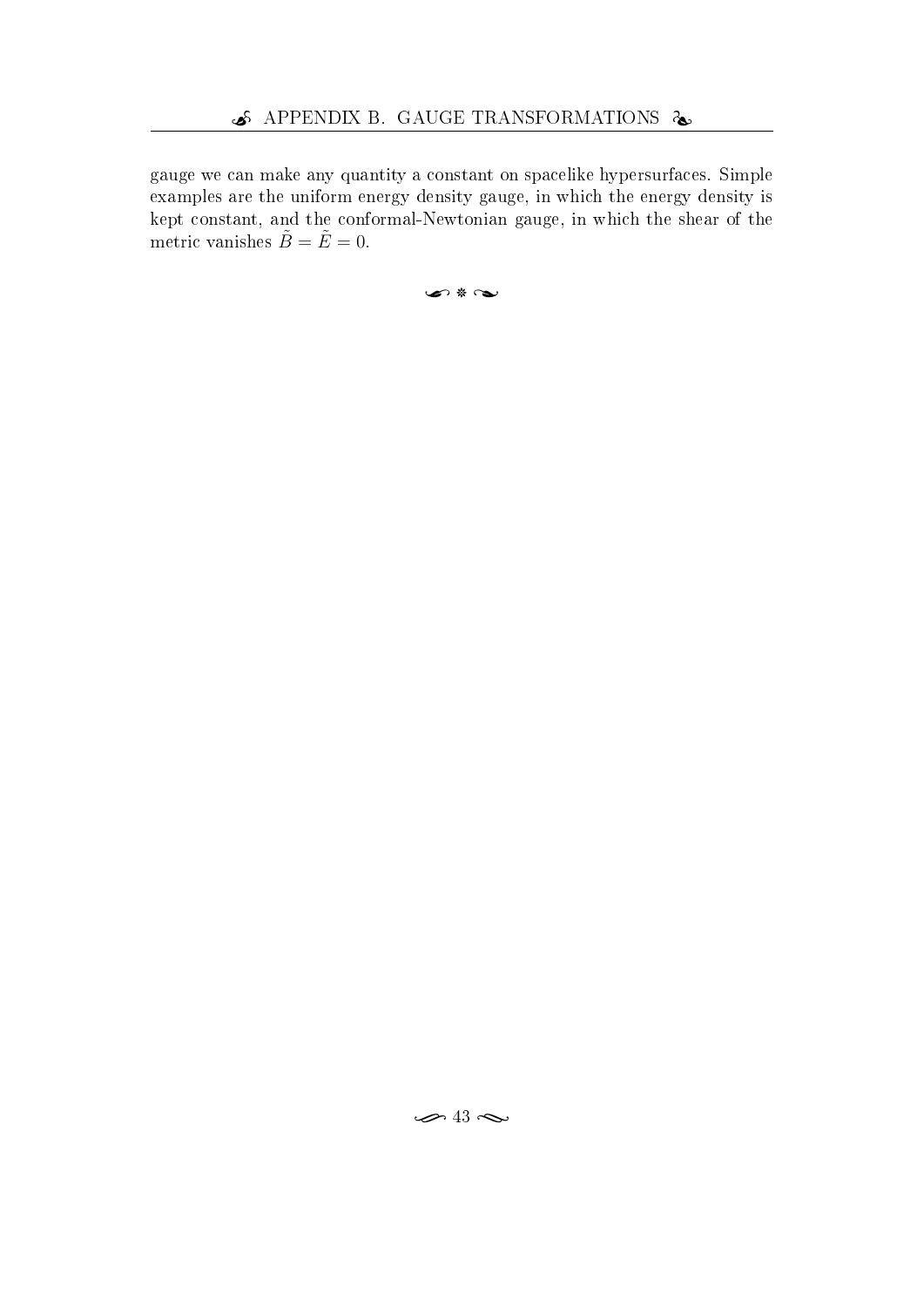gauge we can make any quantity a constant on spacelike hypersurfaces. Simple examples are the uniform energy density gauge, in which the energy density is kept constant, and the conformal-Newtonian gauge, in which the shear of the metric vanishes  $\tilde{B} = \tilde{E} = 0$ .

u 8 U